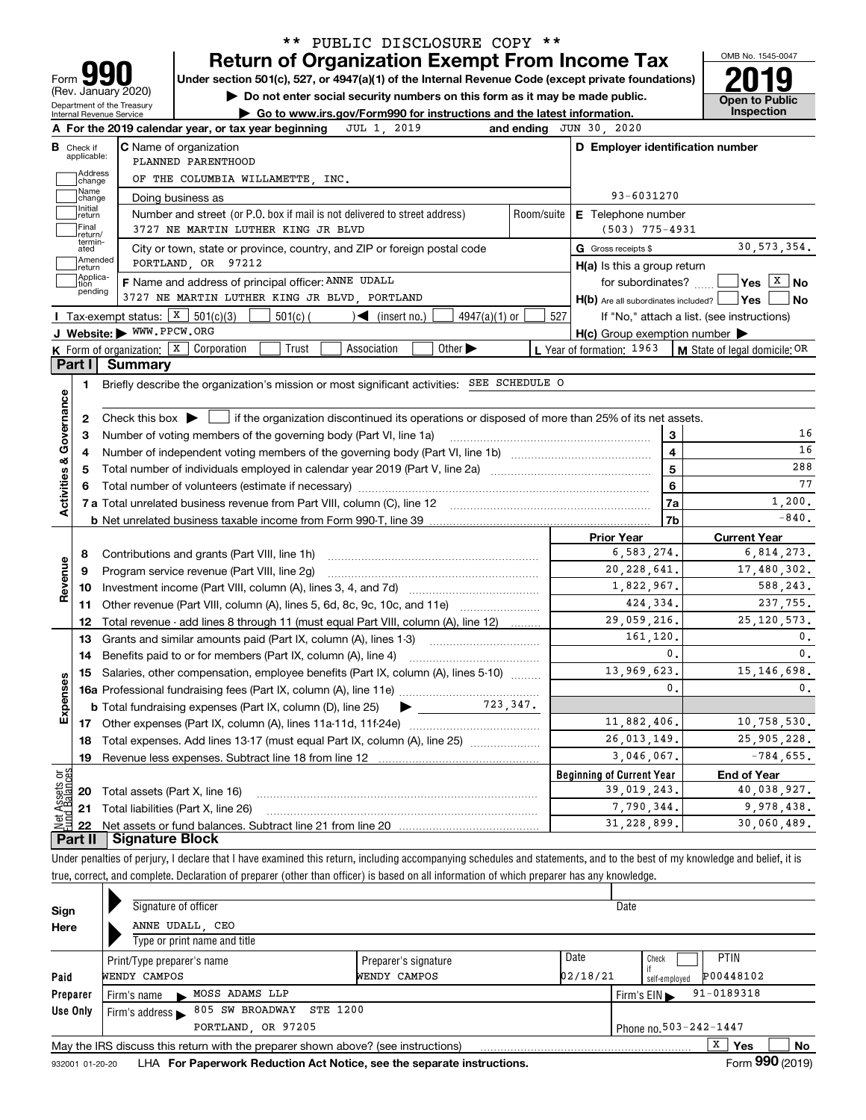| Do not enter social security numbers on this form as it may be made public.<br>Department of the Treasury<br>Go to www.irs.gov/Form990 for instructions and the latest information.<br>Internal Revenue Service |                                                                 |                                                                                                                                             |                                                     |                  |                                                                 |  |  |  |
|-----------------------------------------------------------------------------------------------------------------------------------------------------------------------------------------------------------------|-----------------------------------------------------------------|---------------------------------------------------------------------------------------------------------------------------------------------|-----------------------------------------------------|------------------|-----------------------------------------------------------------|--|--|--|
|                                                                                                                                                                                                                 |                                                                 | JUL 1, 2019<br>A For the 2019 calendar year, or tax year beginning                                                                          | and ending JUN 30, 2020                             |                  |                                                                 |  |  |  |
|                                                                                                                                                                                                                 | <b>B</b> Check if<br>applicable:                                | <b>C</b> Name of organization<br>PLANNED PARENTHOOD                                                                                         | D Employer identification number                    |                  |                                                                 |  |  |  |
|                                                                                                                                                                                                                 | Address<br>change                                               | OF THE COLUMBIA WILLAMETTE, INC.                                                                                                            |                                                     |                  |                                                                 |  |  |  |
|                                                                                                                                                                                                                 | Name                                                            | Doing business as                                                                                                                           | 93-6031270                                          |                  |                                                                 |  |  |  |
|                                                                                                                                                                                                                 | change<br>Initial<br>return                                     | Number and street (or P.O. box if mail is not delivered to street address)                                                                  | Room/suite<br>E Telephone number                    |                  |                                                                 |  |  |  |
|                                                                                                                                                                                                                 | Final                                                           | 3727 NE MARTIN LUTHER KING JR BLVD                                                                                                          | $(503)$ 775-4931                                    |                  |                                                                 |  |  |  |
|                                                                                                                                                                                                                 | return/<br>termin-<br>ated                                      | City or town, state or province, country, and ZIP or foreign postal code                                                                    | G Gross receipts \$                                 |                  | 30, 573, 354.                                                   |  |  |  |
|                                                                                                                                                                                                                 | Amended<br>return                                               | PORTLAND, OR 97212                                                                                                                          | $H(a)$ is this a group return                       |                  |                                                                 |  |  |  |
|                                                                                                                                                                                                                 | Applica-<br>tion                                                | F Name and address of principal officer: ANNE UDALL                                                                                         |                                                     |                  | for subordinates? $\Box$ Yes $X$ No                             |  |  |  |
|                                                                                                                                                                                                                 | pending                                                         | 3727 NE MARTIN LUTHER KING JR BLVD, PORTLAND                                                                                                | $H(b)$ Are all subordinates included? $\Box$ Yes    |                  | ∣No                                                             |  |  |  |
|                                                                                                                                                                                                                 | Tax-exempt status: $X \ 501(c)(3)$                              | $501(c)$ (<br>$\mathcal{L}$ (insert no.)<br>$4947(a)(1)$ or                                                                                 | 527                                                 |                  | If "No," attach a list. (see instructions)                      |  |  |  |
|                                                                                                                                                                                                                 | J Website: WWW.PPCW.ORG                                         |                                                                                                                                             | $H(c)$ Group exemption number $\blacktriangleright$ |                  |                                                                 |  |  |  |
|                                                                                                                                                                                                                 | <b>K</b> Form of organization: $\boxed{\textbf{X}}$ Corporation | Trust<br>Association<br>Other $\blacktriangleright$                                                                                         | L Year of formation: 1963                           |                  | M State of legal domicile: OR                                   |  |  |  |
|                                                                                                                                                                                                                 | Part I<br><b>Summary</b>                                        |                                                                                                                                             |                                                     |                  |                                                                 |  |  |  |
|                                                                                                                                                                                                                 | 1.                                                              | Briefly describe the organization's mission or most significant activities: SEE SCHEDULE O                                                  |                                                     |                  |                                                                 |  |  |  |
|                                                                                                                                                                                                                 |                                                                 |                                                                                                                                             |                                                     |                  |                                                                 |  |  |  |
|                                                                                                                                                                                                                 | 2                                                               | Check this box $\blacktriangleright$ $\Box$ if the organization discontinued its operations or disposed of more than 25% of its net assets. |                                                     |                  |                                                                 |  |  |  |
|                                                                                                                                                                                                                 | 3                                                               | Number of voting members of the governing body (Part VI, line 1a)                                                                           |                                                     | 3                |                                                                 |  |  |  |
|                                                                                                                                                                                                                 | 4                                                               | $\overline{\mathbf{4}}$                                                                                                                     |                                                     |                  |                                                                 |  |  |  |
|                                                                                                                                                                                                                 | 5                                                               | $\overline{5}$                                                                                                                              |                                                     |                  |                                                                 |  |  |  |
|                                                                                                                                                                                                                 |                                                                 |                                                                                                                                             |                                                     | 6                |                                                                 |  |  |  |
| Activities & Governance                                                                                                                                                                                         |                                                                 |                                                                                                                                             |                                                     | 7a               | 1,200.                                                          |  |  |  |
|                                                                                                                                                                                                                 |                                                                 |                                                                                                                                             |                                                     | 7b               | $-840$ .                                                        |  |  |  |
|                                                                                                                                                                                                                 |                                                                 |                                                                                                                                             | <b>Prior Year</b>                                   |                  | <b>Current Year</b>                                             |  |  |  |
|                                                                                                                                                                                                                 | 8                                                               |                                                                                                                                             | 6,583,274.                                          |                  | 6,814,273.                                                      |  |  |  |
|                                                                                                                                                                                                                 | 9                                                               | Program service revenue (Part VIII, line 2g)                                                                                                | 20, 228, 641.                                       |                  | 17,480,302.                                                     |  |  |  |
| Revenue                                                                                                                                                                                                         | 10                                                              |                                                                                                                                             | 1,822,967.                                          |                  | 588,243.                                                        |  |  |  |
|                                                                                                                                                                                                                 | 11                                                              | Other revenue (Part VIII, column (A), lines 5, 6d, 8c, 9c, 10c, and 11e)                                                                    |                                                     | 424,334.         | 237,755.                                                        |  |  |  |
|                                                                                                                                                                                                                 | 12                                                              | Total revenue - add lines 8 through 11 (must equal Part VIII, column (A), line 12)                                                          | 29,059,216.                                         |                  | 25, 120, 573.                                                   |  |  |  |
|                                                                                                                                                                                                                 | 13                                                              | Grants and similar amounts paid (Part IX, column (A), lines 1-3)                                                                            | 161,120.                                            |                  |                                                                 |  |  |  |
|                                                                                                                                                                                                                 | 14                                                              | Benefits paid to or for members (Part IX, column (A), line 4)                                                                               |                                                     | 0.               | 15, 146, 698.                                                   |  |  |  |
|                                                                                                                                                                                                                 |                                                                 | 13,969,623.<br>Salaries, other compensation, employee benefits (Part IX, column (A), lines 5-10)                                            |                                                     |                  |                                                                 |  |  |  |
|                                                                                                                                                                                                                 | 15                                                              |                                                                                                                                             |                                                     |                  |                                                                 |  |  |  |
|                                                                                                                                                                                                                 |                                                                 |                                                                                                                                             |                                                     | $\mathfrak{o}$ . |                                                                 |  |  |  |
|                                                                                                                                                                                                                 |                                                                 | $\sum$ 723, 347.<br><b>b</b> Total fundraising expenses (Part IX, column (D), line 25)                                                      |                                                     |                  |                                                                 |  |  |  |
|                                                                                                                                                                                                                 | 17                                                              |                                                                                                                                             | 11,882,406.                                         |                  |                                                                 |  |  |  |
|                                                                                                                                                                                                                 | 18                                                              | Total expenses. Add lines 13-17 (must equal Part IX, column (A), line 25)                                                                   | 26, 013, 149.                                       |                  |                                                                 |  |  |  |
|                                                                                                                                                                                                                 | 19                                                              | Revenue less expenses. Subtract line 18 from line 12                                                                                        | 3,046,067.                                          |                  |                                                                 |  |  |  |
|                                                                                                                                                                                                                 |                                                                 |                                                                                                                                             | <b>Beginning of Current Year</b>                    |                  | 10,758,530.<br>25,905,228.<br>$-784,655.$<br><b>End of Year</b> |  |  |  |
| 6S<br>Expens                                                                                                                                                                                                    | 20                                                              | Total assets (Part X, line 16)                                                                                                              | 39,019,243.                                         |                  | 40,038,927.                                                     |  |  |  |
| <b>Net Assets or</b><br>Eund Balances                                                                                                                                                                           | 21<br>22                                                        | Total liabilities (Part X, line 26)                                                                                                         | 7,790,344.<br>31,228,899.                           |                  | 9,978,438.<br>30,060,489.                                       |  |  |  |

\*\* PUBLIC DISCLOSURE COPY \*\*

| Sign<br>Here                                 |  |                                      | Signature of officer<br>ANNE UDALL, CEO<br>Type or print name and title           |                                      |                  | Date                                               |  |  |  |  |
|----------------------------------------------|--|--------------------------------------|-----------------------------------------------------------------------------------|--------------------------------------|------------------|----------------------------------------------------|--|--|--|--|
| Paid                                         |  | WENDY CAMPOS                         | Print/Type preparer's name                                                        | Preparer's signature<br>WENDY CAMPOS | Date<br>02/18/21 | <b>PTIN</b><br>Check<br>P00448102<br>self-employed |  |  |  |  |
| Preparer                                     |  | Firm's name                          | MOSS ADAMS LLP                                                                    |                                      |                  | $91 - 0189318$<br>Firm's $EIN$                     |  |  |  |  |
| Use Only                                     |  | Firm's address $\blacktriangleright$ | 805 SW BROADWAY STE 1200                                                          |                                      |                  |                                                    |  |  |  |  |
| PORTLAND, OR 97205<br>Phone no. 503-242-1447 |  |                                      |                                                                                   |                                      |                  |                                                    |  |  |  |  |
|                                              |  |                                      | May the IRS discuss this return with the preparer shown above? (see instructions) |                                      |                  | X<br>No<br><b>Yes</b><br>---                       |  |  |  |  |

932001 01-20-20 **For Paperwork Reduction Act Notice, see the separate instructions.** LHA Form (2019)

**990**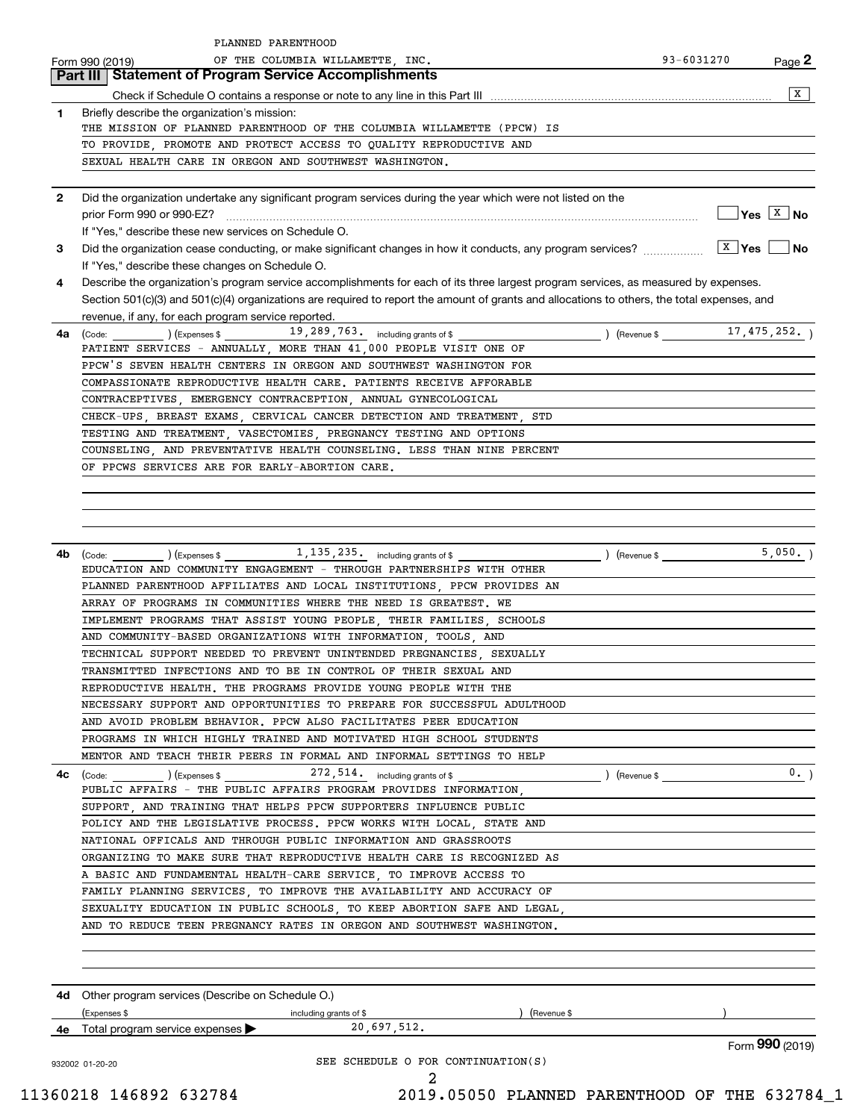|              | PLANNED PARENTHOOD                                                                                                                                       |                |                              |
|--------------|----------------------------------------------------------------------------------------------------------------------------------------------------------|----------------|------------------------------|
|              | OF THE COLUMBIA WILLAMETTE, INC.<br>Form 990 (2019)                                                                                                      | 93-6031270     | Page 2                       |
|              | <b>Part III   Statement of Program Service Accomplishments</b>                                                                                           |                |                              |
|              |                                                                                                                                                          |                | X                            |
| 1            | Briefly describe the organization's mission:                                                                                                             |                |                              |
|              | THE MISSION OF PLANNED PARENTHOOD OF THE COLUMBIA WILLAMETTE (PPCW) IS                                                                                   |                |                              |
|              | TO PROVIDE, PROMOTE AND PROTECT ACCESS TO QUALITY REPRODUCTIVE AND                                                                                       |                |                              |
|              | SEXUAL HEALTH CARE IN OREGON AND SOUTHWEST WASHINGTON.                                                                                                   |                |                              |
|              |                                                                                                                                                          |                |                              |
| $\mathbf{2}$ | Did the organization undertake any significant program services during the year which were not listed on the                                             |                |                              |
|              |                                                                                                                                                          |                | $\sqrt{Y}$ es $\boxed{X}$ No |
|              | If "Yes," describe these new services on Schedule O.                                                                                                     |                |                              |
| 3            |                                                                                                                                                          |                |                              |
|              | If "Yes," describe these changes on Schedule O.                                                                                                          |                |                              |
| 4            | Describe the organization's program service accomplishments for each of its three largest program services, as measured by expenses.                     |                |                              |
|              | Section 501(c)(3) and 501(c)(4) organizations are required to report the amount of grants and allocations to others, the total expenses, and             |                |                              |
| 4a           | revenue, if any, for each program service reported.<br>$\left(\text{Code:}\right)$ $\left(\text{Expenses $}\right)$ $19,289,763.$ including grants of \$ |                |                              |
|              | PATIENT SERVICES - ANNUALLY, MORE THAN 41,000 PEOPLE VISIT ONE OF                                                                                        |                |                              |
|              | PPCW'S SEVEN HEALTH CENTERS IN OREGON AND SOUTHWEST WASHINGTON FOR                                                                                       |                |                              |
|              | COMPASSIONATE REPRODUCTIVE HEALTH CARE. PATIENTS RECEIVE AFFORABLE                                                                                       |                |                              |
|              | CONTRACEPTIVES, EMERGENCY CONTRACEPTION, ANNUAL GYNECOLOGICAL                                                                                            |                |                              |
|              | CHECK-UPS, BREAST EXAMS, CERVICAL CANCER DETECTION AND TREATMENT, STD                                                                                    |                |                              |
|              | TESTING AND TREATMENT, VASECTOMIES, PREGNANCY TESTING AND OPTIONS                                                                                        |                |                              |
|              | COUNSELING, AND PREVENTATIVE HEALTH COUNSELING. LESS THAN NINE PERCENT                                                                                   |                |                              |
|              | OF PPCWS SERVICES ARE FOR EARLY-ABORTION CARE.                                                                                                           |                |                              |
|              |                                                                                                                                                          |                |                              |
|              |                                                                                                                                                          |                |                              |
|              |                                                                                                                                                          |                |                              |
|              |                                                                                                                                                          |                |                              |
| 4b           | $\left(\text{Code:}\begin{array}{c} \text{Code:} \end{array}\right)$ (Expenses \$ $\frac{1}{1,135,235}$ , including grants of \$                         | $($ Revenue \$ | 5,050.                       |
|              | EDUCATION AND COMMUNITY ENGAGEMENT - THROUGH PARTNERSHIPS WITH OTHER                                                                                     |                |                              |
|              | PLANNED PARENTHOOD AFFILIATES AND LOCAL INSTITUTIONS, PPCW PROVIDES AN                                                                                   |                |                              |
|              | ARRAY OF PROGRAMS IN COMMUNITIES WHERE THE NEED IS GREATEST. WE                                                                                          |                |                              |
|              | IMPLEMENT PROGRAMS THAT ASSIST YOUNG PEOPLE, THEIR FAMILIES, SCHOOLS                                                                                     |                |                              |
|              | AND COMMUNITY-BASED ORGANIZATIONS WITH INFORMATION, TOOLS, AND                                                                                           |                |                              |
|              | TECHNICAL SUPPORT NEEDED TO PREVENT UNINTENDED PREGNANCIES SEXUALLY                                                                                      |                |                              |
|              | TRANSMITTED INFECTIONS AND TO BE IN CONTROL OF THEIR SEXUAL AND                                                                                          |                |                              |
|              | REPRODUCTIVE HEALTH. THE PROGRAMS PROVIDE YOUNG PEOPLE WITH THE                                                                                          |                |                              |
|              | NECESSARY SUPPORT AND OPPORTUNITIES TO PREPARE FOR SUCCESSFUL ADULTHOOD                                                                                  |                |                              |
|              | AND AVOID PROBLEM BEHAVIOR. PPCW ALSO FACILITATES PEER EDUCATION                                                                                         |                |                              |
|              | PROGRAMS IN WHICH HIGHLY TRAINED AND MOTIVATED HIGH SCHOOL STUDENTS                                                                                      |                |                              |
|              | MENTOR AND TEACH THEIR PEERS IN FORMAL AND INFORMAL SETTINGS TO HELP                                                                                     |                |                              |
| 4c           |                                                                                                                                                          | ) (Revenue \$  | 0.                           |
|              | PUBLIC AFFAIRS - THE PUBLIC AFFAIRS PROGRAM PROVIDES INFORMATION,                                                                                        |                |                              |
|              | SUPPORT, AND TRAINING THAT HELPS PPCW SUPPORTERS INFLUENCE PUBLIC                                                                                        |                |                              |
|              | POLICY AND THE LEGISLATIVE PROCESS. PPCW WORKS WITH LOCAL, STATE AND                                                                                     |                |                              |
|              | NATIONAL OFFICALS AND THROUGH PUBLIC INFORMATION AND GRASSROOTS                                                                                          |                |                              |
|              | ORGANIZING TO MAKE SURE THAT REPRODUCTIVE HEALTH CARE IS RECOGNIZED AS                                                                                   |                |                              |
|              | A BASIC AND FUNDAMENTAL HEALTH-CARE SERVICE, TO IMPROVE ACCESS TO                                                                                        |                |                              |
|              | FAMILY PLANNING SERVICES, TO IMPROVE THE AVAILABILITY AND ACCURACY OF                                                                                    |                |                              |
|              | SEXUALITY EDUCATION IN PUBLIC SCHOOLS, TO KEEP ABORTION SAFE AND LEGAL,                                                                                  |                |                              |
|              | AND TO REDUCE TEEN PREGNANCY RATES IN OREGON AND SOUTHWEST WASHINGTON.                                                                                   |                |                              |
|              |                                                                                                                                                          |                |                              |
|              |                                                                                                                                                          |                |                              |
|              |                                                                                                                                                          |                |                              |
|              | <b>4d</b> Other program services (Describe on Schedule O.)                                                                                               |                |                              |
|              | (Expenses \$<br>) (Revenue \$<br>including grants of \$                                                                                                  |                |                              |
|              | 20,697,512.<br>4e Total program service expenses >                                                                                                       |                |                              |
|              |                                                                                                                                                          |                | Form 990 (2019)              |
|              | SEE SCHEDULE O FOR CONTINUATION(S)<br>932002 01-20-20                                                                                                    |                |                              |
|              | 2                                                                                                                                                        |                |                              |

 <sup>11360218 146892 632784 2019.05050</sup> PLANNED PARENTHOOD OF THE 632784\_1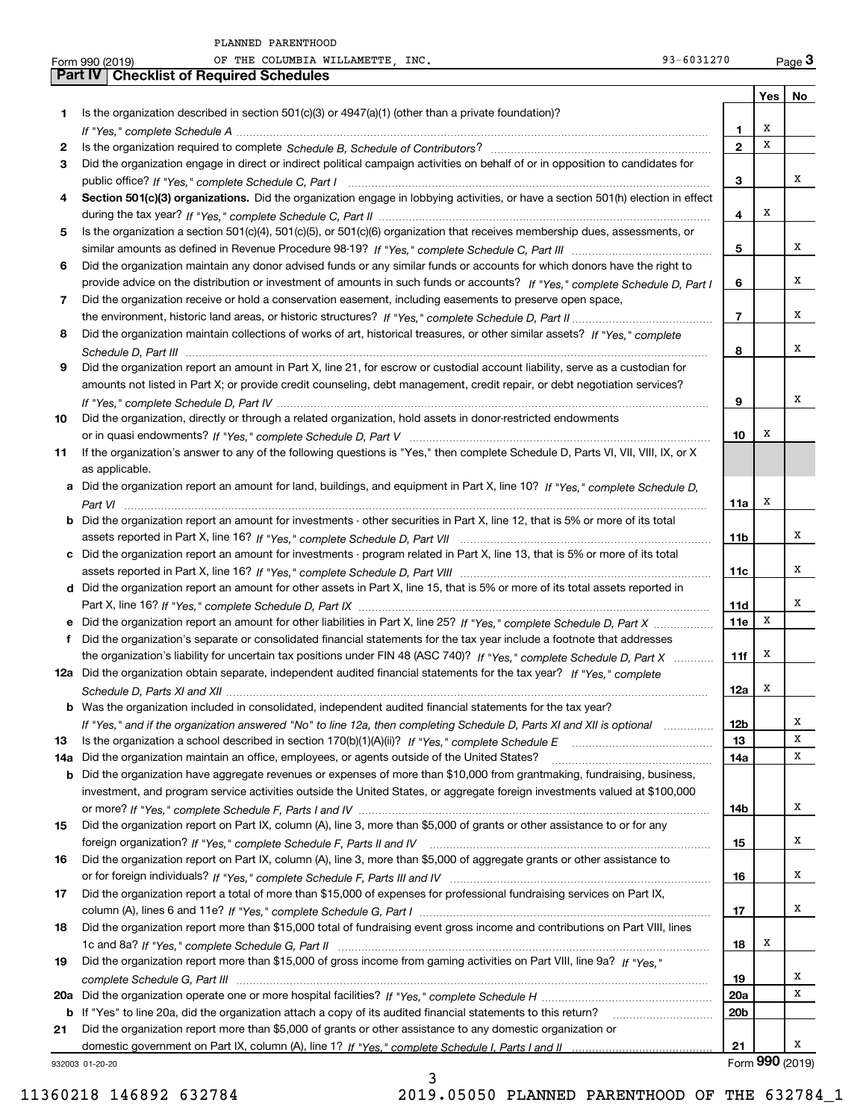| $-$<br>ים דחפ<br>$\sim$<br>Form<br>.<br>ືບປປ<br>-- | INC.<br>.T.AMRTTF<br>___<br>____<br>ΟF<br>╖┰┰<br>COLUMBIA<br>T4T-<br>w<br>латт | _റ_-<br>$\overline{ }$<br>$\frac{1}{2} \left( \frac{1}{2} \right) \left( \frac{1}{2} \right) \left( \frac{1}{2} \right) \left( \frac{1}{2} \right) \left( \frac{1}{2} \right) \left( \frac{1}{2} \right) \left( \frac{1}{2} \right) \left( \frac{1}{2} \right) \left( \frac{1}{2} \right) \left( \frac{1}{2} \right) \left( \frac{1}{2} \right) \left( \frac{1}{2} \right) \left( \frac{1}{2} \right) \left( \frac{1}{2} \right) \left( \frac{1}{2} \right) \left( \frac{1}{2} \right) \left( \frac$<br>∘nu<br>⊶ ∼י<br>. U<br>. .<br>aue· |  |
|----------------------------------------------------|--------------------------------------------------------------------------------|-------------------------------------------------------------------------------------------------------------------------------------------------------------------------------------------------------------------------------------------------------------------------------------------------------------------------------------------------------------------------------------------------------------------------------------------------------------------------------------------------------------------------------------------|--|
|                                                    |                                                                                |                                                                                                                                                                                                                                                                                                                                                                                                                                                                                                                                           |  |

|     | 93-6031270<br>OF THE COLUMBIA WILLAMETTE, INC.<br>Form 990 (2019)                                                                |                 |     | Page $3$        |
|-----|----------------------------------------------------------------------------------------------------------------------------------|-----------------|-----|-----------------|
|     | Part IV<br><b>Checklist of Required Schedules</b>                                                                                |                 |     |                 |
|     |                                                                                                                                  |                 | Yes | No              |
| 1   | Is the organization described in section $501(c)(3)$ or $4947(a)(1)$ (other than a private foundation)?                          |                 |     |                 |
|     |                                                                                                                                  | 1               | х   |                 |
| 2   |                                                                                                                                  | $\mathbf{2}$    | X   |                 |
| 3   | Did the organization engage in direct or indirect political campaign activities on behalf of or in opposition to candidates for  |                 |     |                 |
|     |                                                                                                                                  | 3               |     | х               |
| 4   | Section 501(c)(3) organizations. Did the organization engage in lobbying activities, or have a section 501(h) election in effect |                 |     |                 |
|     |                                                                                                                                  | 4               | х   |                 |
| 5   | Is the organization a section 501(c)(4), 501(c)(5), or 501(c)(6) organization that receives membership dues, assessments, or     |                 |     |                 |
|     |                                                                                                                                  | 5               |     | х               |
| 6   | Did the organization maintain any donor advised funds or any similar funds or accounts for which donors have the right to        |                 |     |                 |
|     | provide advice on the distribution or investment of amounts in such funds or accounts? If "Yes," complete Schedule D, Part I     | 6               |     | х               |
| 7   | Did the organization receive or hold a conservation easement, including easements to preserve open space,                        |                 |     |                 |
|     |                                                                                                                                  | $\overline{7}$  |     | х               |
|     |                                                                                                                                  |                 |     |                 |
| 8   | Did the organization maintain collections of works of art, historical treasures, or other similar assets? If "Yes," complete     |                 |     | х               |
|     |                                                                                                                                  | 8               |     |                 |
| 9   | Did the organization report an amount in Part X, line 21, for escrow or custodial account liability, serve as a custodian for    |                 |     |                 |
|     | amounts not listed in Part X; or provide credit counseling, debt management, credit repair, or debt negotiation services?        |                 |     |                 |
|     |                                                                                                                                  | 9               |     | х               |
| 10  | Did the organization, directly or through a related organization, hold assets in donor-restricted endowments                     |                 |     |                 |
|     |                                                                                                                                  | 10              | х   |                 |
| 11  | If the organization's answer to any of the following questions is "Yes," then complete Schedule D, Parts VI, VII, VIII, IX, or X |                 |     |                 |
|     | as applicable.                                                                                                                   |                 |     |                 |
|     | Did the organization report an amount for land, buildings, and equipment in Part X, line 10? If "Yes," complete Schedule D,      |                 |     |                 |
|     |                                                                                                                                  | 11a             | х   |                 |
| b   | Did the organization report an amount for investments - other securities in Part X, line 12, that is 5% or more of its total     |                 |     |                 |
|     |                                                                                                                                  | 11b             |     | x               |
| c   | Did the organization report an amount for investments - program related in Part X, line 13, that is 5% or more of its total      |                 |     |                 |
|     |                                                                                                                                  | 11c             |     | х               |
|     | d Did the organization report an amount for other assets in Part X, line 15, that is 5% or more of its total assets reported in  |                 |     |                 |
|     |                                                                                                                                  | 11d             |     | х               |
|     | Did the organization report an amount for other liabilities in Part X, line 25? If "Yes," complete Schedule D, Part X            | <b>11e</b>      | Х   |                 |
| f   | Did the organization's separate or consolidated financial statements for the tax year include a footnote that addresses          |                 |     |                 |
|     | the organization's liability for uncertain tax positions under FIN 48 (ASC 740)? If "Yes," complete Schedule D, Part X           | 11f             | х   |                 |
|     | 12a Did the organization obtain separate, independent audited financial statements for the tax year? If "Yes," complete          |                 |     |                 |
|     |                                                                                                                                  | 12a             | x   |                 |
| b   | Was the organization included in consolidated, independent audited financial statements for the tax year?                        |                 |     |                 |
|     | If "Yes," and if the organization answered "No" to line 12a, then completing Schedule D, Parts XI and XII is optional manum      | 12b             |     | x               |
| 13  |                                                                                                                                  | 13              |     | х               |
| 14a | Did the organization maintain an office, employees, or agents outside of the United States?                                      | 14a             |     | х               |
| b   | Did the organization have aggregate revenues or expenses of more than \$10,000 from grantmaking, fundraising, business,          |                 |     |                 |
|     | investment, and program service activities outside the United States, or aggregate foreign investments valued at \$100,000       |                 |     |                 |
|     |                                                                                                                                  |                 |     | х               |
|     | Did the organization report on Part IX, column (A), line 3, more than \$5,000 of grants or other assistance to or for any        | 14b             |     |                 |
| 15  |                                                                                                                                  |                 |     | x               |
|     |                                                                                                                                  | 15              |     |                 |
| 16  | Did the organization report on Part IX, column (A), line 3, more than \$5,000 of aggregate grants or other assistance to         |                 |     |                 |
|     |                                                                                                                                  | 16              |     | х               |
| 17  | Did the organization report a total of more than \$15,000 of expenses for professional fundraising services on Part IX,          |                 |     |                 |
|     |                                                                                                                                  | 17              |     | х               |
| 18  | Did the organization report more than \$15,000 total of fundraising event gross income and contributions on Part VIII, lines     |                 |     |                 |
|     |                                                                                                                                  | 18              | x   |                 |
| 19  | Did the organization report more than \$15,000 of gross income from gaming activities on Part VIII, line 9a? If "Yes."           |                 |     |                 |
|     |                                                                                                                                  | 19              |     | x               |
| 20a |                                                                                                                                  | 20a             |     | X               |
| b   | If "Yes" to line 20a, did the organization attach a copy of its audited financial statements to this return?                     | 20 <sub>b</sub> |     |                 |
| 21  | Did the organization report more than \$5,000 of grants or other assistance to any domestic organization or                      |                 |     |                 |
|     |                                                                                                                                  | 21              |     | х               |
|     | 932003 01-20-20                                                                                                                  |                 |     | Form 990 (2019) |

3

932003 01-20-20

11360218 146892 632784 2019.05050 PLANNED PARENTHOOD OF THE 632784\_1

 $93 - 6031270$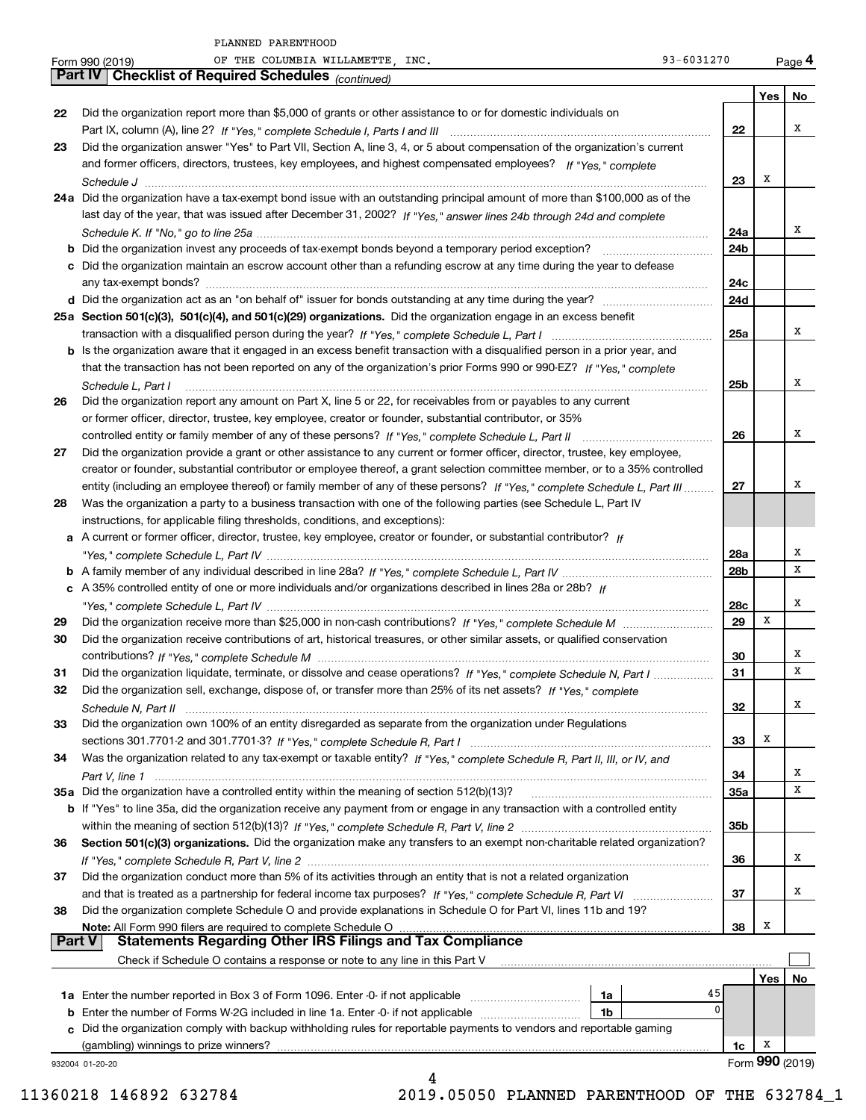|               | 93-6031270<br>OF THE COLUMBIA WILLAMETTE, INC.<br>Form 990 (2019)                                                            |                 |     | Page 4          |
|---------------|------------------------------------------------------------------------------------------------------------------------------|-----------------|-----|-----------------|
|               | <b>Checklist of Required Schedules</b> (continued)<br><b>Part IV</b>                                                         |                 |     |                 |
|               |                                                                                                                              |                 | Yes | No              |
| 22            | Did the organization report more than \$5,000 of grants or other assistance to or for domestic individuals on                |                 |     |                 |
|               |                                                                                                                              | 22              |     | х               |
| 23            | Did the organization answer "Yes" to Part VII, Section A, line 3, 4, or 5 about compensation of the organization's current   |                 |     |                 |
|               | and former officers, directors, trustees, key employees, and highest compensated employees? If "Yes," complete               |                 |     |                 |
|               |                                                                                                                              | 23              | х   |                 |
|               | 24a Did the organization have a tax-exempt bond issue with an outstanding principal amount of more than \$100,000 as of the  |                 |     |                 |
|               | last day of the year, that was issued after December 31, 2002? If "Yes," answer lines 24b through 24d and complete           |                 |     |                 |
|               |                                                                                                                              | 24a             |     | х               |
|               | <b>b</b> Did the organization invest any proceeds of tax-exempt bonds beyond a temporary period exception?                   | 24b             |     |                 |
|               | c Did the organization maintain an escrow account other than a refunding escrow at any time during the year to defease       |                 |     |                 |
|               |                                                                                                                              | 24c<br>24d      |     |                 |
|               | 25a Section 501(c)(3), 501(c)(4), and 501(c)(29) organizations. Did the organization engage in an excess benefit             |                 |     |                 |
|               |                                                                                                                              | 25a             |     | х               |
|               | b Is the organization aware that it engaged in an excess benefit transaction with a disqualified person in a prior year, and |                 |     |                 |
|               | that the transaction has not been reported on any of the organization's prior Forms 990 or 990-EZ? If "Yes," complete        |                 |     |                 |
|               | Schedule L, Part I                                                                                                           | 25 <sub>b</sub> |     | х               |
| 26            | Did the organization report any amount on Part X, line 5 or 22, for receivables from or payables to any current              |                 |     |                 |
|               | or former officer, director, trustee, key employee, creator or founder, substantial contributor, or 35%                      |                 |     |                 |
|               |                                                                                                                              | 26              |     | х               |
| 27            | Did the organization provide a grant or other assistance to any current or former officer, director, trustee, key employee,  |                 |     |                 |
|               | creator or founder, substantial contributor or employee thereof, a grant selection committee member, or to a 35% controlled  |                 |     |                 |
|               | entity (including an employee thereof) or family member of any of these persons? If "Yes," complete Schedule L, Part III     | 27              |     | х               |
| 28            | Was the organization a party to a business transaction with one of the following parties (see Schedule L, Part IV            |                 |     |                 |
|               | instructions, for applicable filing thresholds, conditions, and exceptions):                                                 |                 |     |                 |
|               | a A current or former officer, director, trustee, key employee, creator or founder, or substantial contributor? If           |                 |     |                 |
|               |                                                                                                                              | 28a             |     | х               |
|               |                                                                                                                              | 28b             |     | X               |
|               | c A 35% controlled entity of one or more individuals and/or organizations described in lines 28a or 28b? If                  |                 |     |                 |
|               |                                                                                                                              | 28c             |     | х               |
| 29            |                                                                                                                              | 29              | X   |                 |
| 30            | Did the organization receive contributions of art, historical treasures, or other similar assets, or qualified conservation  |                 |     |                 |
|               |                                                                                                                              | 30              |     | х               |
| 31            | Did the organization liquidate, terminate, or dissolve and cease operations? If "Yes," complete Schedule N, Part I           | 31              |     | х               |
| 32            | Did the organization sell, exchange, dispose of, or transfer more than 25% of its net assets? If "Yes," complete             |                 |     |                 |
|               |                                                                                                                              | 32              |     | Χ               |
| 33            | Did the organization own 100% of an entity disregarded as separate from the organization under Regulations                   |                 |     |                 |
|               |                                                                                                                              | 33              | х   |                 |
| 34            | Was the organization related to any tax-exempt or taxable entity? If "Yes," complete Schedule R, Part II, III, or IV, and    |                 |     | x               |
|               | 35a Did the organization have a controlled entity within the meaning of section 512(b)(13)?                                  | 34              |     | х               |
|               |                                                                                                                              | 35a             |     |                 |
|               | b If "Yes" to line 35a, did the organization receive any payment from or engage in any transaction with a controlled entity  | 35b             |     |                 |
| 36            | Section 501(c)(3) organizations. Did the organization make any transfers to an exempt non-charitable related organization?   |                 |     |                 |
|               |                                                                                                                              | 36              |     | х               |
| 37            | Did the organization conduct more than 5% of its activities through an entity that is not a related organization             |                 |     |                 |
|               |                                                                                                                              | 37              |     | x               |
| 38            | Did the organization complete Schedule O and provide explanations in Schedule O for Part VI, lines 11b and 19?               |                 |     |                 |
|               | Note: All Form 990 filers are required to complete Schedule O                                                                | 38              | X   |                 |
| <b>Part V</b> | <b>Statements Regarding Other IRS Filings and Tax Compliance</b>                                                             |                 |     |                 |
|               | Check if Schedule O contains a response or note to any line in this Part V                                                   |                 |     |                 |
|               |                                                                                                                              |                 | Yes | No              |
|               | 1a                                                                                                                           | 45              |     |                 |
|               | <b>b</b> Enter the number of Forms W-2G included in line 1a. Enter -0- if not applicable<br>1b                               | $\mathbf{0}$    |     |                 |
|               | c Did the organization comply with backup withholding rules for reportable payments to vendors and reportable gaming         |                 |     |                 |
|               | (gambling) winnings to prize winners?                                                                                        | 1c              | x   |                 |
|               | 932004 01-20-20                                                                                                              |                 |     | Form 990 (2019) |
|               | 4                                                                                                                            |                 |     |                 |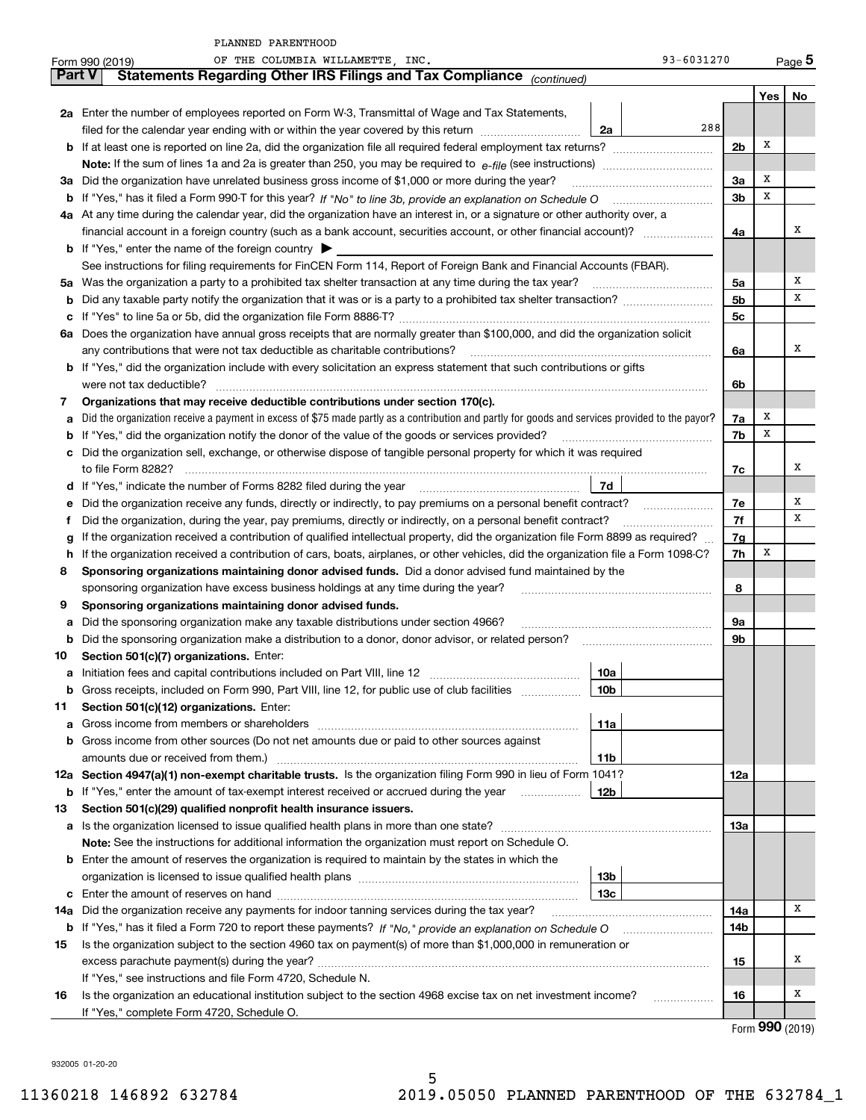|               | PLANNED PARENTHOOD                                                                                                                              |                |     |                     |
|---------------|-------------------------------------------------------------------------------------------------------------------------------------------------|----------------|-----|---------------------|
|               | OF THE COLUMBIA WILLAMETTE, INC.<br>93-6031270<br>Form 990 (2019)                                                                               |                |     | $Page$ <sup>5</sup> |
| <b>Part V</b> | Statements Regarding Other IRS Filings and Tax Compliance (continued)                                                                           |                |     |                     |
|               |                                                                                                                                                 |                | Yes | $No$                |
|               | 2a Enter the number of employees reported on Form W-3, Transmittal of Wage and Tax Statements,                                                  |                |     |                     |
|               | 288<br>filed for the calendar year ending with or within the year covered by this return<br>2a                                                  |                |     |                     |
|               |                                                                                                                                                 | 2 <sub>b</sub> | х   |                     |
|               |                                                                                                                                                 |                |     |                     |
| За            | Did the organization have unrelated business gross income of \$1,000 or more during the year?                                                   | 3a             | х   |                     |
|               |                                                                                                                                                 | 3 <sub>b</sub> | х   |                     |
|               | 4a At any time during the calendar year, did the organization have an interest in, or a signature or other authority over, a                    |                |     |                     |
|               |                                                                                                                                                 | 4a             |     | x                   |
|               | <b>b</b> If "Yes," enter the name of the foreign country $\triangleright$                                                                       |                |     |                     |
|               | See instructions for filing requirements for FinCEN Form 114, Report of Foreign Bank and Financial Accounts (FBAR).                             |                |     |                     |
| 5a            |                                                                                                                                                 | 5a             |     | х                   |
| b             |                                                                                                                                                 | 5b             |     | х                   |
|               |                                                                                                                                                 | 5 <sub>c</sub> |     |                     |
| ба            | Does the organization have annual gross receipts that are normally greater than \$100,000, and did the organization solicit                     |                |     |                     |
|               | any contributions that were not tax deductible as charitable contributions?                                                                     | 6a             |     | x                   |
|               | b If "Yes," did the organization include with every solicitation an express statement that such contributions or gifts                          |                |     |                     |
|               | were not tax deductible?                                                                                                                        | 6b             |     |                     |
| 7             | Organizations that may receive deductible contributions under section 170(c).                                                                   |                |     |                     |
|               | Did the organization receive a payment in excess of \$75 made partly as a contribution and partly for goods and services provided to the payor? | 7a             | х   |                     |
|               | If "Yes," did the organization notify the donor of the value of the goods or services provided?                                                 | 7b             | X   |                     |
| с             | Did the organization sell, exchange, or otherwise dispose of tangible personal property for which it was required                               |                |     |                     |
|               |                                                                                                                                                 | 7c             |     | x                   |
| d             | 7d                                                                                                                                              |                |     |                     |
|               |                                                                                                                                                 | 7e             |     | Х                   |
|               | Did the organization, during the year, pay premiums, directly or indirectly, on a personal benefit contract?                                    | 7f             |     | х                   |
|               | If the organization received a contribution of qualified intellectual property, did the organization file Form 8899 as required?                | 7g             |     |                     |
|               | If the organization received a contribution of cars, boats, airplanes, or other vehicles, did the organization file a Form 1098-C?              | 7h             | х   |                     |
| 8             | Sponsoring organizations maintaining donor advised funds. Did a donor advised fund maintained by the                                            |                |     |                     |
|               | sponsoring organization have excess business holdings at any time during the year?                                                              | 8              |     |                     |
| 9             | Sponsoring organizations maintaining donor advised funds.                                                                                       |                |     |                     |
| а             | Did the sponsoring organization make any taxable distributions under section 4966?                                                              | 9а             |     |                     |
|               | Did the sponsoring organization make a distribution to a donor, donor advisor, or related person?                                               | 9b             |     |                     |
| 10            | Section 501(c)(7) organizations. Enter:                                                                                                         |                |     |                     |
| а             | 10a<br>Initiation fees and capital contributions included on Part VIII, line 12 [100] [100] [100] [100] [100] [100] [                           |                |     |                     |
| b             | Gross receipts, included on Form 990, Part VIII, line 12, for public use of club facilities<br>10b                                              |                |     |                     |
| 11            | Section 501(c)(12) organizations. Enter:                                                                                                        |                |     |                     |
| а             | 11a                                                                                                                                             |                |     |                     |
| b             | Gross income from other sources (Do not net amounts due or paid to other sources against                                                        |                |     |                     |
|               | amounts due or received from them.)<br>11b                                                                                                      |                |     |                     |
|               | 12a Section 4947(a)(1) non-exempt charitable trusts. Is the organization filing Form 990 in lieu of Form 1041?                                  | 12a            |     |                     |
| b             | If "Yes," enter the amount of tax-exempt interest received or accrued during the year<br>12b                                                    |                |     |                     |
| 13            | Section 501(c)(29) qualified nonprofit health insurance issuers.                                                                                |                |     |                     |
|               | a Is the organization licensed to issue qualified health plans in more than one state?                                                          | 13а            |     |                     |
|               | Note: See the instructions for additional information the organization must report on Schedule O.                                               |                |     |                     |
|               | <b>b</b> Enter the amount of reserves the organization is required to maintain by the states in which the                                       |                |     |                     |
|               | 13b                                                                                                                                             |                |     |                     |
| с             | 13с                                                                                                                                             |                |     |                     |
| 14a           | Did the organization receive any payments for indoor tanning services during the tax year?                                                      | 14a            |     | х                   |
|               |                                                                                                                                                 | 14b            |     |                     |
| 15            | Is the organization subject to the section 4960 tax on payment(s) of more than \$1,000,000 in remuneration or                                   |                |     |                     |
|               | excess parachute payment(s) during the year?                                                                                                    | 15             |     | х                   |
|               | If "Yes," see instructions and file Form 4720, Schedule N.                                                                                      |                |     |                     |
| 16            | Is the organization an educational institution subject to the section 4968 excise tax on net investment income?                                 | 16             |     | х                   |
|               | If "Yes," complete Form 4720, Schedule O.                                                                                                       |                |     |                     |

Form (2019) **990**

932005 01-20-20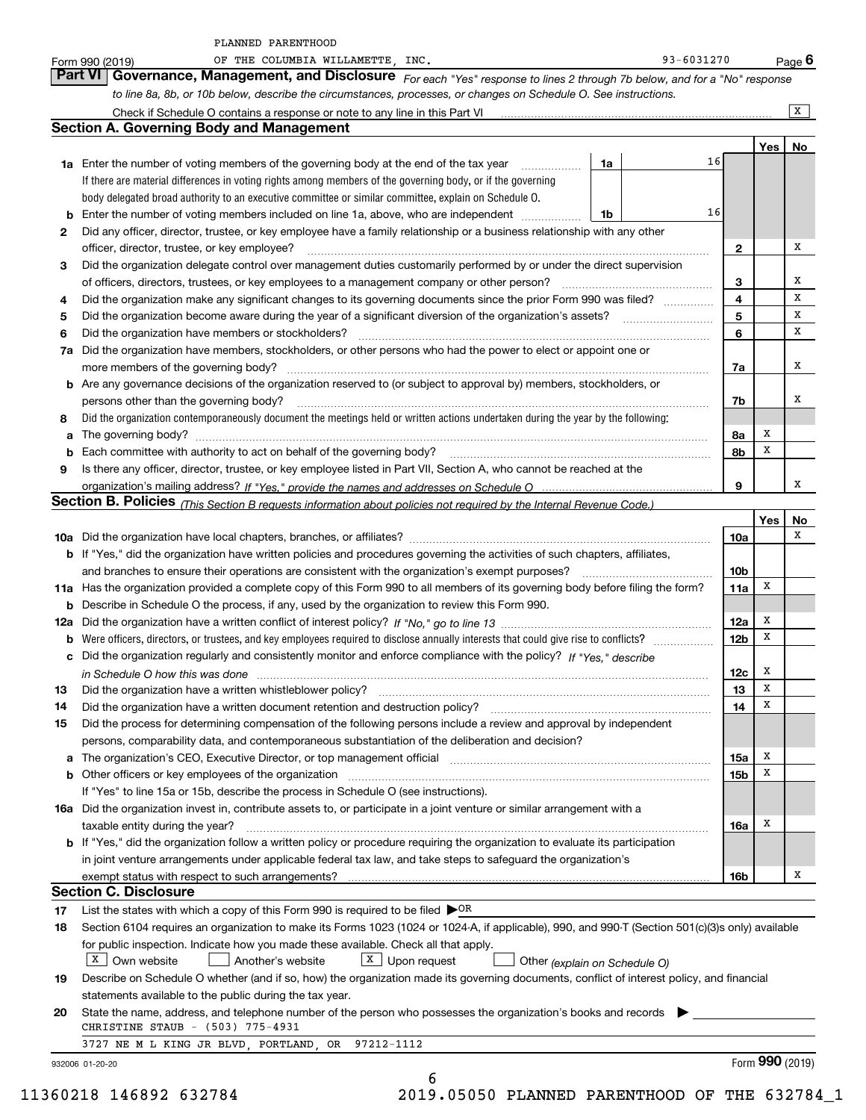|    | to line 8a, 8b, or 10b below, describe the circumstances, processes, or changes on Schedule O. See instructions.                                                                                                               |                 |                 |                |
|----|--------------------------------------------------------------------------------------------------------------------------------------------------------------------------------------------------------------------------------|-----------------|-----------------|----------------|
|    | Check if Schedule O contains a response or note to any line in this Part VI [11] [12] Check if Schedule O contains a response or note to any line in this Part VI                                                              |                 |                 | $\overline{X}$ |
|    | <b>Section A. Governing Body and Management</b>                                                                                                                                                                                |                 |                 |                |
|    |                                                                                                                                                                                                                                |                 | Yes   No        |                |
|    | 16<br>1a<br><b>1a</b> Enter the number of voting members of the governing body at the end of the tax year <i>manumum</i>                                                                                                       |                 |                 |                |
|    | If there are material differences in voting rights among members of the governing body, or if the governing                                                                                                                    |                 |                 |                |
|    | body delegated broad authority to an executive committee or similar committee, explain on Schedule O.                                                                                                                          |                 |                 |                |
|    | 16<br><b>b</b> Enter the number of voting members included on line 1a, above, who are independent<br>1b                                                                                                                        |                 |                 |                |
| 2  | Did any officer, director, trustee, or key employee have a family relationship or a business relationship with any other                                                                                                       |                 |                 |                |
|    | officer, director, trustee, or key employee?                                                                                                                                                                                   | $\mathbf{2}$    |                 | х              |
| 3  | Did the organization delegate control over management duties customarily performed by or under the direct supervision                                                                                                          |                 |                 |                |
|    |                                                                                                                                                                                                                                | 3               |                 | х              |
| 4  | Did the organization make any significant changes to its governing documents since the prior Form 990 was filed?                                                                                                               | 4               |                 | X              |
| 5  |                                                                                                                                                                                                                                | 5               |                 | х              |
| 6  | Did the organization have members or stockholders?                                                                                                                                                                             | 6               |                 | х              |
|    | 7a Did the organization have members, stockholders, or other persons who had the power to elect or appoint one or                                                                                                              |                 |                 |                |
|    |                                                                                                                                                                                                                                | 7a              |                 | x              |
|    | <b>b</b> Are any governance decisions of the organization reserved to (or subject to approval by) members, stockholders, or                                                                                                    |                 |                 |                |
|    | persons other than the governing body?                                                                                                                                                                                         | 7b              |                 | x              |
| 8  | Did the organization contemporaneously document the meetings held or written actions undertaken during the year by the following:                                                                                              |                 |                 |                |
| а  |                                                                                                                                                                                                                                | 8a              | x               |                |
|    |                                                                                                                                                                                                                                | 8b              | x               |                |
| 9  | Is there any officer, director, trustee, or key employee listed in Part VII, Section A, who cannot be reached at the                                                                                                           |                 |                 |                |
|    |                                                                                                                                                                                                                                | 9               |                 | x              |
|    | Section B. Policies (This Section B requests information about policies not required by the Internal Revenue Code.)                                                                                                            |                 |                 |                |
|    |                                                                                                                                                                                                                                |                 | Yes             | No             |
|    |                                                                                                                                                                                                                                | 10a             |                 | x              |
|    | b If "Yes," did the organization have written policies and procedures governing the activities of such chapters, affiliates,                                                                                                   |                 |                 |                |
|    | and branches to ensure their operations are consistent with the organization's exempt purposes?                                                                                                                                | 10 <sub>b</sub> |                 |                |
|    | 11a Has the organization provided a complete copy of this Form 990 to all members of its governing body before filing the form?                                                                                                | 11a             | x               |                |
|    | <b>b</b> Describe in Schedule O the process, if any, used by the organization to review this Form 990.                                                                                                                         |                 |                 |                |
|    |                                                                                                                                                                                                                                | 12a             | х               |                |
|    |                                                                                                                                                                                                                                | 12 <sub>b</sub> | x               |                |
|    | c Did the organization regularly and consistently monitor and enforce compliance with the policy? If "Yes." describe                                                                                                           |                 |                 |                |
|    | in Schedule O how this was done manufactured and continuum and contact the O how this was done manufactured an                                                                                                                 | 12c             | x               |                |
| 13 | Did the organization have a written whistleblower policy?                                                                                                                                                                      | 13              | X               |                |
| 14 | Did the organization have a written document retention and destruction policy? [11] manufaction policy? [11] manufaction policy? [11] manufaction policy? [11] manufaction policy? [11] manufaction policy? [11] manufaction p | 14              | x               |                |
| 15 | Did the process for determining compensation of the following persons include a review and approval by independent                                                                                                             |                 |                 |                |
|    | persons, comparability data, and contemporaneous substantiation of the deliberation and decision?                                                                                                                              |                 |                 |                |
|    | a The organization's CEO, Executive Director, or top management official [11] [12] The organization's CEO, Executive Director, or top management official [12] [12] [12] [12] The organization's CEO, Executive Director, or t | 15a             | х               |                |
|    | b Other officers or key employees of the organization manufactured content to the organization manufactured by Other officers or key employees of the organization manufactured content of the organization manufactured by Ot | 15b             | X               |                |
|    | If "Yes" to line 15a or 15b, describe the process in Schedule O (see instructions).                                                                                                                                            |                 |                 |                |
|    | 16a Did the organization invest in, contribute assets to, or participate in a joint venture or similar arrangement with a                                                                                                      |                 |                 |                |
|    | taxable entity during the year?                                                                                                                                                                                                | 16a             | x               |                |
|    | b If "Yes," did the organization follow a written policy or procedure requiring the organization to evaluate its participation                                                                                                 |                 |                 |                |
|    |                                                                                                                                                                                                                                |                 |                 |                |
|    | in joint venture arrangements under applicable federal tax law, and take steps to safeguard the organization's                                                                                                                 |                 |                 | х              |
|    |                                                                                                                                                                                                                                | 16b             |                 |                |
|    | <b>Section C. Disclosure</b>                                                                                                                                                                                                   |                 |                 |                |
| 17 | List the states with which a copy of this Form 990 is required to be filed $\triangleright$ OR                                                                                                                                 |                 |                 |                |
| 18 | Section 6104 requires an organization to make its Forms 1023 (1024 or 1024-A, if applicable), 990, and 990-T (Section 501(c)(3)s only) available                                                                               |                 |                 |                |
|    | for public inspection. Indicate how you made these available. Check all that apply.                                                                                                                                            |                 |                 |                |
|    | $X$ Own website<br>$X$ Upon request<br>Another's website<br>Other (explain on Schedule O)                                                                                                                                      |                 |                 |                |
| 19 | Describe on Schedule O whether (and if so, how) the organization made its governing documents, conflict of interest policy, and financial                                                                                      |                 |                 |                |
|    | statements available to the public during the tax year.                                                                                                                                                                        |                 |                 |                |
| 20 | State the name, address, and telephone number of the person who possesses the organization's books and records                                                                                                                 |                 |                 |                |
|    | CHRISTINE STAUB - (503) 775-4931                                                                                                                                                                                               |                 |                 |                |
|    | 3727 NE M L KING JR BLVD, PORTLAND, OR 97212-1112<br>932006 01-20-20                                                                                                                                                           |                 | Form 990 (2019) |                |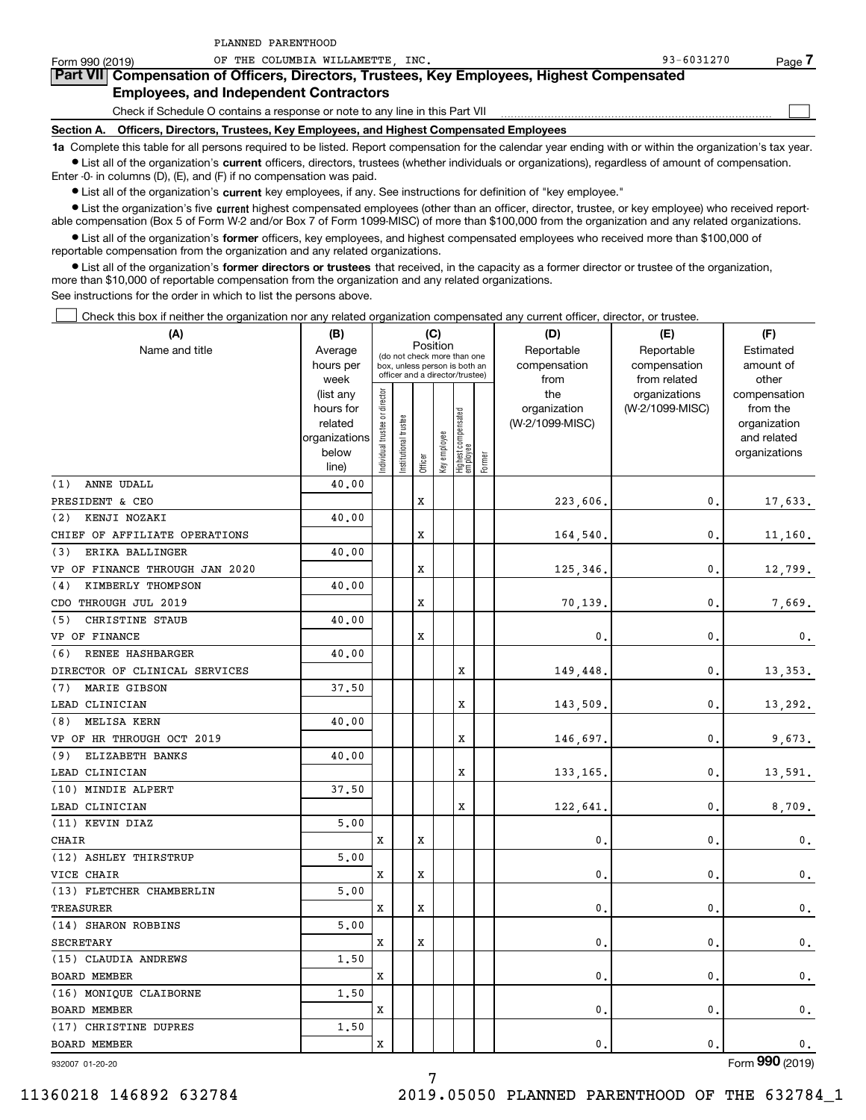| Form 990 (2019)                                                                            | OF THE COLUMBIA WILLAMETTE INC.                                                                                                                            | 93-6031270<br>Page |  |  |  |  |  |  |  |  |  |
|--------------------------------------------------------------------------------------------|------------------------------------------------------------------------------------------------------------------------------------------------------------|--------------------|--|--|--|--|--|--|--|--|--|
| Part VII Compensation of Officers, Directors, Trustees, Key Employees, Highest Compensated |                                                                                                                                                            |                    |  |  |  |  |  |  |  |  |  |
| <b>Employees, and Independent Contractors</b>                                              |                                                                                                                                                            |                    |  |  |  |  |  |  |  |  |  |
|                                                                                            | Check if Schedule O contains a response or note to any line in this Part VII                                                                               |                    |  |  |  |  |  |  |  |  |  |
|                                                                                            | Section A. Officers, Directors, Trustees, Key Employees, and Highest Compensated Employees                                                                 |                    |  |  |  |  |  |  |  |  |  |
|                                                                                            | 1a Complete this table for all persons required to be listed. Report compensation for the calendar year ending with or within the organization's tax year. |                    |  |  |  |  |  |  |  |  |  |

**•** List all of the organization's current officers, directors, trustees (whether individuals or organizations), regardless of amount of compensation. Enter -0- in columns (D), (E), and (F) if no compensation was paid.

PLANNED PARENTHOOD

 $\bullet$  List all of the organization's  $\,$ current key employees, if any. See instructions for definition of "key employee."

**•** List the organization's five current highest compensated employees (other than an officer, director, trustee, or key employee) who received reportable compensation (Box 5 of Form W-2 and/or Box 7 of Form 1099-MISC) of more than \$100,000 from the organization and any related organizations.

**•** List all of the organization's former officers, key employees, and highest compensated employees who received more than \$100,000 of reportable compensation from the organization and any related organizations.

**former directors or trustees**  ¥ List all of the organization's that received, in the capacity as a former director or trustee of the organization, more than \$10,000 of reportable compensation from the organization and any related organizations.

See instructions for the order in which to list the persons above.

Check this box if neither the organization nor any related organization compensated any current officer, director, or trustee.  $\mathcal{L}^{\text{max}}$ 

| (A)                            | (B)               |                               |                 |         | (C)          |                                                                  |        | (D)             | (E)                           | (F)                   |
|--------------------------------|-------------------|-------------------------------|-----------------|---------|--------------|------------------------------------------------------------------|--------|-----------------|-------------------------------|-----------------------|
| Name and title                 | Average           |                               |                 |         | Position     | (do not check more than one                                      |        | Reportable      | Reportable                    | Estimated             |
|                                | hours per         |                               |                 |         |              | box, unless person is both an<br>officer and a director/trustee) |        | compensation    | compensation                  | amount of             |
|                                | week<br>(list any |                               |                 |         |              |                                                                  |        | from<br>the     | from related<br>organizations | other<br>compensation |
|                                | hours for         |                               |                 |         |              |                                                                  |        | organization    | (W-2/1099-MISC)               | from the              |
|                                | related           |                               | trustee         |         |              |                                                                  |        | (W-2/1099-MISC) |                               | organization          |
|                                | organizations     |                               |                 |         |              |                                                                  |        |                 |                               | and related           |
|                                | below             | ndividual trustee or director | Institutional t |         | Key employee | Highest compensated<br>  employee                                |        |                 |                               | organizations         |
|                                | line)             |                               |                 | Officer |              |                                                                  | Former |                 |                               |                       |
| ANNE UDALL<br>(1)              | 40.00             |                               |                 |         |              |                                                                  |        |                 |                               |                       |
| PRESIDENT & CEO                |                   |                               |                 | X       |              |                                                                  |        | 223,606.        | 0.                            | 17,633.               |
| (2)<br>KENJI NOZAKI            | 40.00             |                               |                 |         |              |                                                                  |        |                 |                               |                       |
| CHIEF OF AFFILIATE OPERATIONS  |                   |                               |                 | X       |              |                                                                  |        | 164,540.        | $\mathbf{0}$ .                | 11,160.               |
| ERIKA BALLINGER<br>(3)         | 40.00             |                               |                 |         |              |                                                                  |        |                 |                               |                       |
| VP OF FINANCE THROUGH JAN 2020 |                   |                               |                 | X       |              |                                                                  |        | 125,346.        | $\mathbf{0}$ .                | 12,799.               |
| KIMBERLY THOMPSON<br>(4)       | 40.00             |                               |                 |         |              |                                                                  |        |                 |                               |                       |
| CDO THROUGH JUL 2019           |                   |                               |                 | X       |              |                                                                  |        | 70,139.         | 0.                            | 7,669.                |
| CHRISTINE STAUB<br>(5)         | 40.00             |                               |                 |         |              |                                                                  |        |                 |                               |                       |
| VP OF FINANCE                  |                   |                               |                 | x       |              |                                                                  |        | 0.              | $\mathbf{0}$ .                | $\mathbf{0}$ .        |
| RENEE HASHBARGER<br>(6)        | 40.00             |                               |                 |         |              |                                                                  |        |                 |                               |                       |
| DIRECTOR OF CLINICAL SERVICES  |                   |                               |                 |         |              | x                                                                |        | 149,448.        | 0.                            | 13,353.               |
| MARIE GIBSON<br>(7)            | 37.50             |                               |                 |         |              |                                                                  |        |                 |                               |                       |
| LEAD CLINICIAN                 |                   |                               |                 |         |              | x                                                                |        | 143,509         | $\mathbf{0}$ .                | 13,292.               |
| MELISA KERN<br>(8)             | 40.00             |                               |                 |         |              |                                                                  |        |                 |                               |                       |
| VP OF HR THROUGH OCT 2019      |                   |                               |                 |         |              | X                                                                |        | 146,697.        | $\mathbf{0}$ .                | 9,673.                |
| (9)<br>ELIZABETH BANKS         | 40.00             |                               |                 |         |              |                                                                  |        |                 |                               |                       |
| LEAD CLINICIAN                 |                   |                               |                 |         |              | X                                                                |        | 133,165,        | $\mathbf{0}$ .                | 13,591.               |
| (10) MINDIE ALPERT             | 37.50             |                               |                 |         |              |                                                                  |        |                 |                               |                       |
| LEAD CLINICIAN                 |                   |                               |                 |         |              | X                                                                |        | 122,641         | $\mathbf{0}$ .                | 8,709.                |
| (11) KEVIN DIAZ                | 5,00              |                               |                 |         |              |                                                                  |        |                 |                               |                       |
| <b>CHAIR</b>                   |                   | x                             |                 | X       |              |                                                                  |        | $\mathbf{0}$ .  | $\mathbf{0}$ .                | 0.                    |
| (12) ASHLEY THIRSTRUP          | 5,00              |                               |                 |         |              |                                                                  |        |                 |                               |                       |
| VICE CHAIR                     |                   | x                             |                 | X       |              |                                                                  |        | $\mathbf{0}$ .  | $\mathbf{0}$ .                | $\mathbf{0}$ .        |
| (13) FLETCHER CHAMBERLIN       | 5,00              |                               |                 |         |              |                                                                  |        |                 |                               |                       |
| <b>TREASURER</b>               |                   | x                             |                 | X       |              |                                                                  |        | $\mathbf{0}$ .  | 0.                            | $\mathbf{0}$ .        |
| (14) SHARON ROBBINS            | 5,00              |                               |                 |         |              |                                                                  |        |                 |                               |                       |
| <b>SECRETARY</b>               |                   | x                             |                 | X       |              |                                                                  |        | $\mathbf{0}$ .  | $\mathbf{0}$ .                | 0.                    |
| (15) CLAUDIA ANDREWS           | 1.50              |                               |                 |         |              |                                                                  |        |                 |                               |                       |
| <b>BOARD MEMBER</b>            |                   | x                             |                 |         |              |                                                                  |        | $\mathbf{0}$ .  | $\mathbf{0}$ .                | $\mathbf 0$ .         |
| (16) MONIQUE CLAIBORNE         | 1.50              |                               |                 |         |              |                                                                  |        |                 |                               |                       |
| <b>BOARD MEMBER</b>            |                   | x                             |                 |         |              |                                                                  |        | $\mathbf{0}$ .  | 0.                            | 0.                    |
| (17) CHRISTINE DUPRES          | 1.50              |                               |                 |         |              |                                                                  |        |                 |                               |                       |
| <b>BOARD MEMBER</b>            |                   | X                             |                 |         |              |                                                                  |        | $\mathbf{0}$ .  | $\mathbf{0}$ .                | $\mathbf 0$ .         |
|                                |                   |                               |                 |         |              |                                                                  |        |                 |                               |                       |

932007 01-20-20

Form (2019) **990**

11360218 146892 632784 2019.05050 PLANNED PARENTHOOD OF THE 632784\_1

7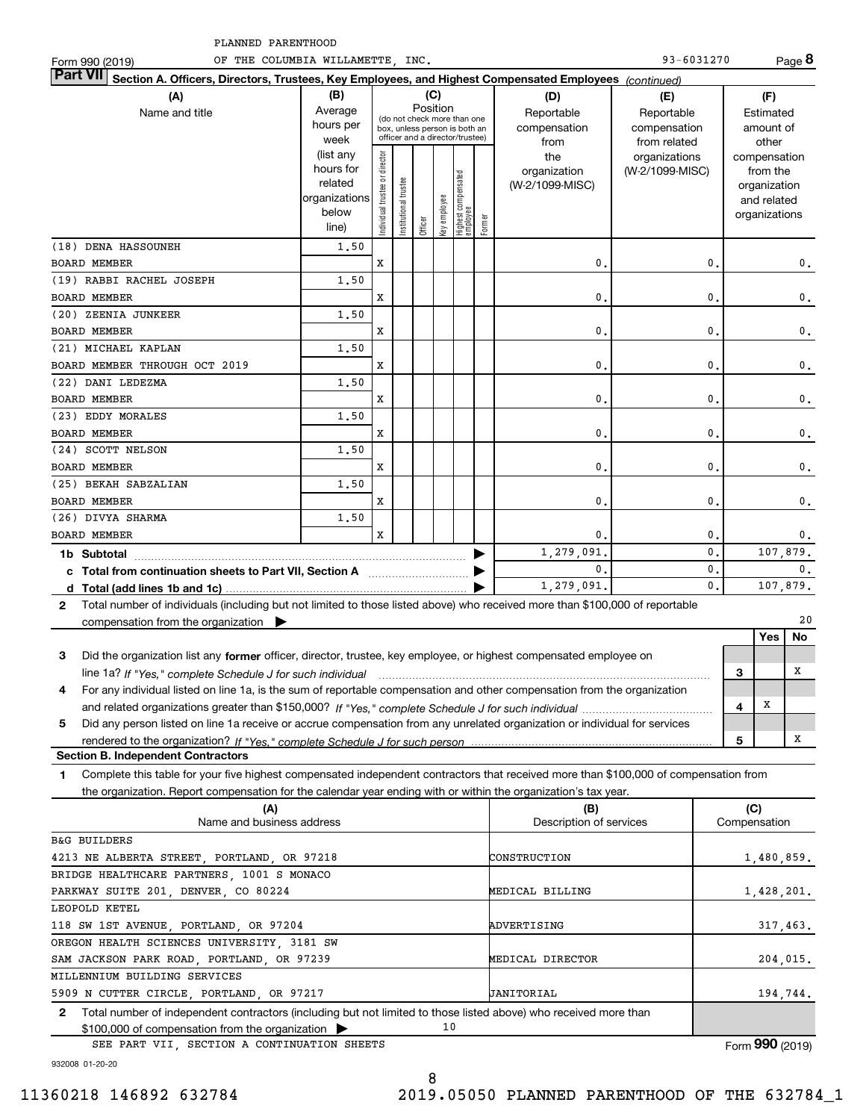| PLANNED PARENTHOOD                                                                                                                                                                                                                                           |                                                                      |                                |                       |          |              |                                                                                                 |        |                                                |                                                  |                |              |                                                                                   |                 |
|--------------------------------------------------------------------------------------------------------------------------------------------------------------------------------------------------------------------------------------------------------------|----------------------------------------------------------------------|--------------------------------|-----------------------|----------|--------------|-------------------------------------------------------------------------------------------------|--------|------------------------------------------------|--------------------------------------------------|----------------|--------------|-----------------------------------------------------------------------------------|-----------------|
| OF THE COLUMBIA WILLAMETTE, INC.<br>Form 990 (2019)                                                                                                                                                                                                          |                                                                      |                                |                       |          |              |                                                                                                 |        |                                                | 93-6031270                                       |                |              |                                                                                   | Page 8          |
| Part VII <br>Section A. Officers, Directors, Trustees, Key Employees, and Highest Compensated Employees (continued)                                                                                                                                          |                                                                      |                                |                       |          |              |                                                                                                 |        |                                                |                                                  |                |              |                                                                                   |                 |
| (A)<br>Name and title                                                                                                                                                                                                                                        | (B)<br>Average<br>hours per<br>week                                  |                                |                       | Position | (C)          | (do not check more than one<br>box, unless person is both an<br>officer and a director/trustee) |        | (D)<br>Reportable<br>compensation              | (E)<br>Reportable<br>compensation                |                |              | (F)<br>Estimated<br>amount of                                                     |                 |
|                                                                                                                                                                                                                                                              | (list any<br>hours for<br>related<br>organizations<br>below<br>line) | Individual trustee or director | Institutional trustee | Officer  | Key employee | Highest compensated<br>employee                                                                 | Former | from<br>the<br>organization<br>(W-2/1099-MISC) | from related<br>organizations<br>(W-2/1099-MISC) |                |              | other<br>compensation<br>from the<br>organization<br>and related<br>organizations |                 |
| (18) DENA HASSOUNEH                                                                                                                                                                                                                                          | 1.50                                                                 |                                |                       |          |              |                                                                                                 |        |                                                |                                                  |                |              |                                                                                   |                 |
| <b>BOARD MEMBER</b>                                                                                                                                                                                                                                          |                                                                      | X                              |                       |          |              |                                                                                                 |        | 0                                              |                                                  | $\mathbf{0}$   |              |                                                                                   | 0.              |
| (19) RABBI RACHEL JOSEPH                                                                                                                                                                                                                                     | 1.50                                                                 |                                |                       |          |              |                                                                                                 |        | 0                                              |                                                  | 0              |              |                                                                                   |                 |
| <b>BOARD MEMBER</b>                                                                                                                                                                                                                                          |                                                                      | х                              |                       |          |              |                                                                                                 |        |                                                |                                                  |                |              |                                                                                   | $\mathbf{0}$ .  |
| (20) ZEENIA JUNKEER                                                                                                                                                                                                                                          | 1.50                                                                 |                                |                       |          |              |                                                                                                 |        | 0                                              |                                                  | 0              |              |                                                                                   |                 |
| <b>BOARD MEMBER</b>                                                                                                                                                                                                                                          |                                                                      | х                              |                       |          |              |                                                                                                 |        |                                                |                                                  |                |              |                                                                                   | $\mathbf{0}$ .  |
| (21) MICHAEL KAPLAN                                                                                                                                                                                                                                          | 1.50                                                                 |                                |                       |          |              |                                                                                                 |        | $\mathbf{0}$ .                                 |                                                  | 0              |              |                                                                                   |                 |
| BOARD MEMBER THROUGH OCT 2019                                                                                                                                                                                                                                |                                                                      | х                              |                       |          |              |                                                                                                 |        |                                                |                                                  |                |              |                                                                                   | $\mathbf{0}$ .  |
| (22) DANI LEDEZMA                                                                                                                                                                                                                                            | 1.50                                                                 |                                |                       |          |              |                                                                                                 |        |                                                |                                                  |                |              |                                                                                   |                 |
| <b>BOARD MEMBER</b>                                                                                                                                                                                                                                          |                                                                      | X                              |                       |          |              |                                                                                                 |        | $\mathbf{0}$ .                                 |                                                  | 0              |              |                                                                                   | $\mathbf{0}$ .  |
| (23) EDDY MORALES                                                                                                                                                                                                                                            | 1.50                                                                 | X                              |                       |          |              |                                                                                                 |        | $\mathbf{0}$ .                                 |                                                  | 0              |              |                                                                                   |                 |
| <b>BOARD MEMBER</b><br>(24) SCOTT NELSON                                                                                                                                                                                                                     | 1.50                                                                 |                                |                       |          |              |                                                                                                 |        |                                                |                                                  |                |              |                                                                                   | $\mathbf{0}$ .  |
| <b>BOARD MEMBER</b>                                                                                                                                                                                                                                          |                                                                      | х                              |                       |          |              |                                                                                                 |        | $\mathbf{0}$ .                                 |                                                  | 0              |              |                                                                                   | $\mathbf{0}$ .  |
| (25) BEKAH SABZALIAN                                                                                                                                                                                                                                         | 1.50                                                                 |                                |                       |          |              |                                                                                                 |        |                                                |                                                  |                |              |                                                                                   |                 |
| <b>BOARD MEMBER</b>                                                                                                                                                                                                                                          |                                                                      | х                              |                       |          |              |                                                                                                 |        | 0.                                             |                                                  | 0              |              |                                                                                   | 0.              |
| (26) DIVYA SHARMA                                                                                                                                                                                                                                            | 1.50                                                                 |                                |                       |          |              |                                                                                                 |        |                                                |                                                  |                |              |                                                                                   |                 |
| <b>BOARD MEMBER</b>                                                                                                                                                                                                                                          |                                                                      | X                              |                       |          |              |                                                                                                 |        | 0                                              |                                                  | $\mathbf 0$    |              |                                                                                   | 0.              |
|                                                                                                                                                                                                                                                              |                                                                      |                                |                       |          |              |                                                                                                 |        | 1,279,091                                      |                                                  | $\mathbf{0}$ . |              |                                                                                   | 107,879.        |
| 1b Subtotal<br>$\mathbf{0}$                                                                                                                                                                                                                                  |                                                                      |                                |                       |          |              | $\mathbf{0}$                                                                                    |        |                                                | $\mathbf{0}$ .                                   |                |              |                                                                                   |                 |
| d $Total (add lines 1b and 1c)$ .                                                                                                                                                                                                                            |                                                                      |                                |                       |          |              |                                                                                                 |        | 1,279,091.                                     |                                                  | $\mathbf{0}$ . |              |                                                                                   | 107,879.        |
| Total number of individuals (including but not limited to those listed above) who received more than \$100,000 of reportable<br>$\mathbf{2}$                                                                                                                 |                                                                      |                                |                       |          |              |                                                                                                 |        |                                                |                                                  |                |              |                                                                                   |                 |
| compensation from the organization                                                                                                                                                                                                                           |                                                                      |                                |                       |          |              |                                                                                                 |        |                                                |                                                  |                |              | Yes                                                                               | 20<br>No        |
| з                                                                                                                                                                                                                                                            |                                                                      |                                |                       |          |              |                                                                                                 |        |                                                |                                                  |                |              |                                                                                   |                 |
| Did the organization list any former officer, director, trustee, key employee, or highest compensated employee on<br>line 1a? If "Yes," complete Schedule J for such individual manufactured contained and the Yes," complete Schedule J for such individual |                                                                      |                                |                       |          |              |                                                                                                 |        |                                                |                                                  |                | 3            |                                                                                   | X               |
| For any individual listed on line 1a, is the sum of reportable compensation and other compensation from the organization<br>4                                                                                                                                |                                                                      |                                |                       |          |              |                                                                                                 |        |                                                |                                                  |                |              |                                                                                   |                 |
|                                                                                                                                                                                                                                                              |                                                                      |                                |                       |          |              |                                                                                                 |        |                                                |                                                  |                | 4            | х                                                                                 |                 |
| Did any person listed on line 1a receive or accrue compensation from any unrelated organization or individual for services<br>5                                                                                                                              |                                                                      |                                |                       |          |              |                                                                                                 |        |                                                |                                                  |                |              |                                                                                   |                 |
|                                                                                                                                                                                                                                                              |                                                                      |                                |                       |          |              |                                                                                                 |        |                                                |                                                  |                | 5            |                                                                                   | Х               |
| <b>Section B. Independent Contractors</b><br>Complete this table for your five highest compensated independent contractors that received more than \$100,000 of compensation from<br>1                                                                       |                                                                      |                                |                       |          |              |                                                                                                 |        |                                                |                                                  |                |              |                                                                                   |                 |
| the organization. Report compensation for the calendar year ending with or within the organization's tax year.                                                                                                                                               |                                                                      |                                |                       |          |              |                                                                                                 |        |                                                |                                                  |                |              |                                                                                   |                 |
| (A)<br>Name and business address                                                                                                                                                                                                                             |                                                                      |                                |                       |          |              |                                                                                                 |        | (B)<br>Description of services                 |                                                  |                | Compensation | (C)                                                                               |                 |
| <b>B&amp;G BUILDERS</b>                                                                                                                                                                                                                                      |                                                                      |                                |                       |          |              |                                                                                                 |        |                                                |                                                  |                |              |                                                                                   |                 |
| 4213 NE ALBERTA STREET, PORTLAND, OR 97218                                                                                                                                                                                                                   |                                                                      |                                |                       |          |              |                                                                                                 |        | CONSTRUCTION                                   |                                                  |                |              |                                                                                   | 1,480,859.      |
| BRIDGE HEALTHCARE PARTNERS, 1001 S MONACO                                                                                                                                                                                                                    |                                                                      |                                |                       |          |              |                                                                                                 |        |                                                |                                                  |                |              |                                                                                   |                 |
| PARKWAY SUITE 201, DENVER, CO 80224                                                                                                                                                                                                                          |                                                                      |                                |                       |          |              |                                                                                                 |        | MEDICAL BILLING                                |                                                  |                |              |                                                                                   | 1,428,201.      |
| LEOPOLD KETEL                                                                                                                                                                                                                                                |                                                                      |                                |                       |          |              |                                                                                                 |        |                                                |                                                  |                |              |                                                                                   |                 |
| 118 SW 1ST AVENUE, PORTLAND, OR 97204                                                                                                                                                                                                                        |                                                                      |                                |                       |          |              |                                                                                                 |        | ADVERTISING                                    |                                                  |                |              |                                                                                   | 317,463.        |
| OREGON HEALTH SCIENCES UNIVERSITY, 3181 SW                                                                                                                                                                                                                   |                                                                      |                                |                       |          |              |                                                                                                 |        |                                                |                                                  |                |              |                                                                                   |                 |
| SAM JACKSON PARK ROAD, PORTLAND, OR 97239                                                                                                                                                                                                                    |                                                                      |                                |                       |          |              |                                                                                                 |        | MEDICAL DIRECTOR                               |                                                  |                |              |                                                                                   | 204,015.        |
| MILLENNIUM BUILDING SERVICES                                                                                                                                                                                                                                 |                                                                      |                                |                       |          |              |                                                                                                 |        |                                                |                                                  |                |              |                                                                                   |                 |
| 5909 N CUTTER CIRCLE, PORTLAND, OR 97217                                                                                                                                                                                                                     |                                                                      |                                |                       |          |              |                                                                                                 |        | JANITORIAL                                     |                                                  |                |              |                                                                                   | 194,744.        |
| Total number of independent contractors (including but not limited to those listed above) who received more than<br>$\mathbf{2}$                                                                                                                             |                                                                      |                                |                       |          |              |                                                                                                 |        |                                                |                                                  |                |              |                                                                                   |                 |
| \$100,000 of compensation from the organization                                                                                                                                                                                                              |                                                                      |                                |                       |          | 10           |                                                                                                 |        |                                                |                                                  |                |              |                                                                                   |                 |
| SEE PART VII, SECTION A CONTINUATION SHEETS                                                                                                                                                                                                                  |                                                                      |                                |                       |          |              |                                                                                                 |        |                                                |                                                  |                |              |                                                                                   | Form 990 (2019) |

932008 01-20-20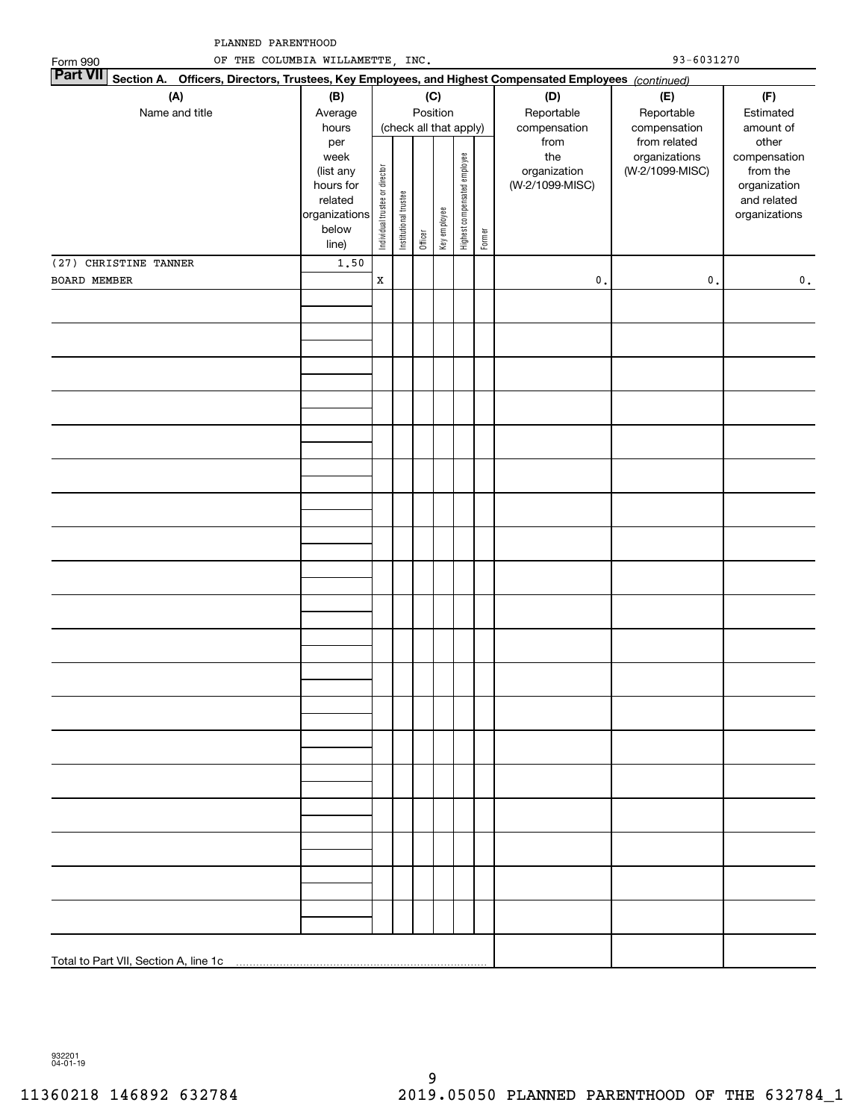| PLANNED PARENTHOOD<br>93-6031270<br>OF THE COLUMBIA WILLAMETTE, INC.                                             |                                                                                                         |                                |                                                 |         |                          |                              |        |                                                                              |                                                                                |                                                                                                             |  |
|------------------------------------------------------------------------------------------------------------------|---------------------------------------------------------------------------------------------------------|--------------------------------|-------------------------------------------------|---------|--------------------------|------------------------------|--------|------------------------------------------------------------------------------|--------------------------------------------------------------------------------|-------------------------------------------------------------------------------------------------------------|--|
| Form 990<br><b>Part VII</b>                                                                                      |                                                                                                         |                                |                                                 |         |                          |                              |        |                                                                              |                                                                                |                                                                                                             |  |
| Section A.<br>Officers, Directors, Trustees, Key Employees, and Highest Compensated Employees (continued)<br>(A) | (B)                                                                                                     |                                |                                                 |         | (C)                      |                              |        | (D)                                                                          | (E)                                                                            | (F)                                                                                                         |  |
| Name and title                                                                                                   | Average<br>hours<br>per<br>week<br>(list any<br>hours for<br>related<br>organizations<br>below<br>line) | Individual trustee or director | (check all that apply)<br>Institutional trustee | Officer | Position<br>Key employee | Highest compensated employee | Former | Reportable<br>compensation<br>from<br>the<br>organization<br>(W-2/1099-MISC) | Reportable<br>compensation<br>from related<br>organizations<br>(W-2/1099-MISC) | Estimated<br>amount of<br>other<br>compensation<br>from the<br>organization<br>and related<br>organizations |  |
| (27) CHRISTINE TANNER                                                                                            | 1.50                                                                                                    |                                |                                                 |         |                          |                              |        |                                                                              |                                                                                |                                                                                                             |  |
| BOARD MEMBER                                                                                                     |                                                                                                         | $\mathbf x$                    |                                                 |         |                          |                              |        | $\mathfrak o$ .                                                              | $\mathbf 0$ .                                                                  | $\mathbf 0$ .                                                                                               |  |
|                                                                                                                  |                                                                                                         |                                |                                                 |         |                          |                              |        |                                                                              |                                                                                |                                                                                                             |  |
|                                                                                                                  |                                                                                                         |                                |                                                 |         |                          |                              |        |                                                                              |                                                                                |                                                                                                             |  |
|                                                                                                                  |                                                                                                         |                                |                                                 |         |                          |                              |        |                                                                              |                                                                                |                                                                                                             |  |
|                                                                                                                  |                                                                                                         |                                |                                                 |         |                          |                              |        |                                                                              |                                                                                |                                                                                                             |  |
|                                                                                                                  |                                                                                                         |                                |                                                 |         |                          |                              |        |                                                                              |                                                                                |                                                                                                             |  |
|                                                                                                                  |                                                                                                         |                                |                                                 |         |                          |                              |        |                                                                              |                                                                                |                                                                                                             |  |
|                                                                                                                  |                                                                                                         |                                |                                                 |         |                          |                              |        |                                                                              |                                                                                |                                                                                                             |  |
|                                                                                                                  |                                                                                                         |                                |                                                 |         |                          |                              |        |                                                                              |                                                                                |                                                                                                             |  |
|                                                                                                                  |                                                                                                         |                                |                                                 |         |                          |                              |        |                                                                              |                                                                                |                                                                                                             |  |
|                                                                                                                  |                                                                                                         |                                |                                                 |         |                          |                              |        |                                                                              |                                                                                |                                                                                                             |  |
|                                                                                                                  |                                                                                                         |                                |                                                 |         |                          |                              |        |                                                                              |                                                                                |                                                                                                             |  |
|                                                                                                                  |                                                                                                         |                                |                                                 |         |                          |                              |        |                                                                              |                                                                                |                                                                                                             |  |
|                                                                                                                  |                                                                                                         |                                |                                                 |         |                          |                              |        |                                                                              |                                                                                |                                                                                                             |  |
|                                                                                                                  |                                                                                                         |                                |                                                 |         |                          |                              |        |                                                                              |                                                                                |                                                                                                             |  |
|                                                                                                                  |                                                                                                         |                                |                                                 |         |                          |                              |        |                                                                              |                                                                                |                                                                                                             |  |
|                                                                                                                  |                                                                                                         |                                |                                                 |         |                          |                              |        |                                                                              |                                                                                |                                                                                                             |  |

932201 04-01-19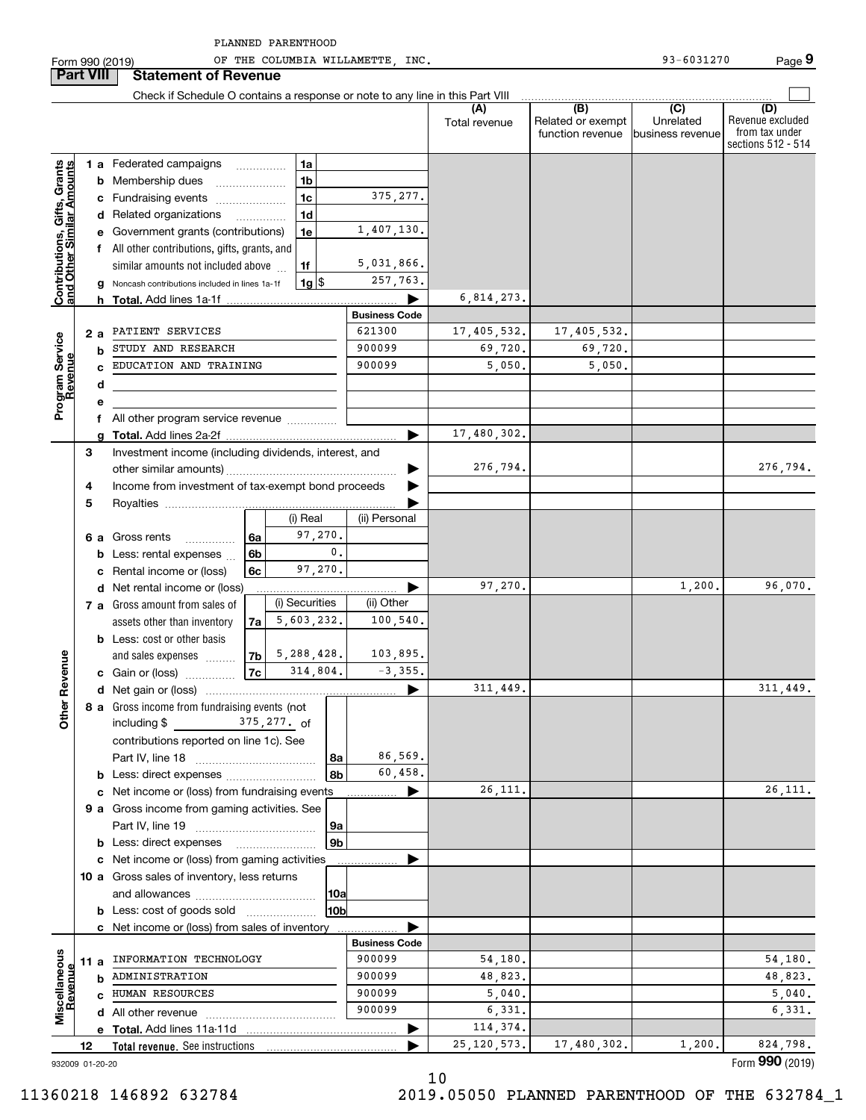| PLANNED | PARENTHOOD |
|---------|------------|
|         |            |

Form 990 (2019) Page OF THE COLUMBIA WILLAMETTE, INC. 93-6031270

|                                                           |      |    | Check if Schedule O contains a response or note to any line in this Part VIII |    |                    |                      |               |                                              |                                      |                                                                 |
|-----------------------------------------------------------|------|----|-------------------------------------------------------------------------------|----|--------------------|----------------------|---------------|----------------------------------------------|--------------------------------------|-----------------------------------------------------------------|
|                                                           |      |    |                                                                               |    |                    |                      | Total revenue | (B)<br>Related or exempt<br>function revenue | (C)<br>Unrelated<br>business revenue | (D)<br>Revenue excluded<br>from tax under<br>sections 512 - 514 |
|                                                           |      |    | <b>1 a</b> Federated campaigns                                                |    | 1a                 |                      |               |                                              |                                      |                                                                 |
| Contributions, Gifts, Grants<br>and Other Similar Amounts |      |    | <b>b</b> Membership dues                                                      |    | 1 <sub>b</sub>     |                      |               |                                              |                                      |                                                                 |
|                                                           |      |    | c Fundraising events                                                          |    | 1 <sub>c</sub>     | 375, 277.            |               |                                              |                                      |                                                                 |
|                                                           |      |    | d Related organizations                                                       |    | 1d<br>.            |                      |               |                                              |                                      |                                                                 |
|                                                           |      |    | e Government grants (contributions)                                           |    | 1e                 | 1,407,130.           |               |                                              |                                      |                                                                 |
|                                                           |      |    | f All other contributions, gifts, grants, and                                 |    |                    |                      |               |                                              |                                      |                                                                 |
|                                                           |      |    | similar amounts not included above                                            |    | 1f                 | 5,031,866.           |               |                                              |                                      |                                                                 |
|                                                           |      |    | g Noncash contributions included in lines 1a-1f                               |    | $1g$ $\frac{1}{3}$ | 257,763.             |               |                                              |                                      |                                                                 |
|                                                           |      | h. |                                                                               |    |                    |                      | 6,814,273.    |                                              |                                      |                                                                 |
|                                                           |      |    |                                                                               |    |                    | <b>Business Code</b> |               |                                              |                                      |                                                                 |
|                                                           | 2а   |    | PATIENT SERVICES                                                              |    |                    | 621300               | 17,405,532.   | 17,405,532.                                  |                                      |                                                                 |
| Program Service<br>Revenue                                |      | b  | STUDY AND RESEARCH                                                            |    |                    | 900099               | 69,720.       | 69,720.                                      |                                      |                                                                 |
|                                                           |      | c. | EDUCATION AND TRAINING                                                        |    |                    | 900099               | 5,050.        | 5,050.                                       |                                      |                                                                 |
|                                                           |      | d  |                                                                               |    |                    |                      |               |                                              |                                      |                                                                 |
|                                                           |      | е  |                                                                               |    |                    |                      |               |                                              |                                      |                                                                 |
|                                                           |      |    | f All other program service revenue                                           |    |                    |                      |               |                                              |                                      |                                                                 |
|                                                           |      |    |                                                                               |    |                    |                      | 17,480,302.   |                                              |                                      |                                                                 |
|                                                           | З    |    | Investment income (including dividends, interest, and                         |    |                    |                      |               |                                              |                                      |                                                                 |
|                                                           |      |    |                                                                               |    |                    |                      | 276,794.      |                                              |                                      | 276,794.                                                        |
|                                                           | 4    |    | Income from investment of tax-exempt bond proceeds                            |    |                    |                      |               |                                              |                                      |                                                                 |
|                                                           | 5    |    |                                                                               |    |                    |                      |               |                                              |                                      |                                                                 |
|                                                           |      |    |                                                                               |    | (i) Real           | (ii) Personal        |               |                                              |                                      |                                                                 |
|                                                           |      |    | 6 a Gross rents<br>.                                                          | 6a | 97,270.            |                      |               |                                              |                                      |                                                                 |
|                                                           |      |    | <b>b</b> Less: rental expenses                                                | 6b | 0.                 |                      |               |                                              |                                      |                                                                 |
|                                                           |      |    | c Rental income or (loss)                                                     | 6c | 97,270.            |                      |               |                                              |                                      |                                                                 |
|                                                           |      |    | d Net rental income or (loss)                                                 |    |                    |                      | 97,270.       |                                              | 1,200.                               | 96,070.                                                         |
|                                                           |      |    | 7 a Gross amount from sales of                                                |    | (i) Securities     | (ii) Other           |               |                                              |                                      |                                                                 |
|                                                           |      |    | assets other than inventory                                                   | 7a | 5,603,232.         | 100, 540.            |               |                                              |                                      |                                                                 |
|                                                           |      |    | <b>b</b> Less: cost or other basis                                            |    |                    |                      |               |                                              |                                      |                                                                 |
| ther Revenue                                              |      |    | and sales expenses                                                            | 7b | 5,288,428.         | 103,895.             |               |                                              |                                      |                                                                 |
|                                                           |      |    | <b>c</b> Gain or (loss) $\ldots$                                              | 7c | 314,804.           | $-3, 355.$           |               |                                              |                                      |                                                                 |
|                                                           |      |    |                                                                               |    |                    | 311,449.             |               |                                              | 311,449.                             |                                                                 |
|                                                           |      |    | 8 a Gross income from fundraising events (not                                 |    |                    |                      |               |                                              |                                      |                                                                 |
| o                                                         |      |    | including $$375,277.$ of                                                      |    |                    |                      |               |                                              |                                      |                                                                 |
|                                                           |      |    | contributions reported on line 1c). See                                       |    |                    | 86,569.              |               |                                              |                                      |                                                                 |
|                                                           |      |    |                                                                               |    | 8а<br>8b           | 60,458.              |               |                                              |                                      |                                                                 |
|                                                           |      |    | c Net income or (loss) from fundraising events                                |    |                    | ▶                    | 26, 111.      |                                              |                                      | 26, 111.                                                        |
|                                                           |      |    | 9 a Gross income from gaming activities. See                                  |    |                    |                      |               |                                              |                                      |                                                                 |
|                                                           |      |    |                                                                               |    | 9а                 |                      |               |                                              |                                      |                                                                 |
|                                                           |      |    | <b>b</b> Less: direct expenses                                                |    | 9 <sub>b</sub>     |                      |               |                                              |                                      |                                                                 |
|                                                           |      |    | c Net income or (loss) from gaming activities                                 |    |                    |                      |               |                                              |                                      |                                                                 |
|                                                           |      |    | 10 a Gross sales of inventory, less returns                                   |    |                    |                      |               |                                              |                                      |                                                                 |
|                                                           |      |    |                                                                               |    | 10a                |                      |               |                                              |                                      |                                                                 |
|                                                           |      |    | <b>b</b> Less: cost of goods sold                                             |    | 10b                |                      |               |                                              |                                      |                                                                 |
|                                                           |      |    | c Net income or (loss) from sales of inventory                                |    |                    |                      |               |                                              |                                      |                                                                 |
|                                                           |      |    |                                                                               |    |                    | <b>Business Code</b> |               |                                              |                                      |                                                                 |
| Miscellaneous<br>Revenue                                  | 11 a |    | INFORMATION TECHNOLOGY                                                        |    |                    | 900099               | 54,180.       |                                              |                                      | 54,180.                                                         |
|                                                           |      |    | <b>b</b> ADMINISTRATION                                                       |    |                    | 900099               | 48,823.       |                                              |                                      | 48,823.                                                         |
|                                                           |      |    | <b>c</b> HUMAN RESOURCES                                                      |    |                    | 900099               | 5,040.        |                                              |                                      | 5,040.                                                          |
|                                                           |      |    | <b>d</b> All other revenue                                                    |    |                    | 900099               | 6,331.        |                                              |                                      | 6,331.                                                          |
|                                                           |      |    | e Total. Add lines 11a-11d                                                    |    |                    | ▶                    | 114,374.      |                                              |                                      |                                                                 |
|                                                           | 12   |    | Total revenue. See instructions                                               |    |                    |                      | 25, 120, 573. | 17,480,302.                                  | 1,200.                               | 824,798.<br>Form 990 (2019)                                     |
| 932009 01-20-20                                           |      |    |                                                                               |    |                    |                      |               |                                              |                                      |                                                                 |

10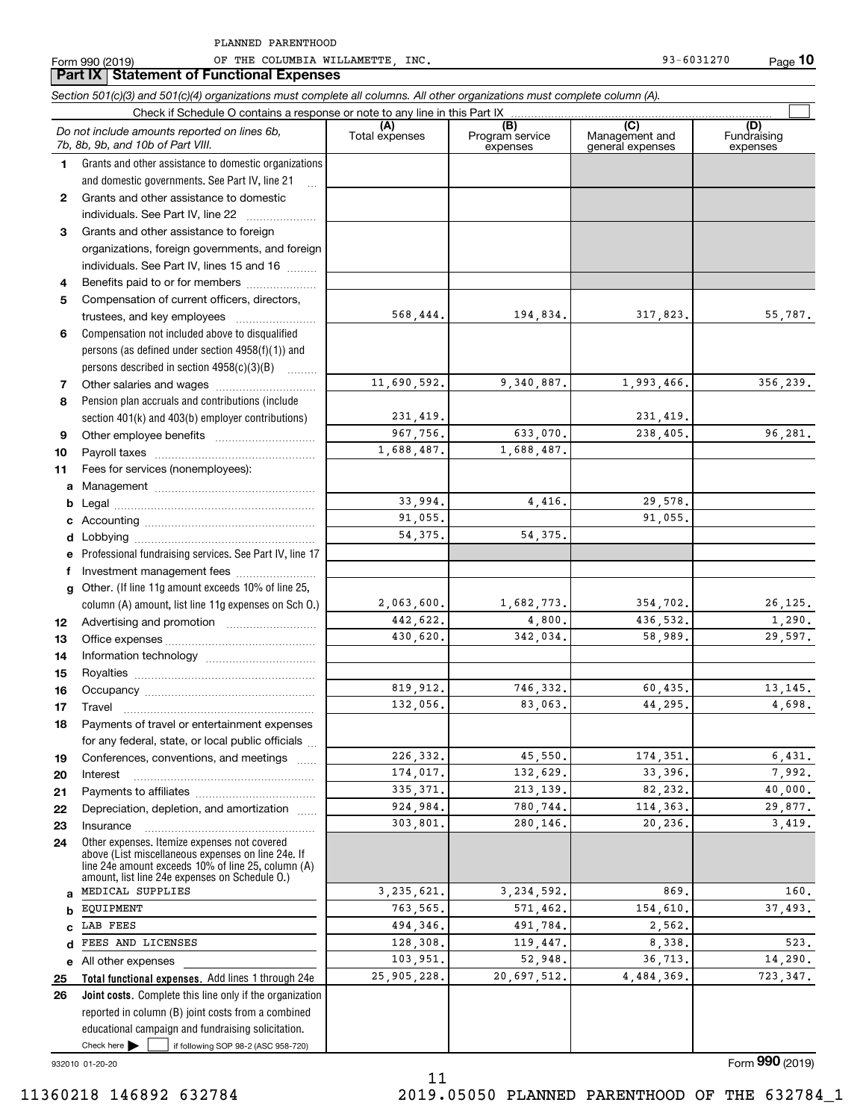Form 990 (2019) Page OF THE COLUMBIA WILLAMETTE, INC. 93-6031270

|          | <b>Part IX Statement of Functional Expenses</b>                                                                                                                                                            |                |                                    |                                                      |                                |
|----------|------------------------------------------------------------------------------------------------------------------------------------------------------------------------------------------------------------|----------------|------------------------------------|------------------------------------------------------|--------------------------------|
|          | Section 501(c)(3) and 501(c)(4) organizations must complete all columns. All other organizations must complete column (A).                                                                                 |                |                                    |                                                      |                                |
|          | Check if Schedule O contains a response or note to any line in this Part IX                                                                                                                                |                |                                    |                                                      |                                |
|          | Do not include amounts reported on lines 6b,<br>7b, 8b, 9b, and 10b of Part VIII.                                                                                                                          | Total expenses | (B)<br>Program service<br>expenses | $\overline{C}$<br>Management and<br>general expenses | (D)<br>Fundraising<br>expenses |
| 1.       | Grants and other assistance to domestic organizations                                                                                                                                                      |                |                                    |                                                      |                                |
|          | and domestic governments. See Part IV, line 21<br>$\ddotsc$                                                                                                                                                |                |                                    |                                                      |                                |
| 2        | Grants and other assistance to domestic                                                                                                                                                                    |                |                                    |                                                      |                                |
|          | individuals. See Part IV, line 22                                                                                                                                                                          |                |                                    |                                                      |                                |
| 3        | Grants and other assistance to foreign                                                                                                                                                                     |                |                                    |                                                      |                                |
|          | organizations, foreign governments, and foreign                                                                                                                                                            |                |                                    |                                                      |                                |
|          | individuals. See Part IV, lines 15 and 16                                                                                                                                                                  |                |                                    |                                                      |                                |
| 4        | Benefits paid to or for members                                                                                                                                                                            |                |                                    |                                                      |                                |
| 5        | Compensation of current officers, directors,                                                                                                                                                               |                |                                    |                                                      |                                |
|          | trustees, and key employees                                                                                                                                                                                | 568,444.       | 194,834.                           | 317,823.                                             | 55,787.                        |
| 6        | Compensation not included above to disqualified                                                                                                                                                            |                |                                    |                                                      |                                |
|          | persons (as defined under section 4958(f)(1)) and                                                                                                                                                          |                |                                    |                                                      |                                |
|          | persons described in section 4958(c)(3)(B)                                                                                                                                                                 |                |                                    |                                                      |                                |
| 7        | Other salaries and wages                                                                                                                                                                                   | 11,690,592.    | 9,340,887.                         | 1,993,466.                                           | 356,239.                       |
| 8        | Pension plan accruals and contributions (include                                                                                                                                                           |                |                                    |                                                      |                                |
|          | section 401(k) and 403(b) employer contributions)                                                                                                                                                          | 231,419.       |                                    | 231,419.                                             |                                |
| 9        |                                                                                                                                                                                                            | 967,756.       | 633,070.                           | 238,405.                                             | 96,281.                        |
| 10       |                                                                                                                                                                                                            | 1,688,487.     | 1,688,487.                         |                                                      |                                |
| 11       | Fees for services (nonemployees):                                                                                                                                                                          |                |                                    |                                                      |                                |
| a        |                                                                                                                                                                                                            |                |                                    |                                                      |                                |
| b        |                                                                                                                                                                                                            | 33,994.        | 4,416.                             | 29,578.                                              |                                |
| c        |                                                                                                                                                                                                            | 91,055.        |                                    | 91,055.                                              |                                |
| d        |                                                                                                                                                                                                            | 54, 375.       | 54, 375.                           |                                                      |                                |
|          | Professional fundraising services. See Part IV, line 17                                                                                                                                                    |                |                                    |                                                      |                                |
| f        | Investment management fees                                                                                                                                                                                 |                |                                    |                                                      |                                |
| a        | Other. (If line 11g amount exceeds 10% of line 25,                                                                                                                                                         | 2,063,600.     | 1,682,773.                         | 354,702.                                             | 26, 125.                       |
|          | column (A) amount, list line 11g expenses on Sch O.)                                                                                                                                                       | 442,622.       | 4,800.                             | 436,532.                                             | 1,290.                         |
| 12       |                                                                                                                                                                                                            | 430,620.       | 342,034.                           | 58.989.                                              | 29,597.                        |
| 13       |                                                                                                                                                                                                            |                |                                    |                                                      |                                |
| 14       |                                                                                                                                                                                                            |                |                                    |                                                      |                                |
| 15       |                                                                                                                                                                                                            | 819,912.       | 746,332.                           | 60,435.                                              | 13, 145.                       |
| 16       |                                                                                                                                                                                                            | 132,056.       | 83,063.                            | 44,295.                                              | 4,698.                         |
| 17<br>18 | <b>I</b> ravel<br>Payments of travel or entertainment expenses                                                                                                                                             |                |                                    |                                                      |                                |
|          | for any federal, state, or local public officials                                                                                                                                                          |                |                                    |                                                      |                                |
| 19       | Conferences, conventions, and meetings                                                                                                                                                                     | 226,332.       | 45,550.                            | 174, 351.                                            | 6,431.                         |
| 20       | Interest                                                                                                                                                                                                   | 174,017.       | 132,629.                           | 33,396.                                              | 7,992.                         |
| 21       |                                                                                                                                                                                                            | 335, 371.      | 213, 139.                          | 82,232.                                              | 40,000.                        |
| 22       | Depreciation, depletion, and amortization                                                                                                                                                                  | 924,984.       | 780,744.                           | 114, 363.                                            | 29,877.                        |
| 23       | Insurance                                                                                                                                                                                                  | 303,801.       | 280,146.                           | 20.236.                                              | 3.419.                         |
| 24       | Other expenses. Itemize expenses not covered<br>above (List miscellaneous expenses on line 24e. If<br>line 24e amount exceeds 10% of line 25, column (A)<br>amount, list line 24e expenses on Schedule O.) |                |                                    |                                                      |                                |
| a        | MEDICAL SUPPLIES                                                                                                                                                                                           | 3, 235, 621.   | 3, 234, 592.                       | 869.                                                 | 160.                           |
| b        | EQUIPMENT                                                                                                                                                                                                  | 763,565.       | 571,462.                           | 154,610.                                             | 37,493.                        |
| C        | LAB FEES                                                                                                                                                                                                   | 494,346.       | 491,784.                           | 2,562.                                               |                                |
| d        | FEES AND LICENSES                                                                                                                                                                                          | 128,308.       | 119,447.                           | 8,338.                                               | 523.                           |
| е        | All other expenses                                                                                                                                                                                         | 103,951.       | 52,948.                            | 36,713.                                              | 14,290.                        |
| 25       | Total functional expenses. Add lines 1 through 24e                                                                                                                                                         | 25,905,228.    | 20,697,512.                        | 4,484,369.                                           | 723, 347.                      |
| 26       | Joint costs. Complete this line only if the organization                                                                                                                                                   |                |                                    |                                                      |                                |
|          | reported in column (B) joint costs from a combined                                                                                                                                                         |                |                                    |                                                      |                                |
|          | educational campaign and fundraising solicitation.                                                                                                                                                         |                |                                    |                                                      |                                |

11

932010 01-20-20

Form (2019) **990**

**10**

Check here  $\blacktriangleright$ 

Check here  $\bullet$  if following SOP 98-2 (ASC 958-720)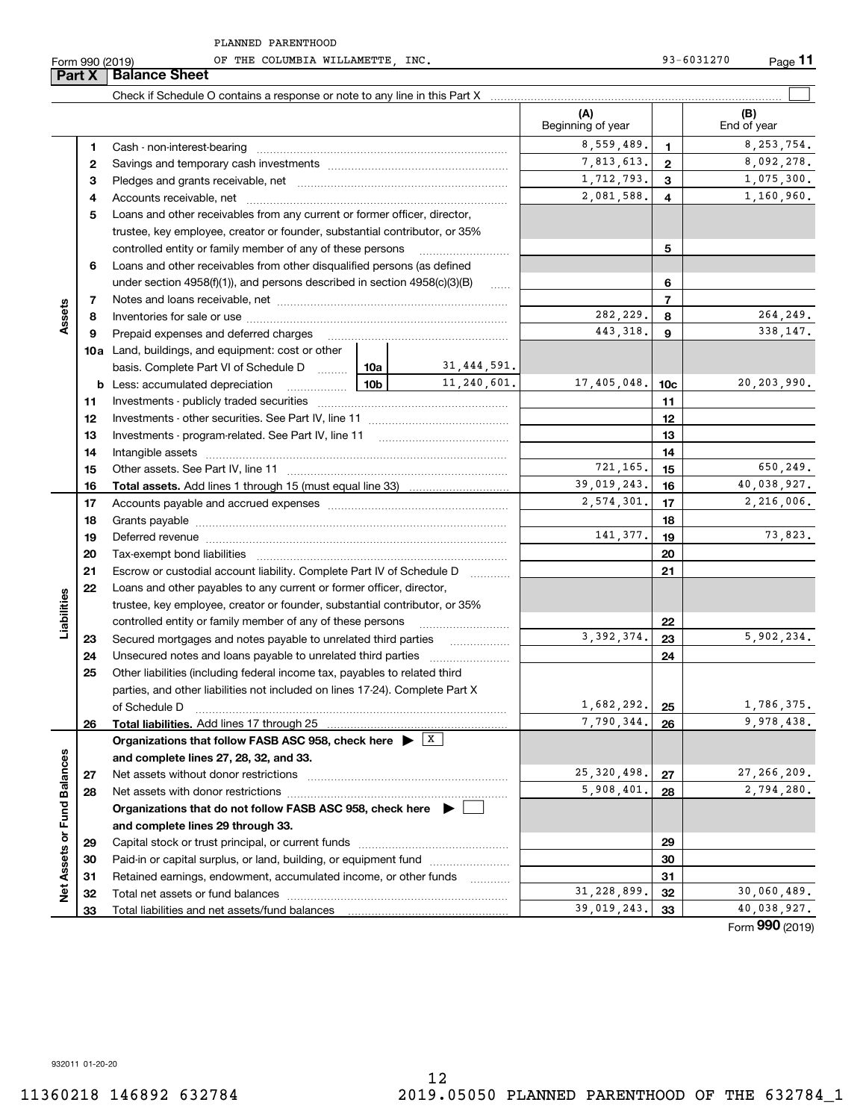|                             | Form 990 (2019) | OF THE COLUMBIA WILLAMETTE  INC.                                                                                                                                                                                               |                 |                     |                              |                          | 93-6031270<br><u>Page</u> 11 |
|-----------------------------|-----------------|--------------------------------------------------------------------------------------------------------------------------------------------------------------------------------------------------------------------------------|-----------------|---------------------|------------------------------|--------------------------|------------------------------|
|                             | Part X          | <b>Balance Sheet</b>                                                                                                                                                                                                           |                 |                     |                              |                          |                              |
|                             |                 | Check if Schedule O contains a response or note to any line in this Part X [11] manumerodic manumerodic contains manumerodic contains are contained in the containt of the contains of the contains of the contains of the con |                 |                     |                              |                          |                              |
|                             |                 |                                                                                                                                                                                                                                |                 |                     | (A)<br>Beginning of year     |                          | (B)<br>End of year           |
|                             | 1.              |                                                                                                                                                                                                                                |                 |                     | 8,559,489.                   | $\mathbf{1}$             | 8, 253, 754.                 |
|                             | 2               |                                                                                                                                                                                                                                | 7,813,613.      | $\mathbf{2}$        | 8,092,278.                   |                          |                              |
|                             | з               |                                                                                                                                                                                                                                | 1,712,793.      | 3                   | 1,075,300.                   |                          |                              |
|                             | 4               |                                                                                                                                                                                                                                | 2,081,588.      | 4                   | 1,160,960.                   |                          |                              |
|                             | 5               | Loans and other receivables from any current or former officer, director,                                                                                                                                                      |                 |                     |                              |                          |                              |
|                             |                 | trustee, key employee, creator or founder, substantial contributor, or 35%                                                                                                                                                     |                 |                     |                              |                          |                              |
|                             |                 | controlled entity or family member of any of these persons                                                                                                                                                                     |                 |                     |                              | 5                        |                              |
|                             | 6               | Loans and other receivables from other disqualified persons (as defined                                                                                                                                                        |                 |                     |                              |                          |                              |
|                             |                 | under section $4958(f)(1)$ , and persons described in section $4958(c)(3)(B)$                                                                                                                                                  |                 | $\ldots$            |                              | 6                        |                              |
|                             | 7               |                                                                                                                                                                                                                                |                 |                     |                              | $\overline{\phantom{a}}$ |                              |
| Assets                      | 8               |                                                                                                                                                                                                                                |                 |                     | 282,229.                     | 8                        | 264,249.                     |
|                             | 9               | Prepaid expenses and deferred charges                                                                                                                                                                                          |                 |                     | 443, 318.                    | 9                        | 338, 147.                    |
|                             |                 | <b>10a</b> Land, buildings, and equipment: cost or other                                                                                                                                                                       |                 |                     |                              |                          |                              |
|                             |                 | basis. Complete Part VI of Schedule D    10a   31,444,591.                                                                                                                                                                     |                 |                     |                              |                          |                              |
|                             |                 | <b>b</b> Less: accumulated depreciation                                                                                                                                                                                        | 10 <sub>b</sub> | 11,240,601.         | 17,405,048.                  | 10c                      | 20,203,990.                  |
|                             | 11              |                                                                                                                                                                                                                                |                 |                     |                              | 11                       |                              |
|                             | 12              |                                                                                                                                                                                                                                |                 |                     | 12                           |                          |                              |
|                             | 13              |                                                                                                                                                                                                                                |                 | 13                  |                              |                          |                              |
|                             | 14              |                                                                                                                                                                                                                                |                 | 14                  |                              |                          |                              |
|                             | 15              |                                                                                                                                                                                                                                | 721,165.        | 15                  | 650,249.                     |                          |                              |
|                             | 16              |                                                                                                                                                                                                                                |                 |                     | 39,019,243.                  | 16                       | 40,038,927.                  |
|                             | 17              |                                                                                                                                                                                                                                |                 |                     | 2,574,301.                   | 17                       | 2,216,006.                   |
|                             | 18              |                                                                                                                                                                                                                                |                 |                     |                              | 18                       |                              |
|                             | 19              | Deferred revenue manual contracts and contracts are contracted and contract and contract are contracted and contract are contracted and contract are contracted and contract are contracted and contract are contracted and co |                 |                     | 141,377.                     | 19                       | 73,823.                      |
|                             | 20              | Tax-exempt bond liabilities                                                                                                                                                                                                    |                 |                     |                              | 20                       |                              |
|                             | 21              | Escrow or custodial account liability. Complete Part IV of Schedule D                                                                                                                                                          |                 |                     |                              | 21                       |                              |
|                             | 22              | Loans and other payables to any current or former officer, director,                                                                                                                                                           |                 |                     |                              |                          |                              |
| Liabilities                 |                 | trustee, key employee, creator or founder, substantial contributor, or 35%                                                                                                                                                     |                 |                     |                              |                          |                              |
|                             |                 | controlled entity or family member of any of these persons                                                                                                                                                                     |                 |                     |                              | 22                       |                              |
|                             | 23              |                                                                                                                                                                                                                                |                 |                     | 3, 392, 374.                 | 23                       | 5,902,234.                   |
|                             | 24              |                                                                                                                                                                                                                                |                 |                     |                              | 24                       |                              |
|                             | 25              | Other liabilities (including federal income tax, payables to related third                                                                                                                                                     |                 |                     |                              |                          |                              |
|                             |                 | parties, and other liabilities not included on lines 17-24). Complete Part X                                                                                                                                                   |                 |                     |                              |                          |                              |
|                             |                 | of Schedule D                                                                                                                                                                                                                  |                 |                     | 1,682,292.                   | 25                       | 1,786,375.                   |
|                             | 26              | Total liabilities. Add lines 17 through 25                                                                                                                                                                                     |                 |                     | 7,790,344.                   | 26                       | 9,978,438.                   |
|                             |                 | Organizations that follow FASB ASC 958, check here $\blacktriangleright$ $\lfloor x \rfloor$                                                                                                                                   |                 |                     |                              |                          |                              |
| Net Assets or Fund Balances |                 | and complete lines 27, 28, 32, and 33.                                                                                                                                                                                         |                 |                     |                              |                          |                              |
|                             | 27              | Net assets without donor restrictions                                                                                                                                                                                          |                 |                     | 25, 320, 498.                | 27                       | 27, 266, 209.                |
|                             | 28              |                                                                                                                                                                                                                                |                 |                     | 5,908,401.                   | 28                       | 2,794,280.                   |
|                             |                 | Organizations that do not follow FASB ASC 958, check here $\blacktriangleright$                                                                                                                                                |                 |                     |                              |                          |                              |
|                             |                 | and complete lines 29 through 33.                                                                                                                                                                                              |                 |                     |                              |                          |                              |
|                             | 29              |                                                                                                                                                                                                                                |                 |                     |                              | 29                       |                              |
|                             | 30              | Paid-in or capital surplus, or land, building, or equipment fund                                                                                                                                                               |                 |                     |                              | 30                       |                              |
|                             | 31              | Retained earnings, endowment, accumulated income, or other funds                                                                                                                                                               |                 | 1.1.1.1.1.1.1.1.1.1 |                              | 31                       |                              |
|                             | 32              |                                                                                                                                                                                                                                |                 |                     | 31, 228, 899.<br>39,019,243. | 32                       | 30,060,489.<br>40,038,927.   |
|                             | 33              |                                                                                                                                                                                                                                |                 |                     |                              | 33                       |                              |

Form (2019) **990**

932011 01-20-20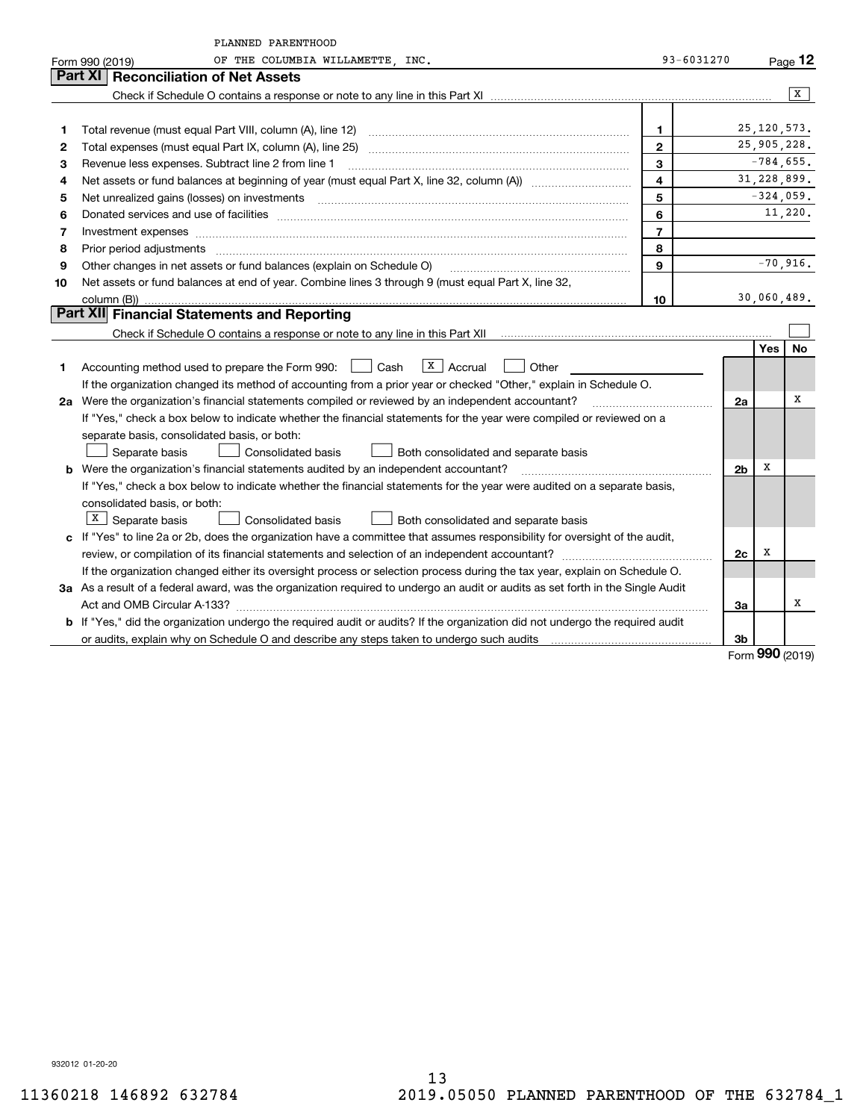|    | PLANNED PARENTHOOD                                                                                                                                                                                                             |                         |                |            |                |
|----|--------------------------------------------------------------------------------------------------------------------------------------------------------------------------------------------------------------------------------|-------------------------|----------------|------------|----------------|
|    | OF THE COLUMBIA WILLAMETTE, INC.<br>Form 990 (2019)                                                                                                                                                                            | 93-6031270              |                |            | Page 12        |
|    | Part XI<br><b>Reconciliation of Net Assets</b>                                                                                                                                                                                 |                         |                |            |                |
|    |                                                                                                                                                                                                                                |                         |                |            | $\overline{X}$ |
|    |                                                                                                                                                                                                                                |                         |                |            |                |
| 1  |                                                                                                                                                                                                                                | $\mathbf 1$             |                |            | 25, 120, 573.  |
| 2  |                                                                                                                                                                                                                                | $\overline{2}$          |                |            | 25,905,228.    |
| 3  | Revenue less expenses. Subtract line 2 from line 1                                                                                                                                                                             | 3                       |                |            | $-784,655.$    |
| 4  |                                                                                                                                                                                                                                | $\overline{\mathbf{4}}$ |                |            | 31, 228, 899.  |
| 5  | Net unrealized gains (losses) on investments [11] matter contracts and the state of the state of the state of the state of the state of the state of the state of the state of the state of the state of the state of the stat | 5                       |                |            | $-324,059.$    |
| 6  |                                                                                                                                                                                                                                | 6                       |                |            | 11,220.        |
| 7  | Investment expenses www.communication.com/www.communication.com/www.communication.com/www.communication.com                                                                                                                    | $\overline{7}$          |                |            |                |
| 8  | Prior period adjustments                                                                                                                                                                                                       | 8                       |                |            |                |
| 9  | Other changes in net assets or fund balances (explain on Schedule O)                                                                                                                                                           | $\mathbf{9}$            |                |            | $-70,916.$     |
| 10 | Net assets or fund balances at end of year. Combine lines 3 through 9 (must equal Part X, line 32,                                                                                                                             |                         |                |            |                |
|    | column (B))                                                                                                                                                                                                                    | 10                      |                |            | 30,060,489.    |
|    | Part XII Financial Statements and Reporting                                                                                                                                                                                    |                         |                |            |                |
|    |                                                                                                                                                                                                                                |                         |                |            |                |
|    |                                                                                                                                                                                                                                |                         |                | <b>Yes</b> | No             |
| 1  | $\sqrt{\frac{X}{X}}$ Accrual<br>Accounting method used to prepare the Form 990: <u>II</u> Cash<br>Other                                                                                                                        |                         |                |            |                |
|    | If the organization changed its method of accounting from a prior year or checked "Other," explain in Schedule O.                                                                                                              |                         |                |            |                |
|    | 2a Were the organization's financial statements compiled or reviewed by an independent accountant?                                                                                                                             |                         | 2a             |            | х              |
|    | If "Yes," check a box below to indicate whether the financial statements for the year were compiled or reviewed on a                                                                                                           |                         |                |            |                |
|    | separate basis, consolidated basis, or both:                                                                                                                                                                                   |                         |                |            |                |
|    | Separate basis<br>Consolidated basis<br>Both consolidated and separate basis                                                                                                                                                   |                         |                |            |                |
|    | <b>b</b> Were the organization's financial statements audited by an independent accountant?                                                                                                                                    |                         | 2 <sub>b</sub> | х          |                |
|    | If "Yes," check a box below to indicate whether the financial statements for the year were audited on a separate basis,                                                                                                        |                         |                |            |                |
|    | consolidated basis, or both:                                                                                                                                                                                                   |                         |                |            |                |
|    | $X$ Separate basis<br>Consolidated basis<br>Both consolidated and separate basis                                                                                                                                               |                         |                |            |                |
|    | c If "Yes" to line 2a or 2b, does the organization have a committee that assumes responsibility for oversight of the audit,                                                                                                    |                         |                |            |                |
|    |                                                                                                                                                                                                                                |                         | 2c             | х          |                |
|    | If the organization changed either its oversight process or selection process during the tax year, explain on Schedule O.                                                                                                      |                         |                |            |                |
|    | 3a As a result of a federal award, was the organization required to undergo an audit or audits as set forth in the Single Audit                                                                                                |                         |                |            |                |
|    |                                                                                                                                                                                                                                |                         | За             |            | х              |
|    | <b>b</b> If "Yes," did the organization undergo the required audit or audits? If the organization did not undergo the required audit                                                                                           |                         |                |            |                |
|    |                                                                                                                                                                                                                                |                         | 3b             |            |                |

Form (2019) **990**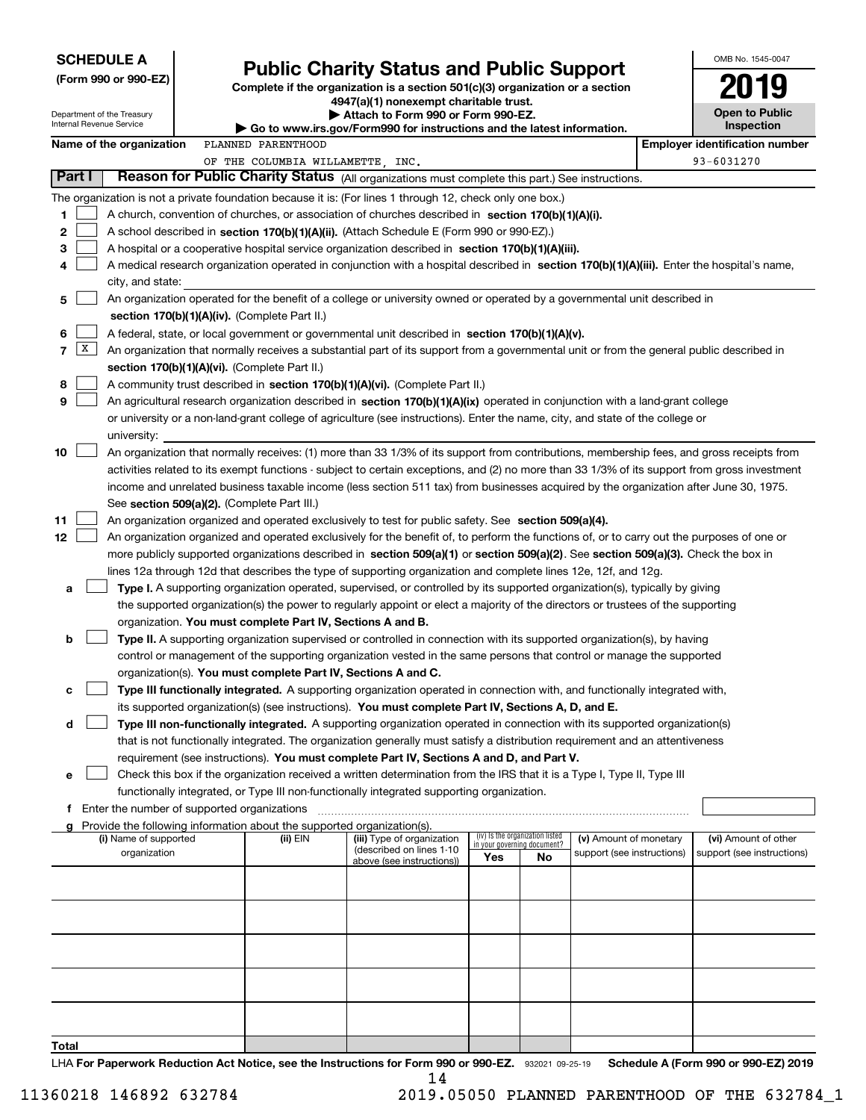|  |  |  |  | <b>SCHEDULE A</b> |
|--|--|--|--|-------------------|
|  |  |  |  |                   |

Department of the Treasury

|  |  |  | (Form 990 or 990-EZ) |  |
|--|--|--|----------------------|--|
|--|--|--|----------------------|--|

### **Public Charity Status and Public Support**

**Complete if the organization is a section 501(c)(3) organization or a section 4947(a)(1) nonexempt charitable trust.**

**| Attach to Form 990 or Form 990-EZ.** 

**| Go to www.irs.gov/Form990 for instructions and the latest information.**

| OMB No 1545-0047                    |
|-------------------------------------|
| 2019                                |
| <b>Open to Public</b><br>Inspection |

Internal Revenue Service

|                 |                                                                                                                                               | Name of the organization | PLANNED PARENTHOOD                                                                                                                            |                            |                                 |    |                            |  | <b>Employer identification number</b> |  |  |  |  |
|-----------------|-----------------------------------------------------------------------------------------------------------------------------------------------|--------------------------|-----------------------------------------------------------------------------------------------------------------------------------------------|----------------------------|---------------------------------|----|----------------------------|--|---------------------------------------|--|--|--|--|
|                 |                                                                                                                                               |                          | OF THE COLUMBIA WILLAMETTE, INC.                                                                                                              |                            |                                 |    |                            |  | 93-6031270                            |  |  |  |  |
|                 | Part I                                                                                                                                        |                          | Reason for Public Charity Status (All organizations must complete this part.) See instructions.                                               |                            |                                 |    |                            |  |                                       |  |  |  |  |
|                 |                                                                                                                                               |                          | The organization is not a private foundation because it is: (For lines 1 through 12, check only one box.)                                     |                            |                                 |    |                            |  |                                       |  |  |  |  |
| 1.              |                                                                                                                                               |                          | A church, convention of churches, or association of churches described in section 170(b)(1)(A)(i).                                            |                            |                                 |    |                            |  |                                       |  |  |  |  |
| 2               |                                                                                                                                               |                          | A school described in section 170(b)(1)(A)(ii). (Attach Schedule E (Form 990 or 990-EZ).)                                                     |                            |                                 |    |                            |  |                                       |  |  |  |  |
| 3               |                                                                                                                                               |                          | A hospital or a cooperative hospital service organization described in section 170(b)(1)(A)(iii).                                             |                            |                                 |    |                            |  |                                       |  |  |  |  |
| 4               |                                                                                                                                               |                          | A medical research organization operated in conjunction with a hospital described in section 170(b)(1)(A)(iii). Enter the hospital's name,    |                            |                                 |    |                            |  |                                       |  |  |  |  |
|                 |                                                                                                                                               |                          |                                                                                                                                               |                            |                                 |    |                            |  |                                       |  |  |  |  |
|                 | city, and state:<br>An organization operated for the benefit of a college or university owned or operated by a governmental unit described in |                          |                                                                                                                                               |                            |                                 |    |                            |  |                                       |  |  |  |  |
| 5.              |                                                                                                                                               |                          |                                                                                                                                               |                            |                                 |    |                            |  |                                       |  |  |  |  |
|                 |                                                                                                                                               |                          | section 170(b)(1)(A)(iv). (Complete Part II.)                                                                                                 |                            |                                 |    |                            |  |                                       |  |  |  |  |
| 6.              |                                                                                                                                               |                          | A federal, state, or local government or governmental unit described in section 170(b)(1)(A)(v).                                              |                            |                                 |    |                            |  |                                       |  |  |  |  |
|                 | 7   X                                                                                                                                         |                          | An organization that normally receives a substantial part of its support from a governmental unit or from the general public described in     |                            |                                 |    |                            |  |                                       |  |  |  |  |
|                 |                                                                                                                                               |                          | section 170(b)(1)(A)(vi). (Complete Part II.)                                                                                                 |                            |                                 |    |                            |  |                                       |  |  |  |  |
| 8               |                                                                                                                                               |                          | A community trust described in section 170(b)(1)(A)(vi). (Complete Part II.)                                                                  |                            |                                 |    |                            |  |                                       |  |  |  |  |
| 9               |                                                                                                                                               |                          | An agricultural research organization described in section 170(b)(1)(A)(ix) operated in conjunction with a land-grant college                 |                            |                                 |    |                            |  |                                       |  |  |  |  |
|                 |                                                                                                                                               |                          | or university or a non-land-grant college of agriculture (see instructions). Enter the name, city, and state of the college or                |                            |                                 |    |                            |  |                                       |  |  |  |  |
|                 |                                                                                                                                               | university:              |                                                                                                                                               |                            |                                 |    |                            |  |                                       |  |  |  |  |
| 10              |                                                                                                                                               |                          | An organization that normally receives: (1) more than 33 1/3% of its support from contributions, membership fees, and gross receipts from     |                            |                                 |    |                            |  |                                       |  |  |  |  |
|                 |                                                                                                                                               |                          | activities related to its exempt functions - subject to certain exceptions, and (2) no more than 33 1/3% of its support from gross investment |                            |                                 |    |                            |  |                                       |  |  |  |  |
|                 |                                                                                                                                               |                          | income and unrelated business taxable income (less section 511 tax) from businesses acquired by the organization after June 30, 1975.         |                            |                                 |    |                            |  |                                       |  |  |  |  |
|                 |                                                                                                                                               |                          | See section 509(a)(2). (Complete Part III.)                                                                                                   |                            |                                 |    |                            |  |                                       |  |  |  |  |
| 11              |                                                                                                                                               |                          | An organization organized and operated exclusively to test for public safety. See section 509(a)(4).                                          |                            |                                 |    |                            |  |                                       |  |  |  |  |
| 12 <sub>2</sub> |                                                                                                                                               |                          | An organization organized and operated exclusively for the benefit of, to perform the functions of, or to carry out the purposes of one or    |                            |                                 |    |                            |  |                                       |  |  |  |  |
|                 |                                                                                                                                               |                          | more publicly supported organizations described in section 509(a)(1) or section 509(a)(2). See section 509(a)(3). Check the box in            |                            |                                 |    |                            |  |                                       |  |  |  |  |
|                 |                                                                                                                                               |                          | lines 12a through 12d that describes the type of supporting organization and complete lines 12e, 12f, and 12g.                                |                            |                                 |    |                            |  |                                       |  |  |  |  |
| а               |                                                                                                                                               |                          | Type I. A supporting organization operated, supervised, or controlled by its supported organization(s), typically by giving                   |                            |                                 |    |                            |  |                                       |  |  |  |  |
|                 |                                                                                                                                               |                          | the supported organization(s) the power to regularly appoint or elect a majority of the directors or trustees of the supporting               |                            |                                 |    |                            |  |                                       |  |  |  |  |
|                 |                                                                                                                                               |                          | organization. You must complete Part IV, Sections A and B.                                                                                    |                            |                                 |    |                            |  |                                       |  |  |  |  |
| b               |                                                                                                                                               |                          | Type II. A supporting organization supervised or controlled in connection with its supported organization(s), by having                       |                            |                                 |    |                            |  |                                       |  |  |  |  |
|                 |                                                                                                                                               |                          | control or management of the supporting organization vested in the same persons that control or manage the supported                          |                            |                                 |    |                            |  |                                       |  |  |  |  |
|                 |                                                                                                                                               |                          | organization(s). You must complete Part IV, Sections A and C.                                                                                 |                            |                                 |    |                            |  |                                       |  |  |  |  |
|                 |                                                                                                                                               |                          |                                                                                                                                               |                            |                                 |    |                            |  |                                       |  |  |  |  |
| с               |                                                                                                                                               |                          | Type III functionally integrated. A supporting organization operated in connection with, and functionally integrated with,                    |                            |                                 |    |                            |  |                                       |  |  |  |  |
|                 |                                                                                                                                               |                          | its supported organization(s) (see instructions). You must complete Part IV, Sections A, D, and E.                                            |                            |                                 |    |                            |  |                                       |  |  |  |  |
| d               |                                                                                                                                               |                          | Type III non-functionally integrated. A supporting organization operated in connection with its supported organization(s)                     |                            |                                 |    |                            |  |                                       |  |  |  |  |
|                 |                                                                                                                                               |                          | that is not functionally integrated. The organization generally must satisfy a distribution requirement and an attentiveness                  |                            |                                 |    |                            |  |                                       |  |  |  |  |
|                 |                                                                                                                                               |                          | requirement (see instructions). You must complete Part IV, Sections A and D, and Part V.                                                      |                            |                                 |    |                            |  |                                       |  |  |  |  |
|                 |                                                                                                                                               |                          | Check this box if the organization received a written determination from the IRS that it is a Type I, Type II, Type III                       |                            |                                 |    |                            |  |                                       |  |  |  |  |
|                 |                                                                                                                                               |                          | functionally integrated, or Type III non-functionally integrated supporting organization.                                                     |                            |                                 |    |                            |  |                                       |  |  |  |  |
|                 |                                                                                                                                               |                          | f Enter the number of supported organizations                                                                                                 |                            |                                 |    |                            |  |                                       |  |  |  |  |
| a               |                                                                                                                                               | (i) Name of supported    | Provide the following information about the supported organization(s).<br>(ii) EIN                                                            | (iii) Type of organization | (iv) Is the organization listed |    | (v) Amount of monetary     |  | (vi) Amount of other                  |  |  |  |  |
|                 |                                                                                                                                               | organization             |                                                                                                                                               | (described on lines 1-10   | in your governing document?     |    | support (see instructions) |  | support (see instructions)            |  |  |  |  |
|                 |                                                                                                                                               |                          |                                                                                                                                               | above (see instructions))  | Yes                             | No |                            |  |                                       |  |  |  |  |
|                 |                                                                                                                                               |                          |                                                                                                                                               |                            |                                 |    |                            |  |                                       |  |  |  |  |
|                 |                                                                                                                                               |                          |                                                                                                                                               |                            |                                 |    |                            |  |                                       |  |  |  |  |
|                 |                                                                                                                                               |                          |                                                                                                                                               |                            |                                 |    |                            |  |                                       |  |  |  |  |
|                 |                                                                                                                                               |                          |                                                                                                                                               |                            |                                 |    |                            |  |                                       |  |  |  |  |
|                 |                                                                                                                                               |                          |                                                                                                                                               |                            |                                 |    |                            |  |                                       |  |  |  |  |
|                 |                                                                                                                                               |                          |                                                                                                                                               |                            |                                 |    |                            |  |                                       |  |  |  |  |
|                 |                                                                                                                                               |                          |                                                                                                                                               |                            |                                 |    |                            |  |                                       |  |  |  |  |
|                 |                                                                                                                                               |                          |                                                                                                                                               |                            |                                 |    |                            |  |                                       |  |  |  |  |
|                 |                                                                                                                                               |                          |                                                                                                                                               |                            |                                 |    |                            |  |                                       |  |  |  |  |
|                 |                                                                                                                                               |                          |                                                                                                                                               |                            |                                 |    |                            |  |                                       |  |  |  |  |
| T <u>otal</u>   |                                                                                                                                               |                          |                                                                                                                                               |                            |                                 |    |                            |  |                                       |  |  |  |  |

LHA For Paperwork Reduction Act Notice, see the Instructions for Form 990 or 990-EZ. 932021 09-25-19 Schedule A (Form 990 or 990-EZ) 2019 14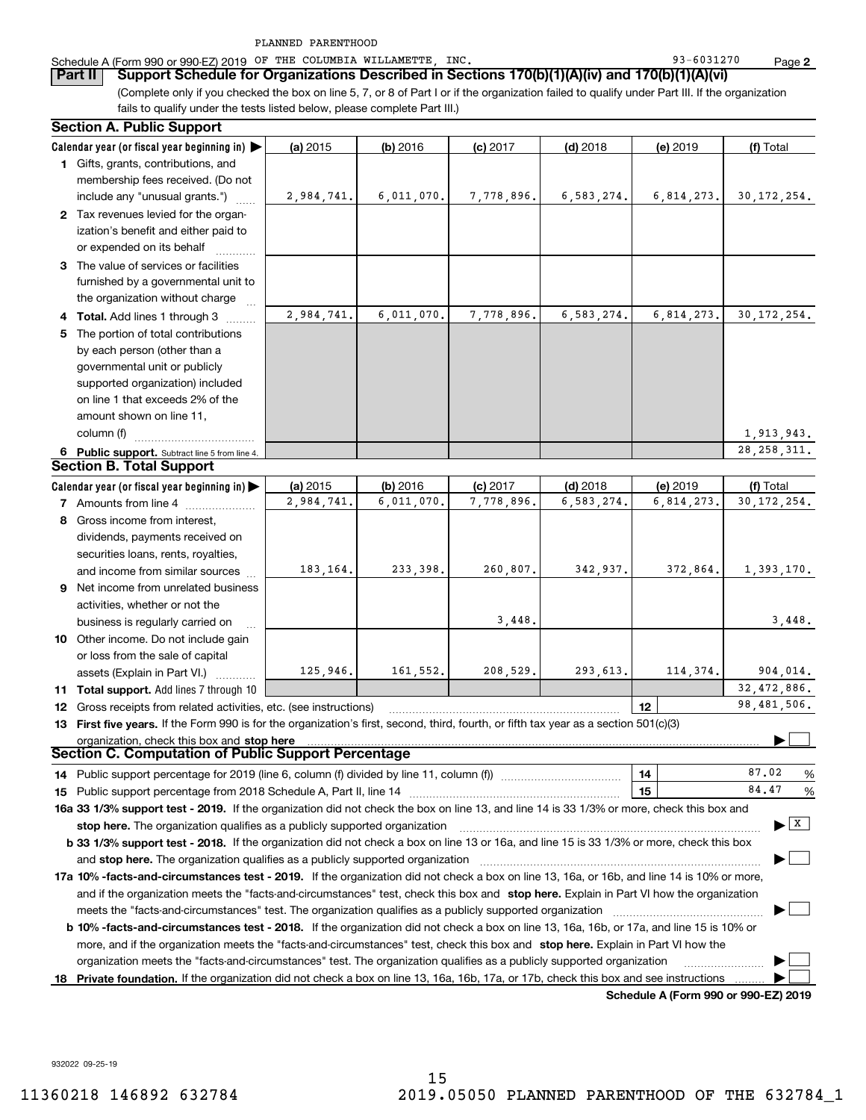|  | Schedule A (Form 990 or 990-EZ) 2019 | OF |  |  | THE COLUMBIA WILLAMETTE | INC | 1270<br>$\sim$<br>ດລ<br>$-0.0$ | Page |  |
|--|--------------------------------------|----|--|--|-------------------------|-----|--------------------------------|------|--|
|--|--------------------------------------|----|--|--|-------------------------|-----|--------------------------------|------|--|

(Complete only if you checked the box on line 5, 7, or 8 of Part I or if the organization failed to qualify under Part III. If the organization **Part II Support Schedule for Organizations Described in Sections 170(b)(1)(A)(iv) and 170(b)(1)(A)(vi)**

fails to qualify under the tests listed below, please complete Part III.)

|   | <b>Section A. Public Support</b>                                                                                                               |            |            |            |            |                                      |                                      |
|---|------------------------------------------------------------------------------------------------------------------------------------------------|------------|------------|------------|------------|--------------------------------------|--------------------------------------|
|   | Calendar year (or fiscal year beginning in)                                                                                                    | (a) 2015   | $(b)$ 2016 | $(c)$ 2017 | $(d)$ 2018 | (e) 2019                             | (f) Total                            |
|   | 1 Gifts, grants, contributions, and                                                                                                            |            |            |            |            |                                      |                                      |
|   | membership fees received. (Do not                                                                                                              |            |            |            |            |                                      |                                      |
|   | include any "unusual grants.")                                                                                                                 | 2,984,741. | 6,011,070. | 7,778,896. | 6,583,274. | 6,814,273.                           | 30, 172, 254.                        |
|   | 2 Tax revenues levied for the organ-                                                                                                           |            |            |            |            |                                      |                                      |
|   | ization's benefit and either paid to                                                                                                           |            |            |            |            |                                      |                                      |
|   | or expended on its behalf                                                                                                                      |            |            |            |            |                                      |                                      |
|   | 3 The value of services or facilities                                                                                                          |            |            |            |            |                                      |                                      |
|   | furnished by a governmental unit to                                                                                                            |            |            |            |            |                                      |                                      |
|   | the organization without charge                                                                                                                |            |            |            |            |                                      |                                      |
|   | 4 Total. Add lines 1 through 3                                                                                                                 | 2,984,741. | 6,011,070. | 7,778,896. | 6,583,274. | 6,814,273.                           | 30, 172, 254.                        |
| 5 | The portion of total contributions                                                                                                             |            |            |            |            |                                      |                                      |
|   | by each person (other than a                                                                                                                   |            |            |            |            |                                      |                                      |
|   | governmental unit or publicly                                                                                                                  |            |            |            |            |                                      |                                      |
|   | supported organization) included                                                                                                               |            |            |            |            |                                      |                                      |
|   | on line 1 that exceeds 2% of the                                                                                                               |            |            |            |            |                                      |                                      |
|   | amount shown on line 11,                                                                                                                       |            |            |            |            |                                      |                                      |
|   | column (f)                                                                                                                                     |            |            |            |            |                                      | 1,913,943.                           |
|   | 6 Public support. Subtract line 5 from line 4.                                                                                                 |            |            |            |            |                                      | 28, 258, 311.                        |
|   | <b>Section B. Total Support</b>                                                                                                                |            |            |            |            |                                      |                                      |
|   | Calendar year (or fiscal year beginning in)                                                                                                    | (a) 2015   | (b) 2016   | $(c)$ 2017 | $(d)$ 2018 | (e) 2019                             | (f) Total                            |
|   | 7 Amounts from line 4                                                                                                                          | 2,984,741. | 6,011,070. | 7,778,896. | 6,583,274. | 6,814,273.                           | 30, 172, 254.                        |
|   | 8 Gross income from interest,                                                                                                                  |            |            |            |            |                                      |                                      |
|   | dividends, payments received on                                                                                                                |            |            |            |            |                                      |                                      |
|   | securities loans, rents, royalties,                                                                                                            |            |            |            |            |                                      |                                      |
|   | and income from similar sources                                                                                                                | 183,164.   | 233,398.   | 260,807.   | 342,937.   | 372,864.                             | 1,393,170.                           |
|   | 9 Net income from unrelated business                                                                                                           |            |            |            |            |                                      |                                      |
|   | activities, whether or not the                                                                                                                 |            |            |            |            |                                      |                                      |
|   | business is regularly carried on                                                                                                               |            |            | 3,448.     |            |                                      | 3,448.                               |
|   | 10 Other income. Do not include gain                                                                                                           |            |            |            |            |                                      |                                      |
|   | or loss from the sale of capital                                                                                                               |            |            |            |            |                                      |                                      |
|   | assets (Explain in Part VI.)                                                                                                                   | 125,946.   | 161,552.   | 208,529.   | 293,613.   | 114,374.                             | 904,014.                             |
|   | 11 Total support. Add lines 7 through 10                                                                                                       |            |            |            |            |                                      | 32,472,886.                          |
|   | <b>12</b> Gross receipts from related activities, etc. (see instructions)                                                                      |            |            |            |            | 12                                   | 98,481,506.                          |
|   | 13 First five years. If the Form 990 is for the organization's first, second, third, fourth, or fifth tax year as a section 501(c)(3)          |            |            |            |            |                                      |                                      |
|   | organization, check this box and stop here                                                                                                     |            |            |            |            |                                      |                                      |
|   | Section C. Computation of Public Support Percentage                                                                                            |            |            |            |            |                                      |                                      |
|   | 14 Public support percentage for 2019 (line 6, column (f) divided by line 11, column (f) <i>manumeronominimi</i> ng                            |            |            |            |            | 14                                   | 87.02<br>%                           |
|   |                                                                                                                                                |            |            |            |            | 15                                   | 84.47<br>%                           |
|   | 16a 33 1/3% support test - 2019. If the organization did not check the box on line 13, and line 14 is 33 1/3% or more, check this box and      |            |            |            |            |                                      |                                      |
|   | stop here. The organization qualifies as a publicly supported organization                                                                     |            |            |            |            |                                      | $\blacktriangleright$ $\overline{X}$ |
|   | b 33 1/3% support test - 2018. If the organization did not check a box on line 13 or 16a, and line 15 is 33 1/3% or more, check this box       |            |            |            |            |                                      |                                      |
|   | and <b>stop here.</b> The organization qualifies as a publicly supported organization                                                          |            |            |            |            |                                      |                                      |
|   | 17a 10% -facts-and-circumstances test - 2019. If the organization did not check a box on line 13, 16a, or 16b, and line 14 is 10% or more,     |            |            |            |            |                                      |                                      |
|   | and if the organization meets the "facts-and-circumstances" test, check this box and stop here. Explain in Part VI how the organization        |            |            |            |            |                                      |                                      |
|   |                                                                                                                                                |            |            |            |            |                                      |                                      |
|   | <b>b 10% -facts-and-circumstances test - 2018.</b> If the organization did not check a box on line 13, 16a, 16b, or 17a, and line 15 is 10% or |            |            |            |            |                                      |                                      |
|   | more, and if the organization meets the "facts-and-circumstances" test, check this box and stop here. Explain in Part VI how the               |            |            |            |            |                                      |                                      |
|   | organization meets the "facts-and-circumstances" test. The organization qualifies as a publicly supported organization                         |            |            |            |            |                                      |                                      |
|   | 18 Private foundation. If the organization did not check a box on line 13, 16a, 16b, 17a, or 17b, check this box and see instructions          |            |            |            |            |                                      |                                      |
|   |                                                                                                                                                |            |            |            |            | Schodule A (Form 000 or 000 F7) 2010 |                                      |

**Schedule A (Form 990 or 990-EZ) 2019**

932022 09-25-19

**2**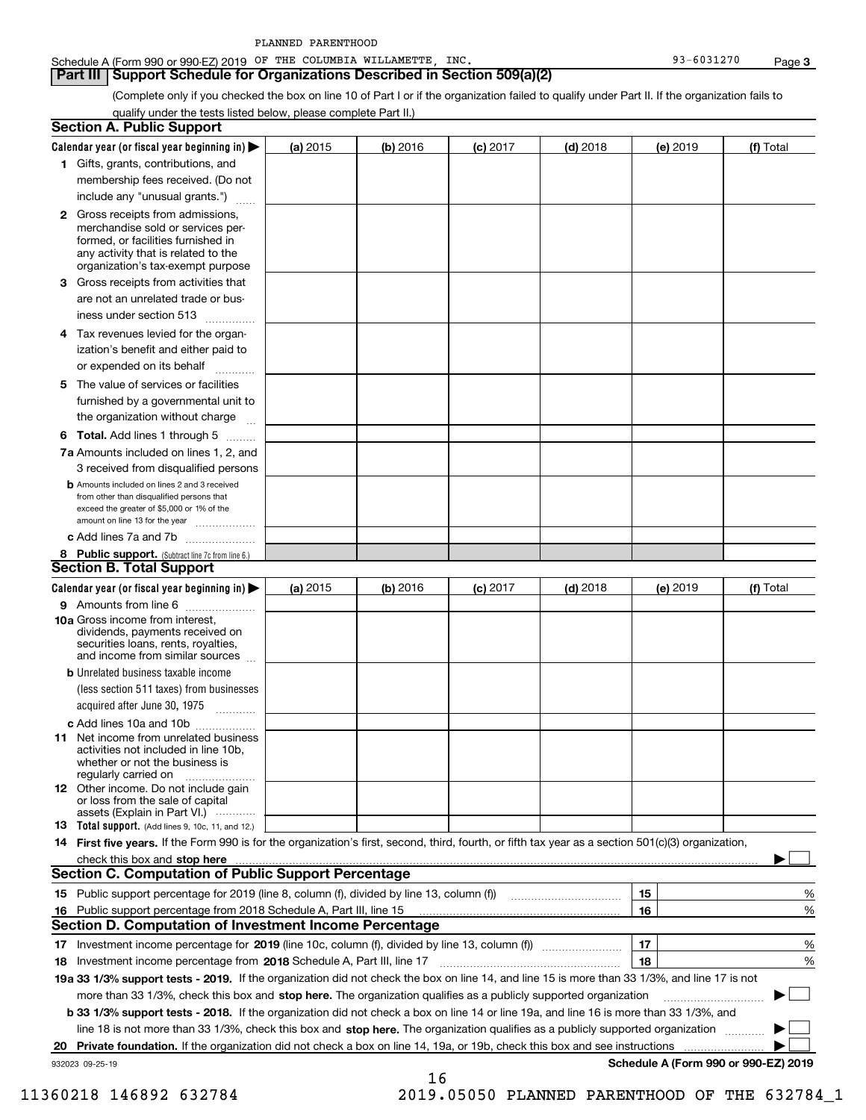| Schedule A (Form 990 or 990-EZ) 2019 OF |  | THE COLUMBIA WILLAMETTE ' | <b>INC</b> | <b>131270</b><br>ດຈ<br>$-00J$ |      |
|-----------------------------------------|--|---------------------------|------------|-------------------------------|------|
|                                         |  |                           |            |                               | Page |

### **Part III Support Schedule for Organizations Described in Section 509(a)(2)**

(Complete only if you checked the box on line 10 of Part I or if the organization failed to qualify under Part II. If the organization fails to qualify under the tests listed below, please complete Part II.)

|    | <b>Section A. Public Support</b>                                                                                                                                                                                               |          |            |            |            |            |                                      |
|----|--------------------------------------------------------------------------------------------------------------------------------------------------------------------------------------------------------------------------------|----------|------------|------------|------------|------------|--------------------------------------|
|    | Calendar year (or fiscal year beginning in) $\blacktriangleright$                                                                                                                                                              | (a) 2015 | $(b)$ 2016 | $(c)$ 2017 | $(d)$ 2018 | $(e)$ 2019 | (f) Total                            |
|    | 1 Gifts, grants, contributions, and                                                                                                                                                                                            |          |            |            |            |            |                                      |
|    | membership fees received. (Do not                                                                                                                                                                                              |          |            |            |            |            |                                      |
|    | include any "unusual grants.")                                                                                                                                                                                                 |          |            |            |            |            |                                      |
|    | <b>2</b> Gross receipts from admissions,<br>merchandise sold or services per-<br>formed, or facilities furnished in<br>any activity that is related to the<br>organization's tax-exempt purpose                                |          |            |            |            |            |                                      |
|    | 3 Gross receipts from activities that                                                                                                                                                                                          |          |            |            |            |            |                                      |
|    | are not an unrelated trade or bus-                                                                                                                                                                                             |          |            |            |            |            |                                      |
|    | iness under section 513                                                                                                                                                                                                        |          |            |            |            |            |                                      |
|    | 4 Tax revenues levied for the organ-                                                                                                                                                                                           |          |            |            |            |            |                                      |
|    | ization's benefit and either paid to                                                                                                                                                                                           |          |            |            |            |            |                                      |
|    | or expended on its behalf                                                                                                                                                                                                      |          |            |            |            |            |                                      |
|    | 5 The value of services or facilities<br>furnished by a governmental unit to                                                                                                                                                   |          |            |            |            |            |                                      |
|    | the organization without charge                                                                                                                                                                                                |          |            |            |            |            |                                      |
|    | <b>6 Total.</b> Add lines 1 through 5                                                                                                                                                                                          |          |            |            |            |            |                                      |
|    | 7a Amounts included on lines 1, 2, and                                                                                                                                                                                         |          |            |            |            |            |                                      |
|    | 3 received from disqualified persons                                                                                                                                                                                           |          |            |            |            |            |                                      |
|    | <b>b</b> Amounts included on lines 2 and 3 received<br>from other than disqualified persons that<br>exceed the greater of \$5,000 or 1% of the<br>amount on line 13 for the year                                               |          |            |            |            |            |                                      |
|    | c Add lines 7a and 7b                                                                                                                                                                                                          |          |            |            |            |            |                                      |
|    | 8 Public support. (Subtract line 7c from line 6.)                                                                                                                                                                              |          |            |            |            |            |                                      |
|    | <b>Section B. Total Support</b>                                                                                                                                                                                                |          |            |            |            |            |                                      |
|    | Calendar year (or fiscal year beginning in)                                                                                                                                                                                    | (a) 2015 | $(b)$ 2016 | $(c)$ 2017 | $(d)$ 2018 | (e) 2019   | (f) Total                            |
|    | 9 Amounts from line 6                                                                                                                                                                                                          |          |            |            |            |            |                                      |
|    | 10a Gross income from interest,<br>dividends, payments received on<br>securities loans, rents, royalties,<br>and income from similar sources                                                                                   |          |            |            |            |            |                                      |
|    | <b>b</b> Unrelated business taxable income                                                                                                                                                                                     |          |            |            |            |            |                                      |
|    | (less section 511 taxes) from businesses                                                                                                                                                                                       |          |            |            |            |            |                                      |
|    | acquired after June 30, 1975<br>$\frac{1}{2}$                                                                                                                                                                                  |          |            |            |            |            |                                      |
|    | c Add lines 10a and 10b                                                                                                                                                                                                        |          |            |            |            |            |                                      |
|    | 11 Net income from unrelated business<br>activities not included in line 10b,<br>whether or not the business is<br>regularly carried on                                                                                        |          |            |            |            |            |                                      |
|    | <b>12</b> Other income. Do not include gain<br>or loss from the sale of capital<br>assets (Explain in Part VI.)                                                                                                                |          |            |            |            |            |                                      |
|    | <b>13</b> Total support. (Add lines 9, 10c, 11, and 12.)                                                                                                                                                                       |          |            |            |            |            |                                      |
|    | 14 First five years. If the Form 990 is for the organization's first, second, third, fourth, or fifth tax year as a section 501(c)(3) organization,                                                                            |          |            |            |            |            |                                      |
|    | check this box and stop here measurements and contact the contract of the contract of the contract of the contract of the contract of the contract of the contract of the contract of the contract of the contract of the cont |          |            |            |            |            |                                      |
|    | Section C. Computation of Public Support Percentage                                                                                                                                                                            |          |            |            |            |            |                                      |
|    | 15 Public support percentage for 2019 (line 8, column (f), divided by line 13, column (f))                                                                                                                                     |          |            |            |            | 15         | %                                    |
|    | 16 Public support percentage from 2018 Schedule A, Part III, line 15                                                                                                                                                           |          |            |            |            | 16         | %                                    |
|    | <b>Section D. Computation of Investment Income Percentage</b>                                                                                                                                                                  |          |            |            |            |            |                                      |
|    | 17 Investment income percentage for 2019 (line 10c, column (f), divided by line 13, column (f))                                                                                                                                |          |            |            |            | 17         | %                                    |
|    | 18 Investment income percentage from 2018 Schedule A, Part III, line 17                                                                                                                                                        |          |            |            |            | 18         | %                                    |
|    | 19a 33 1/3% support tests - 2019. If the organization did not check the box on line 14, and line 15 is more than 33 1/3%, and line 17 is not                                                                                   |          |            |            |            |            |                                      |
|    | more than 33 1/3%, check this box and stop here. The organization qualifies as a publicly supported organization                                                                                                               |          |            |            |            |            |                                      |
|    | <b>b 33 1/3% support tests - 2018.</b> If the organization did not check a box on line 14 or line 19a, and line 16 is more than 33 1/3%, and                                                                                   |          |            |            |            |            |                                      |
|    | line 18 is not more than 33 1/3%, check this box and stop here. The organization qualifies as a publicly supported organization                                                                                                |          |            |            |            |            |                                      |
| 20 | <b>Private foundation.</b> If the organization did not check a box on line 14, 19a, or 19b, check this box and see instructions                                                                                                |          |            |            |            |            |                                      |
|    | 932023 09-25-19                                                                                                                                                                                                                |          | 16         |            |            |            | Schedule A (Form 990 or 990-EZ) 2019 |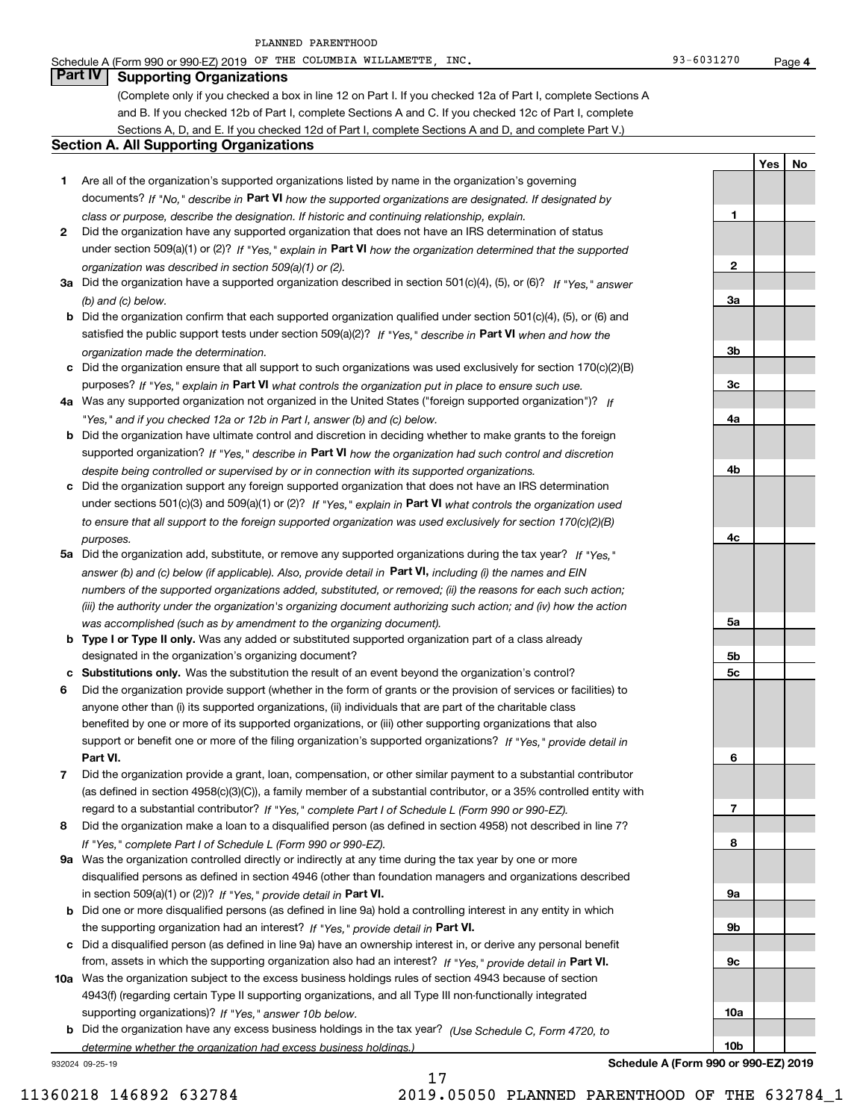#### Schedule A (Form 990 or 990-EZ) 2019 Page OF THE COLUMBIA WILLAMETTE, INC. 93-6031270

**1**

**2**

**3a**

**3b**

**3c**

**4a**

**4b**

**4c**

**5a**

**5b5c**

**6**

**7**

**8**

**9a**

**9b**

**9c**

**10a**

**10b**

**YesNo**

### **Part IV Supporting Organizations**

(Complete only if you checked a box in line 12 on Part I. If you checked 12a of Part I, complete Sections A and B. If you checked 12b of Part I, complete Sections A and C. If you checked 12c of Part I, complete Sections A, D, and E. If you checked 12d of Part I, complete Sections A and D, and complete Part V.)

#### **Section A. All Supporting Organizations**

- **1** Are all of the organization's supported organizations listed by name in the organization's governing documents? If "No," describe in **Part VI** how the supported organizations are designated. If designated by *class or purpose, describe the designation. If historic and continuing relationship, explain.*
- **2** Did the organization have any supported organization that does not have an IRS determination of status under section 509(a)(1) or (2)? If "Yes," explain in Part VI how the organization determined that the supported *organization was described in section 509(a)(1) or (2).*
- **3a** Did the organization have a supported organization described in section 501(c)(4), (5), or (6)? If "Yes," answer *(b) and (c) below.*
- **b** Did the organization confirm that each supported organization qualified under section 501(c)(4), (5), or (6) and satisfied the public support tests under section 509(a)(2)? If "Yes," describe in **Part VI** when and how the *organization made the determination.*
- **c**Did the organization ensure that all support to such organizations was used exclusively for section 170(c)(2)(B) purposes? If "Yes," explain in **Part VI** what controls the organization put in place to ensure such use.
- **4a***If* Was any supported organization not organized in the United States ("foreign supported organization")? *"Yes," and if you checked 12a or 12b in Part I, answer (b) and (c) below.*
- **b** Did the organization have ultimate control and discretion in deciding whether to make grants to the foreign supported organization? If "Yes," describe in **Part VI** how the organization had such control and discretion *despite being controlled or supervised by or in connection with its supported organizations.*
- **c** Did the organization support any foreign supported organization that does not have an IRS determination under sections 501(c)(3) and 509(a)(1) or (2)? If "Yes," explain in **Part VI** what controls the organization used *to ensure that all support to the foreign supported organization was used exclusively for section 170(c)(2)(B) purposes.*
- **5a** Did the organization add, substitute, or remove any supported organizations during the tax year? If "Yes," answer (b) and (c) below (if applicable). Also, provide detail in **Part VI,** including (i) the names and EIN *numbers of the supported organizations added, substituted, or removed; (ii) the reasons for each such action; (iii) the authority under the organization's organizing document authorizing such action; and (iv) how the action was accomplished (such as by amendment to the organizing document).*
- **b** Type I or Type II only. Was any added or substituted supported organization part of a class already designated in the organization's organizing document?
- **cSubstitutions only.**  Was the substitution the result of an event beyond the organization's control?
- **6** Did the organization provide support (whether in the form of grants or the provision of services or facilities) to **Part VI.** *If "Yes," provide detail in* support or benefit one or more of the filing organization's supported organizations? anyone other than (i) its supported organizations, (ii) individuals that are part of the charitable class benefited by one or more of its supported organizations, or (iii) other supporting organizations that also
- **7**Did the organization provide a grant, loan, compensation, or other similar payment to a substantial contributor *If "Yes," complete Part I of Schedule L (Form 990 or 990-EZ).* regard to a substantial contributor? (as defined in section 4958(c)(3)(C)), a family member of a substantial contributor, or a 35% controlled entity with
- **8** Did the organization make a loan to a disqualified person (as defined in section 4958) not described in line 7? *If "Yes," complete Part I of Schedule L (Form 990 or 990-EZ).*
- **9a** Was the organization controlled directly or indirectly at any time during the tax year by one or more in section 509(a)(1) or (2))? If "Yes," *provide detail in* <code>Part VI.</code> disqualified persons as defined in section 4946 (other than foundation managers and organizations described
- **b** Did one or more disqualified persons (as defined in line 9a) hold a controlling interest in any entity in which the supporting organization had an interest? If "Yes," provide detail in P**art VI**.
- **c**Did a disqualified person (as defined in line 9a) have an ownership interest in, or derive any personal benefit from, assets in which the supporting organization also had an interest? If "Yes," provide detail in P**art VI.**
- **10a** Was the organization subject to the excess business holdings rules of section 4943 because of section supporting organizations)? If "Yes," answer 10b below. 4943(f) (regarding certain Type II supporting organizations, and all Type III non-functionally integrated
- **b** Did the organization have any excess business holdings in the tax year? (Use Schedule C, Form 4720, to *determine whether the organization had excess business holdings.)*

17

932024 09-25-19

**Schedule A (Form 990 or 990-EZ) 2019**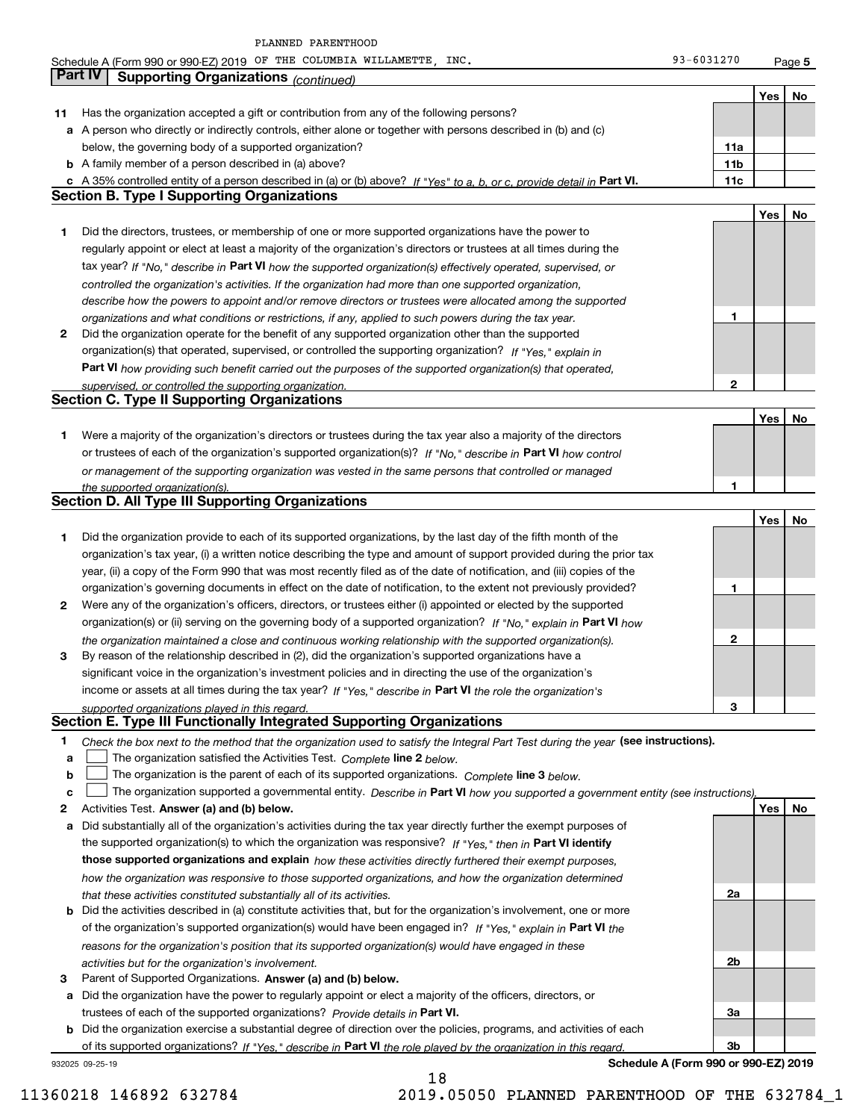|    | Schedule A (Form 990 or 990-EZ) 2019 OF THE COLUMBIA WILLAMETTE, INC.                                                             | 93-6031270      |     | Page 5 |
|----|-----------------------------------------------------------------------------------------------------------------------------------|-----------------|-----|--------|
|    | <b>Part IV</b><br><b>Supporting Organizations (continued)</b>                                                                     |                 |     |        |
|    |                                                                                                                                   |                 | Yes | No     |
| 11 | Has the organization accepted a gift or contribution from any of the following persons?                                           |                 |     |        |
|    | a A person who directly or indirectly controls, either alone or together with persons described in (b) and (c)                    |                 |     |        |
|    | below, the governing body of a supported organization?                                                                            | 11a             |     |        |
|    | <b>b</b> A family member of a person described in (a) above?                                                                      | 11 <sub>b</sub> |     |        |
|    | c A 35% controlled entity of a person described in (a) or (b) above? If "Yes" to a, b, or c, provide detail in Part VI.           | 11c             |     |        |
|    | <b>Section B. Type I Supporting Organizations</b>                                                                                 |                 |     |        |
|    |                                                                                                                                   |                 | Yes | No     |
| 1  | Did the directors, trustees, or membership of one or more supported organizations have the power to                               |                 |     |        |
|    | regularly appoint or elect at least a majority of the organization's directors or trustees at all times during the                |                 |     |        |
|    |                                                                                                                                   |                 |     |        |
|    | tax year? If "No," describe in Part VI how the supported organization(s) effectively operated, supervised, or                     |                 |     |        |
|    | controlled the organization's activities. If the organization had more than one supported organization,                           |                 |     |        |
|    | describe how the powers to appoint and/or remove directors or trustees were allocated among the supported                         | 1               |     |        |
|    | organizations and what conditions or restrictions, if any, applied to such powers during the tax year.                            |                 |     |        |
| 2  | Did the organization operate for the benefit of any supported organization other than the supported                               |                 |     |        |
|    | organization(s) that operated, supervised, or controlled the supporting organization? If "Yes," explain in                        |                 |     |        |
|    | Part VI how providing such benefit carried out the purposes of the supported organization(s) that operated,                       |                 |     |        |
|    | supervised, or controlled the supporting organization.<br><b>Section C. Type II Supporting Organizations</b>                      | $\mathbf{2}$    |     |        |
|    |                                                                                                                                   |                 |     |        |
|    |                                                                                                                                   |                 | Yes | No     |
| 1  | Were a majority of the organization's directors or trustees during the tax year also a majority of the directors                  |                 |     |        |
|    | or trustees of each of the organization's supported organization(s)? If "No," describe in Part VI how control                     |                 |     |        |
|    | or management of the supporting organization was vested in the same persons that controlled or managed                            |                 |     |        |
|    | the supported organization(s).                                                                                                    | 1               |     |        |
|    | <b>Section D. All Type III Supporting Organizations</b>                                                                           |                 |     |        |
|    |                                                                                                                                   |                 | Yes | No     |
| 1  | Did the organization provide to each of its supported organizations, by the last day of the fifth month of the                    |                 |     |        |
|    | organization's tax year, (i) a written notice describing the type and amount of support provided during the prior tax             |                 |     |        |
|    | year, (ii) a copy of the Form 990 that was most recently filed as of the date of notification, and (iii) copies of the            |                 |     |        |
|    | organization's governing documents in effect on the date of notification, to the extent not previously provided?                  | 1               |     |        |
| 2  | Were any of the organization's officers, directors, or trustees either (i) appointed or elected by the supported                  |                 |     |        |
|    | organization(s) or (ii) serving on the governing body of a supported organization? If "No," explain in Part VI how                |                 |     |        |
|    | the organization maintained a close and continuous working relationship with the supported organization(s).                       | $\mathbf{2}$    |     |        |
| 3  | By reason of the relationship described in (2), did the organization's supported organizations have a                             |                 |     |        |
|    | significant voice in the organization's investment policies and in directing the use of the organization's                        |                 |     |        |
|    | income or assets at all times during the tax year? If "Yes," describe in Part VI the role the organization's                      |                 |     |        |
|    | supported organizations played in this regard.                                                                                    | З               |     |        |
|    | Section E. Type III Functionally Integrated Supporting Organizations                                                              |                 |     |        |
| 1  | Check the box next to the method that the organization used to satisfy the Integral Part Test during the year (see instructions). |                 |     |        |
| a  | The organization satisfied the Activities Test. Complete line 2 below.                                                            |                 |     |        |
| b  | The organization is the parent of each of its supported organizations. Complete line 3 below.                                     |                 |     |        |
| c  | The organization supported a governmental entity. Describe in Part VI how you supported a government entity (see instructions),   |                 |     |        |
| 2  | Activities Test. Answer (a) and (b) below.                                                                                        |                 | Yes | No     |
| а  | Did substantially all of the organization's activities during the tax year directly further the exempt purposes of                |                 |     |        |
|    | the supported organization(s) to which the organization was responsive? If "Yes," then in Part VI identify                        |                 |     |        |
|    | those supported organizations and explain how these activities directly furthered their exempt purposes,                          |                 |     |        |
|    |                                                                                                                                   |                 |     |        |

**b** Did the activities described in (a) constitute activities that, but for the organization's involvement, one or more of the organization's supported organization(s) would have been engaged in? If "Yes," explain in **Part VI** the *how the organization was responsive to those supported organizations, and how the organization determined that these activities constituted substantially all of its activities. reasons for the organization's position that its supported organization(s) would have engaged in these activities but for the organization's involvement.*

**3** Parent of Supported Organizations. Answer (a) and (b) below. **a** Did the organization have the power to regularly appoint or elect a majority of the officers, directors, or

**b** Did the organization exercise a substantial degree of direction over the policies, programs, and activities of each trustees of each of the supported organizations? *Provide details in* Part VI. of its supported organizations? If "Yes," describe in Part VI the role played by the organization in this regard.

18

932025 09-25-19

**Schedule A (Form 990 or 990-EZ) 2019**

**2a**

**2b**

**3a**

**3b**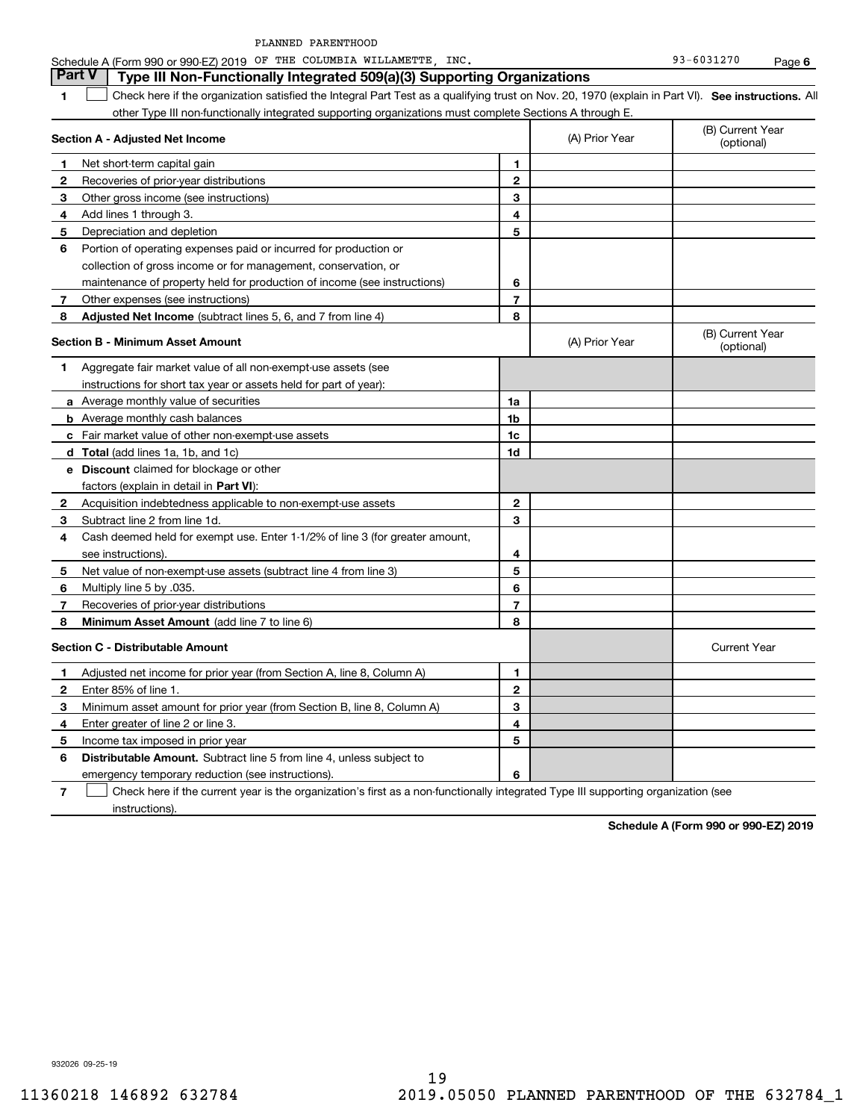**1SEP 10. See instructions.** All antegral Part Test as a qualifying trust on Nov. 20, 1970 (explain in Part VI). See instructions. All **Section A - Adjusted Net Income 12** Recoveries of prior-year distributions **3** Other gross income (see instructions) **4**Add lines 1 through 3. **56** Portion of operating expenses paid or incurred for production or **7** Other expenses (see instructions) **8** Adjusted Net Income (subtract lines 5, 6, and 7 from line 4) **8 8 1234567Section B - Minimum Asset Amount 1**Aggregate fair market value of all non-exempt-use assets (see **2**Acquisition indebtedness applicable to non-exempt-use assets **3** Subtract line 2 from line 1d. **4**Cash deemed held for exempt use. Enter 1-1/2% of line 3 (for greater amount, **5** Net value of non-exempt-use assets (subtract line 4 from line 3) **678a** Average monthly value of securities **b** Average monthly cash balances **c**Fair market value of other non-exempt-use assets **dTotal**  (add lines 1a, 1b, and 1c) **eDiscount** claimed for blockage or other **1a1b1c1d2345678**factors (explain in detail in **Part VI**): **Minimum Asset Amount**  (add line 7 to line 6) **Section C - Distributable Amount 12**Enter 85% of line 1. **3456** Distributable Amount. Subtract line 5 from line 4, unless subject to **123456**other Type III non-functionally integrated supporting organizations must complete Sections A through E. (B) Current Year (optional)(A) Prior Year Net short-term capital gain Depreciation and depletion collection of gross income or for management, conservation, or maintenance of property held for production of income (see instructions) (B) Current Year (optional)(A) Prior Year instructions for short tax year or assets held for part of year): see instructions). Multiply line 5 by .035. Recoveries of prior-year distributions Current Year Adjusted net income for prior year (from Section A, line 8, Column A) Minimum asset amount for prior year (from Section B, line 8, Column A) Enter greater of line 2 or line 3. Income tax imposed in prior year emergency temporary reduction (see instructions). **Part V Type III Non-Functionally Integrated 509(a)(3) Supporting Organizations**   $\mathcal{L}^{\text{max}}$ 

**7**Check here if the current year is the organization's first as a non-functionally integrated Type III supporting organization (see instructions). $\mathcal{L}^{\text{max}}$ 

**Schedule A (Form 990 or 990-EZ) 2019**

932026 09-25-19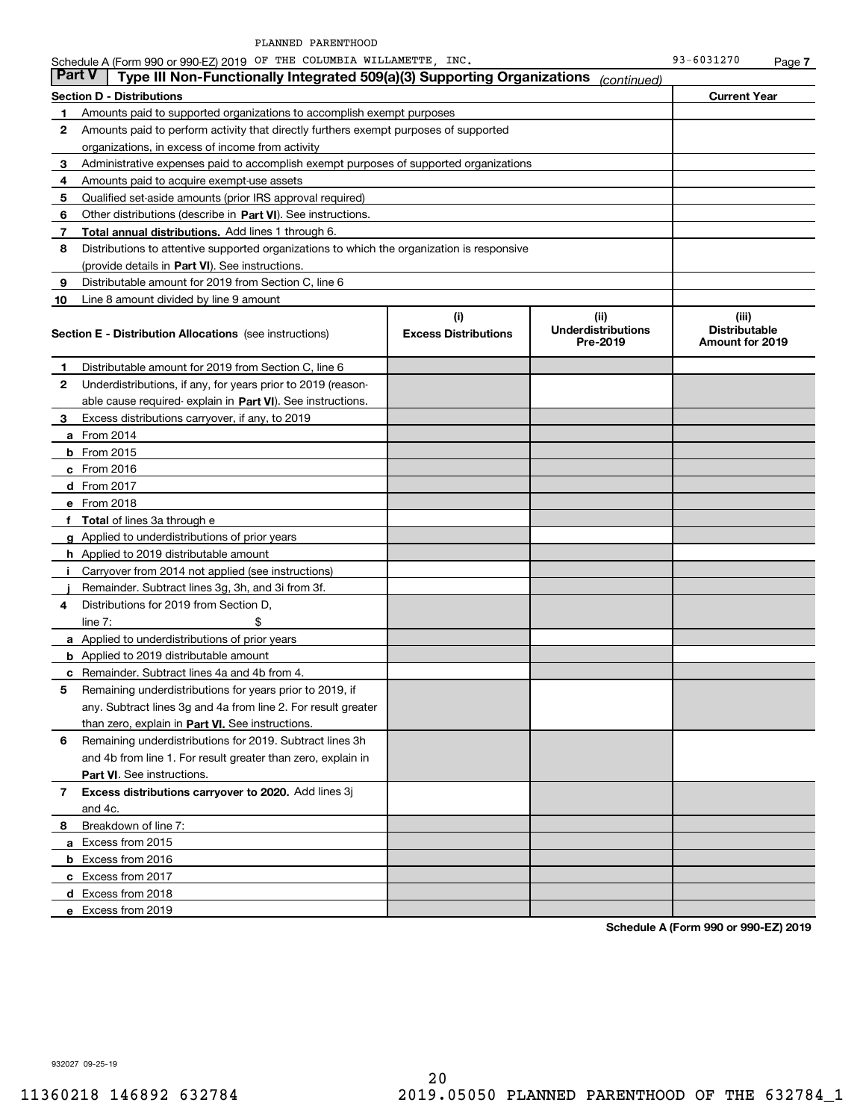**Section D - Distributions Current Year 1**Amounts paid to supported organizations to accomplish exempt purposes **23456**Other distributions (describe in Part VI). See instructions. Schedule A (Form 990 or 990-EZ) 2019 Page OF THE COLUMBIA WILLAMETTE, INC. 93-6031270 Amounts paid to perform activity that directly furthers exempt purposes of supported organizations, in excess of income from activity Administrative expenses paid to accomplish exempt purposes of supported organizations Amounts paid to acquire exempt-use assets Qualified set-aside amounts (prior IRS approval required) **Part V Type III Non-Functionally Integrated 509(a)(3) Supporting Organizations** *(continued)* 

**78Total annual distributions.** Add lines 1 through 6. (provide details in Part VI). See instructions. Distributions to attentive supported organizations to which the organization is responsive

**910(i)Excess Distributions (ii) Underdistributions Pre-2019(iii)Distributable Amount for 2019 Section E - Distribution Allocations**  (see instructions) **12**Underdistributions, if any, for years prior to 2019 (reason-**3**Excess distributions carryover, if any, to 2019 **4**Distributions for 2019 from Section D, **5** Remaining underdistributions for years prior to 2019, if **6** Remaining underdistributions for 2019. Subtract lines 3h **7Excess distributions carryover to 2020.**  Add lines 3j **8**Breakdown of line 7: able cause required- explain in Part VI). See instructions. **a** From 2014 **b** From 2015 **c**From 2016 **d**From 2017 **e** From 2018 **fTotal**  of lines 3a through e **g**Applied to underdistributions of prior years **h** Applied to 2019 distributable amount **ij** Remainder. Subtract lines 3g, 3h, and 3i from 3f. **a** Applied to underdistributions of prior years **b** Applied to 2019 distributable amount **c** Remainder. Subtract lines 4a and 4b from 4. than zero, explain in Part VI. See instructions. **Part VI** . See instructions. **a** Excess from 2015 **b** Excess from 2016 **c**Excess from 2017 Distributable amount for 2019 from Section C, line 6 Line 8 amount divided by line 9 amount Distributable amount for 2019 from Section C, line 6 i Carryover from 2014 not applied (see instructions)  $line 7:$   $\frac{1}{2}$ any. Subtract lines 3g and 4a from line 2. For result greater and 4b from line 1. For result greater than zero, explain in and 4c.

**d**Excess from 2018 **e**Excess from 2019

**Schedule A (Form 990 or 990-EZ) 2019**

932027 09-25-19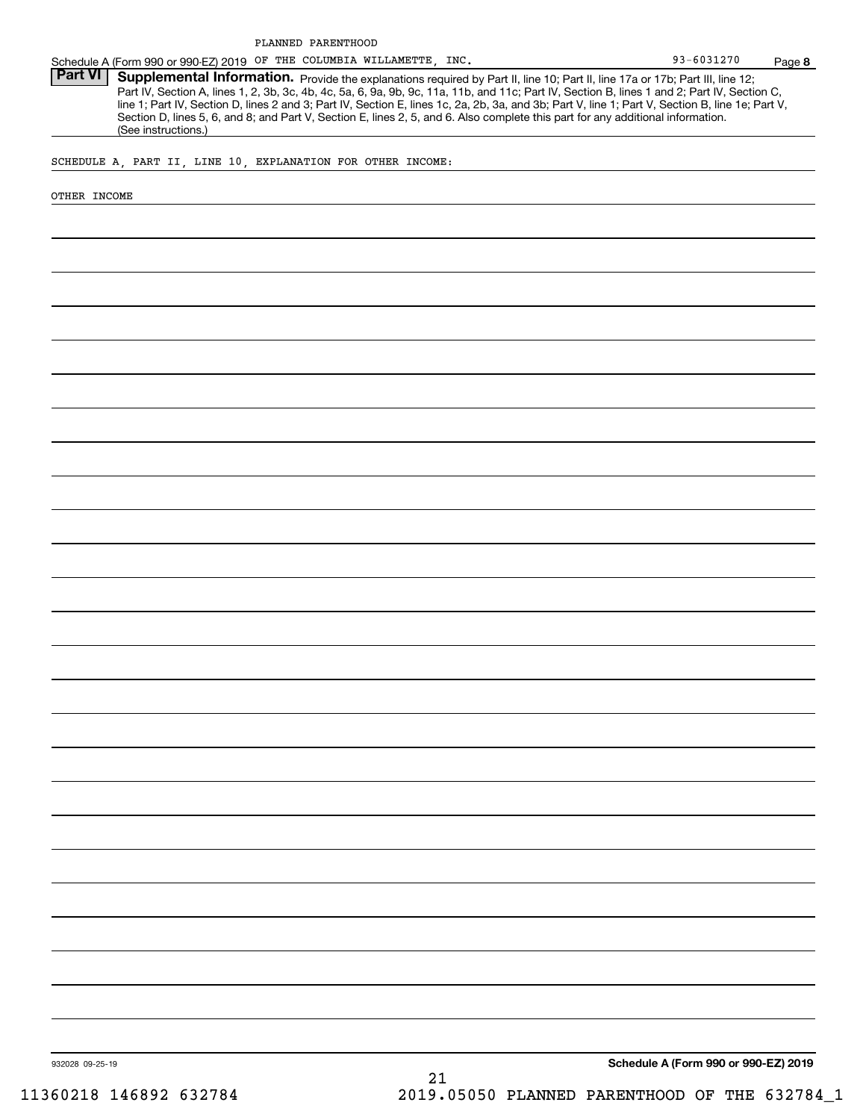Schedule A (Form 990 or 990-EZ) 2019 Page OF THE COLUMBIA WILLAMETTE, INC.

Part VI | Supplemental Information. Provide the explanations required by Part II, line 10; Part II, line 17a or 17b; Part III, line 12; Part IV, Section A, lines 1, 2, 3b, 3c, 4b, 4c, 5a, 6, 9a, 9b, 9c, 11a, 11b, and 11c; Part IV, Section B, lines 1 and 2; Part IV, Section C, line 1; Part IV, Section D, lines 2 and 3; Part IV, Section E, lines 1c, 2a, 2b, 3a, and 3b; Part V, line 1; Part V, Section B, line 1e; Part V, Section D, lines 5, 6, and 8; and Part V, Section E, lines 2, 5, and 6. Also complete this part for any additional information. (See instructions.)

SCHEDULE A, PART II, LINE 10, EXPLANATION FOR OTHER INCOME:

OTHER INCOME

**Schedule A (Form 990 or 990-EZ) 2019**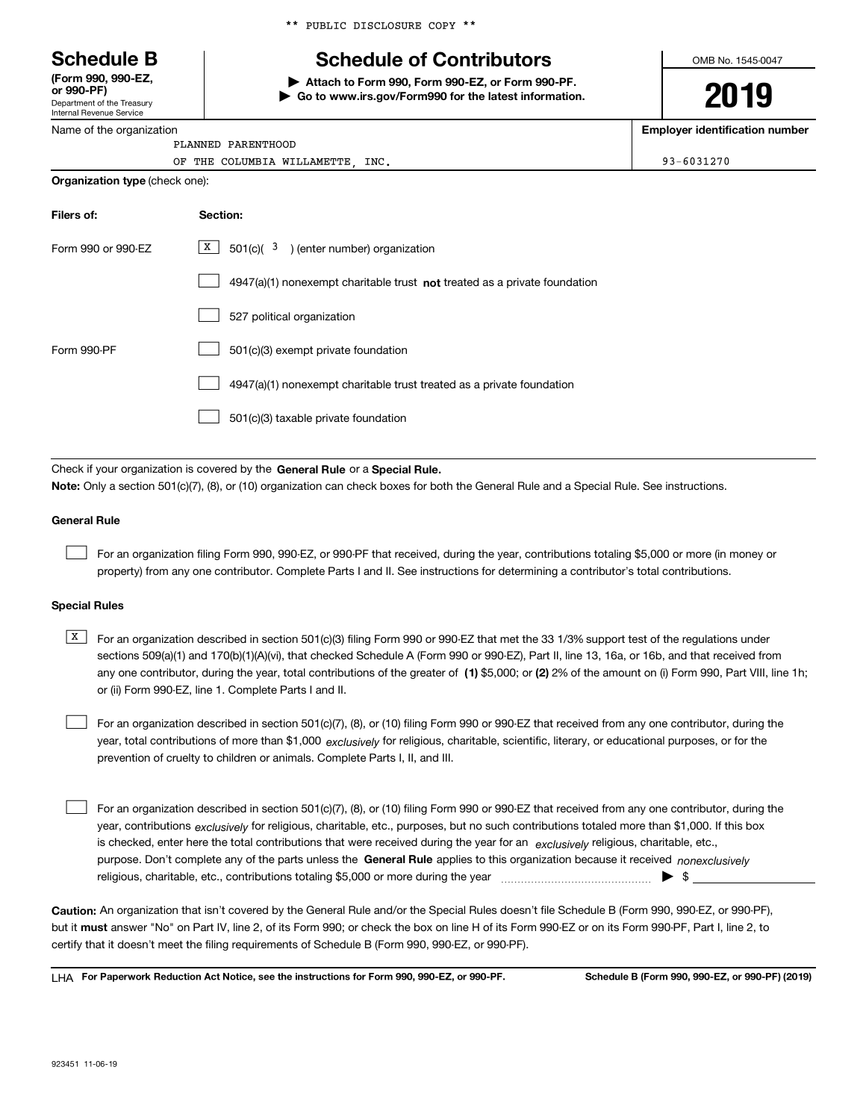Department of the Treasury Internal Revenue Service **(Form 990, 990-EZ, or 990-PF)**

Name of the organization

\*\* PUBLIC DISCLOSURE COPY \*\*

## **Schedule B Schedule of Contributors**

**| Attach to Form 990, Form 990-EZ, or Form 990-PF. | Go to www.irs.gov/Form990 for the latest information.** OMB No. 1545-0047

# **2019**

**Employer identification number**

|  | PLANNED PARENTHOOD |                                 |  |
|--|--------------------|---------------------------------|--|
|  |                    | OF THE COLUMBIA WILLAMETTE INC. |  |

|  | $93 - 6031270$ |
|--|----------------|

| <b>Organization type (check one):</b> |  |  |
|---------------------------------------|--|--|
|                                       |  |  |

| Filers of:         | Section:                                                                           |
|--------------------|------------------------------------------------------------------------------------|
| Form 990 or 990-EZ | X  <br>$501(c)$ ( $3$ ) (enter number) organization                                |
|                    | $4947(a)(1)$ nonexempt charitable trust <b>not</b> treated as a private foundation |
|                    | 527 political organization                                                         |
| Form 990-PF        | 501(c)(3) exempt private foundation                                                |
|                    | 4947(a)(1) nonexempt charitable trust treated as a private foundation              |
|                    | 501(c)(3) taxable private foundation                                               |

Check if your organization is covered by the **General Rule** or a **Special Rule. Note:**  Only a section 501(c)(7), (8), or (10) organization can check boxes for both the General Rule and a Special Rule. See instructions.

#### **General Rule**

 $\mathcal{L}^{\text{max}}$ 

For an organization filing Form 990, 990-EZ, or 990-PF that received, during the year, contributions totaling \$5,000 or more (in money or property) from any one contributor. Complete Parts I and II. See instructions for determining a contributor's total contributions.

#### **Special Rules**

any one contributor, during the year, total contributions of the greater of  $\,$  (1) \$5,000; or **(2)** 2% of the amount on (i) Form 990, Part VIII, line 1h;  $\overline{X}$  For an organization described in section 501(c)(3) filing Form 990 or 990-EZ that met the 33 1/3% support test of the regulations under sections 509(a)(1) and 170(b)(1)(A)(vi), that checked Schedule A (Form 990 or 990-EZ), Part II, line 13, 16a, or 16b, and that received from or (ii) Form 990-EZ, line 1. Complete Parts I and II.

year, total contributions of more than \$1,000 *exclusively* for religious, charitable, scientific, literary, or educational purposes, or for the For an organization described in section 501(c)(7), (8), or (10) filing Form 990 or 990-EZ that received from any one contributor, during the prevention of cruelty to children or animals. Complete Parts I, II, and III.  $\mathcal{L}^{\text{max}}$ 

purpose. Don't complete any of the parts unless the **General Rule** applies to this organization because it received *nonexclusively* year, contributions <sub>exclusively</sub> for religious, charitable, etc., purposes, but no such contributions totaled more than \$1,000. If this box is checked, enter here the total contributions that were received during the year for an  $\;$ exclusively religious, charitable, etc., For an organization described in section 501(c)(7), (8), or (10) filing Form 990 or 990-EZ that received from any one contributor, during the religious, charitable, etc., contributions totaling \$5,000 or more during the year  $\Box$ — $\Box$   $\Box$  $\mathcal{L}^{\text{max}}$ 

**Caution:**  An organization that isn't covered by the General Rule and/or the Special Rules doesn't file Schedule B (Form 990, 990-EZ, or 990-PF),  **must** but it answer "No" on Part IV, line 2, of its Form 990; or check the box on line H of its Form 990-EZ or on its Form 990-PF, Part I, line 2, to certify that it doesn't meet the filing requirements of Schedule B (Form 990, 990-EZ, or 990-PF).

**For Paperwork Reduction Act Notice, see the instructions for Form 990, 990-EZ, or 990-PF. Schedule B (Form 990, 990-EZ, or 990-PF) (2019)** LHA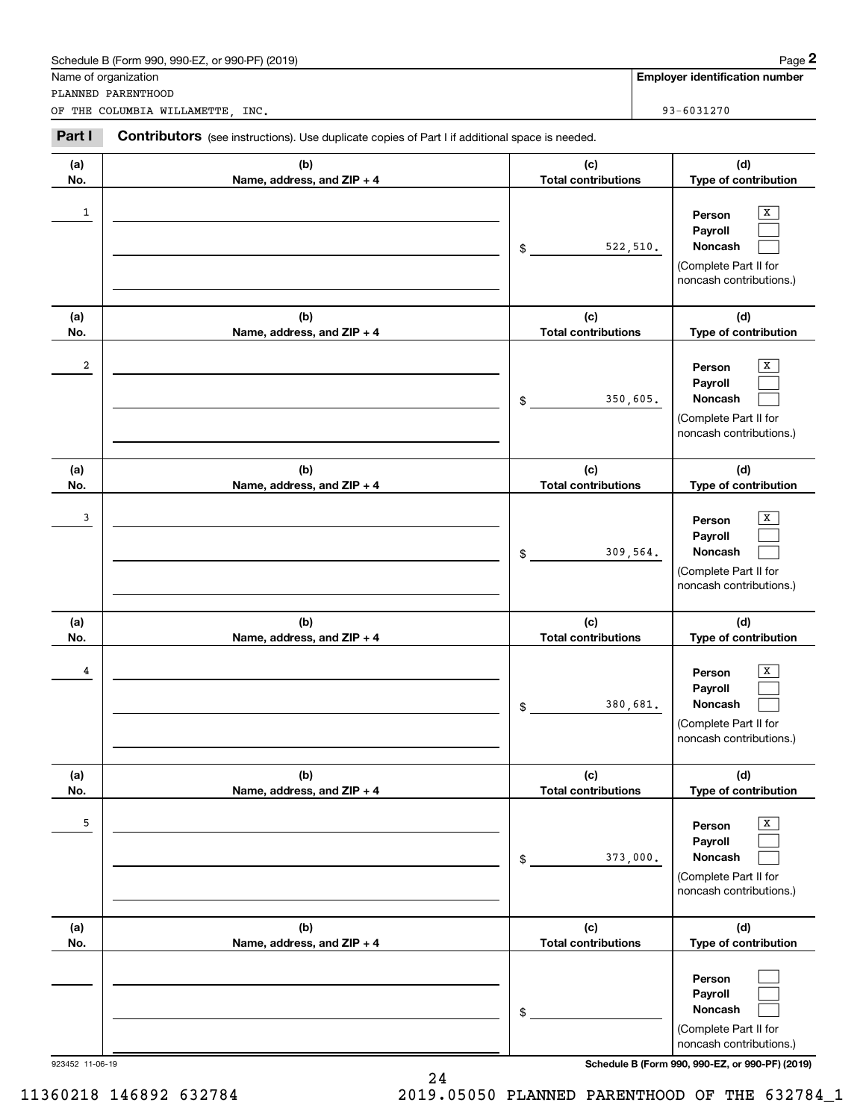|                 | Schedule B (Form 990, 990-EZ, or 990-PF) (2019)                                                |                                   | Page 2                                                                                                                    |
|-----------------|------------------------------------------------------------------------------------------------|-----------------------------------|---------------------------------------------------------------------------------------------------------------------------|
|                 | Name of organization<br>PLANNED PARENTHOOD                                                     |                                   | <b>Employer identification number</b>                                                                                     |
|                 | OF THE COLUMBIA WILLAMETTE, INC.                                                               |                                   | 93-6031270                                                                                                                |
| Part I          | Contributors (see instructions). Use duplicate copies of Part I if additional space is needed. |                                   |                                                                                                                           |
| (a)             | (b)                                                                                            | (c)                               | (d)                                                                                                                       |
| No.             | Name, address, and ZIP + 4                                                                     | <b>Total contributions</b>        | Type of contribution                                                                                                      |
| 1               |                                                                                                | \$                                | x<br>Person<br>Payroll<br>Noncash<br>522, 510.<br>(Complete Part II for<br>noncash contributions.)                        |
| (a)             | (b)                                                                                            | (c)                               | (d)                                                                                                                       |
| No.<br>2        | Name, address, and ZIP + 4                                                                     | <b>Total contributions</b><br>\$  | Type of contribution<br>x<br>Person<br>Payroll<br>Noncash<br>350,605.<br>(Complete Part II for<br>noncash contributions.) |
| (a)<br>No.      | (b)<br>Name, address, and ZIP + 4                                                              | (c)<br><b>Total contributions</b> | (d)<br>Type of contribution                                                                                               |
| 3               |                                                                                                | \$                                | x<br>Person<br>Payroll<br>Noncash<br>309,564.<br>(Complete Part II for<br>noncash contributions.)                         |
| (a)<br>No.      | (b)<br>Name, address, and ZIP + 4                                                              | (c)<br><b>Total contributions</b> | (d)<br>Type of contribution                                                                                               |
| 4               |                                                                                                | \$                                | $\overline{X}$<br>Person<br>Payroll<br>Noncash<br>380,681.<br>(Complete Part II for<br>noncash contributions.)            |
| (a)<br>No.      | (b)<br>Name, address, and ZIP + 4                                                              | (c)<br><b>Total contributions</b> | (d)<br>Type of contribution                                                                                               |
| 5               |                                                                                                | \$                                | x<br>Person<br>Payroll<br>Noncash<br>373,000.<br>(Complete Part II for<br>noncash contributions.)                         |
| (a)<br>No.      | (b)<br>Name, address, and ZIP + 4                                                              | (c)<br><b>Total contributions</b> | (d)<br>Type of contribution                                                                                               |
|                 |                                                                                                | \$                                | Person<br>Payroll<br>Noncash<br>(Complete Part II for<br>noncash contributions.)                                          |
| 923452 11-06-19 |                                                                                                |                                   | Schedule B (Form 990, 990-EZ, or 990-PF) (2019)                                                                           |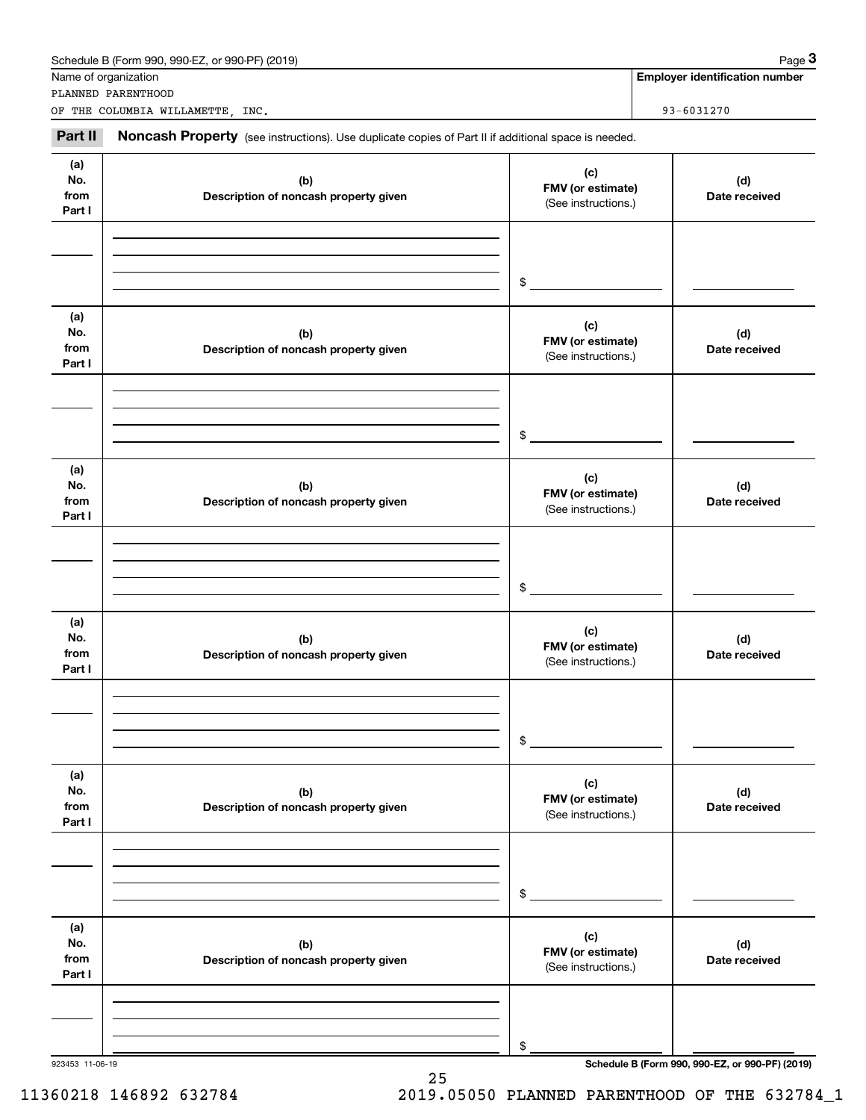|                              | Schedule B (Form 990, 990-EZ, or 990-PF) (2019)                                                     |                                                 | Page 3                                          |
|------------------------------|-----------------------------------------------------------------------------------------------------|-------------------------------------------------|-------------------------------------------------|
|                              | Name of organization<br>PLANNED PARENTHOOD                                                          |                                                 | <b>Employer identification number</b>           |
|                              | OF THE COLUMBIA WILLAMETTE, INC.                                                                    |                                                 | 93-6031270                                      |
| Part II                      | Noncash Property (see instructions). Use duplicate copies of Part II if additional space is needed. |                                                 |                                                 |
| (a)<br>No.<br>from<br>Part I | (b)<br>Description of noncash property given                                                        | (c)<br>FMV (or estimate)<br>(See instructions.) | (d)<br>Date received                            |
|                              |                                                                                                     | \$                                              |                                                 |
| (a)<br>No.<br>from<br>Part I | (b)<br>Description of noncash property given                                                        | (c)<br>FMV (or estimate)<br>(See instructions.) | (d)<br>Date received                            |
|                              |                                                                                                     | \$                                              |                                                 |
| (a)<br>No.<br>from<br>Part I | (b)<br>Description of noncash property given                                                        | (c)<br>FMV (or estimate)<br>(See instructions.) | (d)<br>Date received                            |
|                              |                                                                                                     | \$                                              |                                                 |
| (a)<br>No.<br>from<br>Part I | (b)<br>Description of noncash property given                                                        | (c)<br>FMV (or estimate)<br>(See instructions.) | (d)<br>Date received                            |
|                              |                                                                                                     | \$                                              |                                                 |
| (a)<br>No.<br>from<br>Part I | (b)<br>Description of noncash property given                                                        | (c)<br>FMV (or estimate)<br>(See instructions.) | (d)<br>Date received                            |
|                              |                                                                                                     | \$                                              |                                                 |
| (a)<br>No.<br>from<br>Part I | (b)<br>Description of noncash property given                                                        | (c)<br>FMV (or estimate)<br>(See instructions.) | (d)<br>Date received                            |
|                              |                                                                                                     | \$                                              |                                                 |
| 923453 11-06-19              |                                                                                                     |                                                 | Schedule B (Form 990, 990-EZ, or 990-PF) (2019) |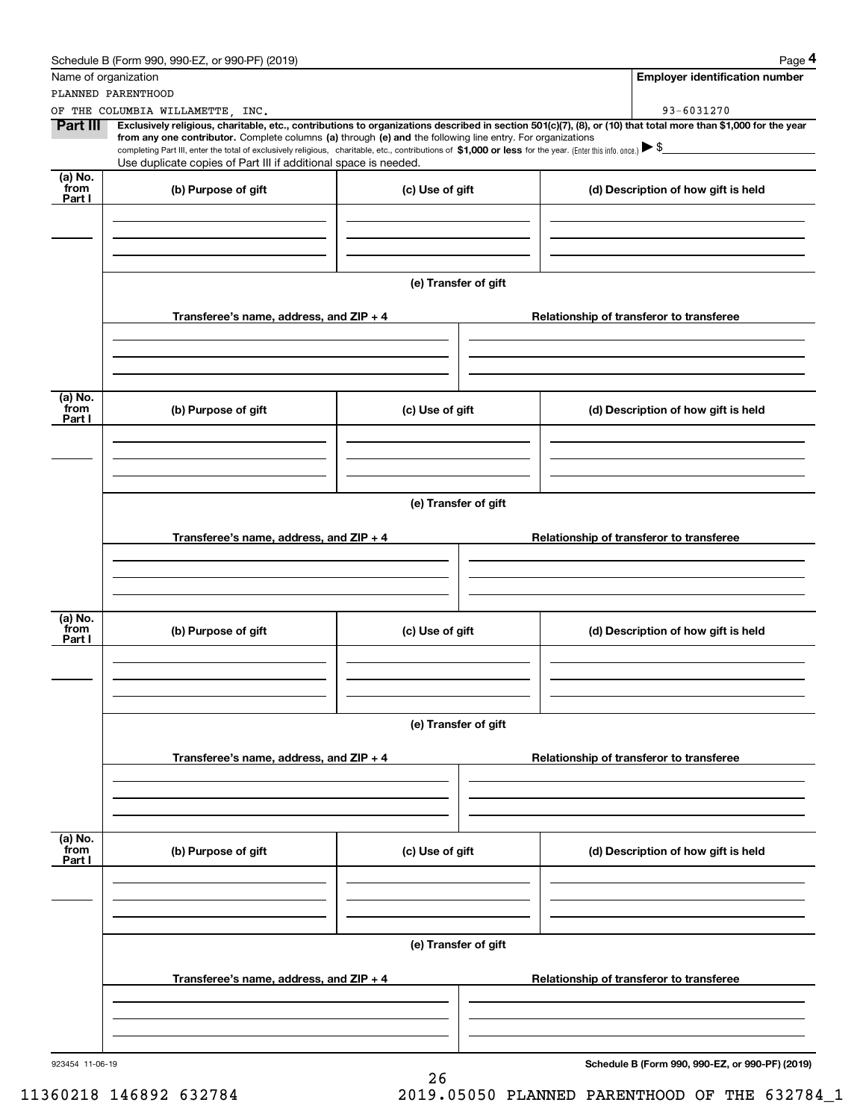|                           | Schedule B (Form 990, 990-EZ, or 990-PF) (2019)                                                                                                                                                                                                      |                      | Page 4                                                                                                                                                                       |  |  |  |  |
|---------------------------|------------------------------------------------------------------------------------------------------------------------------------------------------------------------------------------------------------------------------------------------------|----------------------|------------------------------------------------------------------------------------------------------------------------------------------------------------------------------|--|--|--|--|
| Name of organization      |                                                                                                                                                                                                                                                      |                      | <b>Employer identification number</b>                                                                                                                                        |  |  |  |  |
|                           | PLANNED PARENTHOOD                                                                                                                                                                                                                                   |                      |                                                                                                                                                                              |  |  |  |  |
| Part III                  | OF THE COLUMBIA WILLAMETTE, INC.<br>from any one contributor. Complete columns (a) through (e) and the following line entry. For organizations                                                                                                       |                      | 93-6031270<br>Exclusively religious, charitable, etc., contributions to organizations described in section 501(c)(7), (8), or (10) that total more than \$1,000 for the year |  |  |  |  |
|                           | completing Part III, enter the total of exclusively religious, charitable, etc., contributions of \$1,000 or less for the year. (Enter this info. once.) $\blacktriangleright$ \$<br>Use duplicate copies of Part III if additional space is needed. |                      |                                                                                                                                                                              |  |  |  |  |
| (a) No.<br>from<br>Part I | (b) Purpose of gift                                                                                                                                                                                                                                  | (c) Use of gift      | (d) Description of how gift is held                                                                                                                                          |  |  |  |  |
|                           |                                                                                                                                                                                                                                                      |                      |                                                                                                                                                                              |  |  |  |  |
|                           |                                                                                                                                                                                                                                                      |                      |                                                                                                                                                                              |  |  |  |  |
|                           |                                                                                                                                                                                                                                                      | (e) Transfer of gift |                                                                                                                                                                              |  |  |  |  |
|                           | Transferee's name, address, and $ZIP + 4$                                                                                                                                                                                                            |                      | Relationship of transferor to transferee                                                                                                                                     |  |  |  |  |
|                           |                                                                                                                                                                                                                                                      |                      |                                                                                                                                                                              |  |  |  |  |
| (a) No.<br>from           | (b) Purpose of gift                                                                                                                                                                                                                                  | (c) Use of gift      | (d) Description of how gift is held                                                                                                                                          |  |  |  |  |
| Part I                    |                                                                                                                                                                                                                                                      |                      |                                                                                                                                                                              |  |  |  |  |
|                           |                                                                                                                                                                                                                                                      |                      |                                                                                                                                                                              |  |  |  |  |
|                           | (e) Transfer of gift                                                                                                                                                                                                                                 |                      |                                                                                                                                                                              |  |  |  |  |
|                           | Transferee's name, address, and $ZIP + 4$                                                                                                                                                                                                            |                      | Relationship of transferor to transferee                                                                                                                                     |  |  |  |  |
|                           |                                                                                                                                                                                                                                                      |                      |                                                                                                                                                                              |  |  |  |  |
|                           |                                                                                                                                                                                                                                                      |                      |                                                                                                                                                                              |  |  |  |  |
| (a) No.<br>from<br>Part I | (b) Purpose of gift                                                                                                                                                                                                                                  | (c) Use of gift      | (d) Description of how gift is held                                                                                                                                          |  |  |  |  |
|                           |                                                                                                                                                                                                                                                      |                      |                                                                                                                                                                              |  |  |  |  |
|                           |                                                                                                                                                                                                                                                      |                      |                                                                                                                                                                              |  |  |  |  |
|                           |                                                                                                                                                                                                                                                      | (e) Transfer of gift |                                                                                                                                                                              |  |  |  |  |
|                           | Transferee's name, address, and ZIP + 4                                                                                                                                                                                                              |                      | Relationship of transferor to transferee                                                                                                                                     |  |  |  |  |
|                           |                                                                                                                                                                                                                                                      |                      |                                                                                                                                                                              |  |  |  |  |
| (a) No.<br>from<br>Part I | (b) Purpose of gift                                                                                                                                                                                                                                  | (c) Use of gift      | (d) Description of how gift is held                                                                                                                                          |  |  |  |  |
|                           |                                                                                                                                                                                                                                                      |                      |                                                                                                                                                                              |  |  |  |  |
|                           |                                                                                                                                                                                                                                                      |                      |                                                                                                                                                                              |  |  |  |  |
|                           |                                                                                                                                                                                                                                                      | (e) Transfer of gift |                                                                                                                                                                              |  |  |  |  |
|                           | Transferee's name, address, and ZIP + 4                                                                                                                                                                                                              |                      | Relationship of transferor to transferee                                                                                                                                     |  |  |  |  |
|                           |                                                                                                                                                                                                                                                      |                      |                                                                                                                                                                              |  |  |  |  |
| 923454 11-06-19           |                                                                                                                                                                                                                                                      |                      | Schedule B (Form 990, 990-EZ, or 990-PF) (2019)                                                                                                                              |  |  |  |  |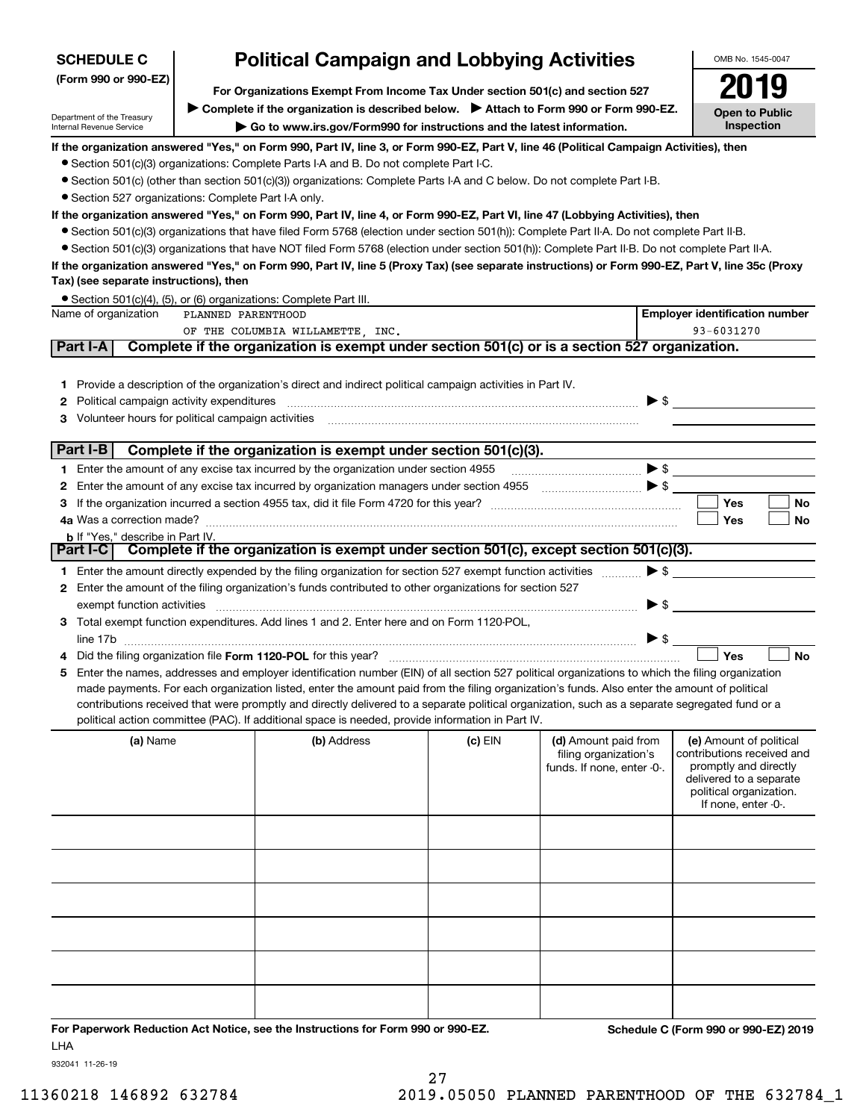| <b>SCHEDULE C</b>                                      |                                                                               | <b>Political Campaign and Lobbying Activities</b>                                                                                                 |           |                                               |                          | OMB No. 1545-0047                                     |
|--------------------------------------------------------|-------------------------------------------------------------------------------|---------------------------------------------------------------------------------------------------------------------------------------------------|-----------|-----------------------------------------------|--------------------------|-------------------------------------------------------|
| (Form 990 or 990-EZ)                                   | For Organizations Exempt From Income Tax Under section 501(c) and section 527 |                                                                                                                                                   |           |                                               |                          |                                                       |
|                                                        |                                                                               | ▶ Complete if the organization is described below. ▶ Attach to Form 990 or Form 990-EZ.                                                           |           |                                               |                          |                                                       |
| Department of the Treasury<br>Internal Revenue Service |                                                                               | Go to www.irs.gov/Form990 for instructions and the latest information.                                                                            |           |                                               |                          | <b>Open to Public</b><br>Inspection                   |
|                                                        |                                                                               | If the organization answered "Yes," on Form 990, Part IV, line 3, or Form 990-EZ, Part V, line 46 (Political Campaign Activities), then           |           |                                               |                          |                                                       |
|                                                        |                                                                               | • Section 501(c)(3) organizations: Complete Parts I-A and B. Do not complete Part I-C.                                                            |           |                                               |                          |                                                       |
|                                                        |                                                                               | • Section 501(c) (other than section 501(c)(3)) organizations: Complete Parts I-A and C below. Do not complete Part I-B.                          |           |                                               |                          |                                                       |
| • Section 527 organizations: Complete Part I-A only.   |                                                                               |                                                                                                                                                   |           |                                               |                          |                                                       |
|                                                        |                                                                               | If the organization answered "Yes," on Form 990, Part IV, line 4, or Form 990-EZ, Part VI, line 47 (Lobbying Activities), then                    |           |                                               |                          |                                                       |
|                                                        |                                                                               | • Section 501(c)(3) organizations that have filed Form 5768 (election under section 501(h)): Complete Part II-A. Do not complete Part II-B.       |           |                                               |                          |                                                       |
|                                                        |                                                                               | • Section 501(c)(3) organizations that have NOT filed Form 5768 (election under section 501(h)): Complete Part II-B. Do not complete Part II-A.   |           |                                               |                          |                                                       |
| Tax) (see separate instructions), then                 |                                                                               | If the organization answered "Yes," on Form 990, Part IV, line 5 (Proxy Tax) (see separate instructions) or Form 990-EZ, Part V, line 35c (Proxy  |           |                                               |                          |                                                       |
|                                                        |                                                                               | • Section 501(c)(4), (5), or (6) organizations: Complete Part III.                                                                                |           |                                               |                          |                                                       |
| Name of organization                                   | PLANNED PARENTHOOD                                                            |                                                                                                                                                   |           |                                               |                          | <b>Employer identification number</b>                 |
| Part I-A                                               |                                                                               | OF THE COLUMBIA WILLAMETTE, INC.<br>Complete if the organization is exempt under section 501(c) or is a section 527 organization.                 |           |                                               |                          | 93-6031270                                            |
|                                                        |                                                                               |                                                                                                                                                   |           |                                               |                          |                                                       |
|                                                        |                                                                               | 1 Provide a description of the organization's direct and indirect political campaign activities in Part IV.                                       |           |                                               |                          |                                                       |
| Political campaign activity expenditures<br>2          |                                                                               |                                                                                                                                                   |           |                                               |                          | $\blacktriangleright$ \$                              |
| Volunteer hours for political campaign activities<br>3 |                                                                               |                                                                                                                                                   |           |                                               |                          |                                                       |
|                                                        |                                                                               |                                                                                                                                                   |           |                                               |                          |                                                       |
| Part I-B                                               |                                                                               | Complete if the organization is exempt under section 501(c)(3).                                                                                   |           |                                               |                          |                                                       |
|                                                        |                                                                               | 1 Enter the amount of any excise tax incurred by the organization under section 4955                                                              |           |                                               |                          | $\bullet$ s $\overline{\phantom{a}}$                  |
| 2                                                      |                                                                               | Enter the amount of any excise tax incurred by organization managers under section 4955 [100] [100] S [100]                                       |           |                                               |                          | Yes<br><b>No</b>                                      |
| з                                                      |                                                                               |                                                                                                                                                   |           |                                               |                          | Yes<br>No                                             |
| <b>b</b> If "Yes," describe in Part IV.                |                                                                               |                                                                                                                                                   |           |                                               |                          |                                                       |
|                                                        |                                                                               | Part I-C   Complete if the organization is exempt under section 501(c), except section 501(c)(3).                                                 |           |                                               |                          |                                                       |
|                                                        |                                                                               | 1 Enter the amount directly expended by the filing organization for section 527 exempt function activities                                        |           |                                               |                          | $\blacktriangleright$ \$                              |
|                                                        |                                                                               | 2 Enter the amount of the filing organization's funds contributed to other organizations for section 527                                          |           |                                               |                          |                                                       |
| exempt function activities                             |                                                                               |                                                                                                                                                   |           |                                               | $\blacktriangleright$ \$ |                                                       |
|                                                        |                                                                               | 3 Total exempt function expenditures. Add lines 1 and 2. Enter here and on Form 1120-POL,                                                         |           |                                               |                          |                                                       |
|                                                        |                                                                               |                                                                                                                                                   |           |                                               | $\triangleright$ \$      |                                                       |
|                                                        |                                                                               |                                                                                                                                                   |           |                                               |                          | Yes<br><b>No</b>                                      |
|                                                        |                                                                               | 5 Enter the names, addresses and employer identification number (EIN) of all section 527 political organizations to which the filing organization |           |                                               |                          |                                                       |
|                                                        |                                                                               | made payments. For each organization listed, enter the amount paid from the filing organization's funds. Also enter the amount of political       |           |                                               |                          |                                                       |
|                                                        |                                                                               | contributions received that were promptly and directly delivered to a separate political organization, such as a separate segregated fund or a    |           |                                               |                          |                                                       |
|                                                        |                                                                               | political action committee (PAC). If additional space is needed, provide information in Part IV.                                                  |           |                                               |                          |                                                       |
| (a) Name                                               |                                                                               | (b) Address                                                                                                                                       | $(c)$ EIN | (d) Amount paid from<br>filing organization's |                          | (e) Amount of political<br>contributions received and |
|                                                        |                                                                               |                                                                                                                                                   |           | funds. If none, enter -0-.                    |                          | promptly and directly                                 |
|                                                        |                                                                               |                                                                                                                                                   |           |                                               |                          | delivered to a separate                               |
|                                                        |                                                                               |                                                                                                                                                   |           |                                               |                          | political organization.<br>If none, enter -0-.        |
|                                                        |                                                                               |                                                                                                                                                   |           |                                               |                          |                                                       |
|                                                        |                                                                               |                                                                                                                                                   |           |                                               |                          |                                                       |
|                                                        |                                                                               |                                                                                                                                                   |           |                                               |                          |                                                       |
|                                                        |                                                                               |                                                                                                                                                   |           |                                               |                          |                                                       |
|                                                        |                                                                               |                                                                                                                                                   |           |                                               |                          |                                                       |
|                                                        |                                                                               |                                                                                                                                                   |           |                                               |                          |                                                       |
|                                                        |                                                                               |                                                                                                                                                   |           |                                               |                          |                                                       |
|                                                        |                                                                               |                                                                                                                                                   |           |                                               |                          |                                                       |
|                                                        |                                                                               |                                                                                                                                                   |           |                                               |                          |                                                       |

**For Paperwork Reduction Act Notice, see the Instructions for Form 990 or 990-EZ. Schedule C (Form 990 or 990-EZ) 2019** LHA

932041 11-26-19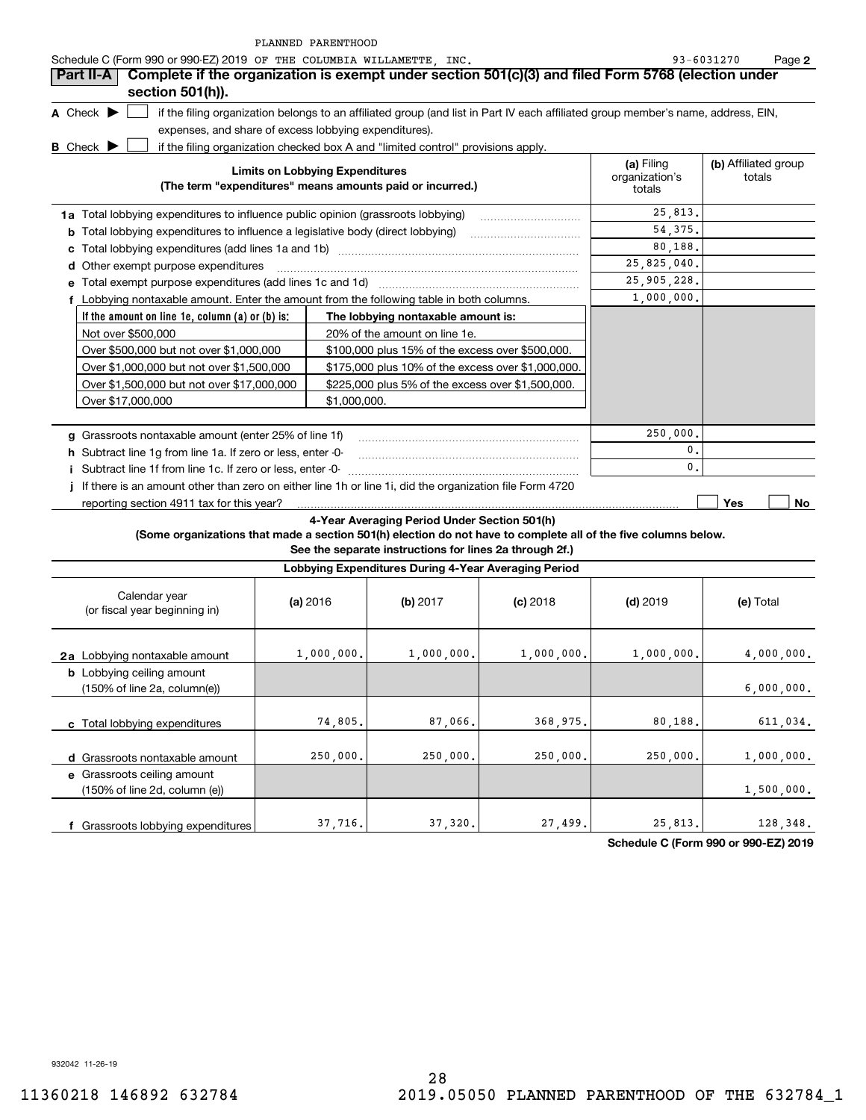|  |  | PLANNED PARENTHOOD |
|--|--|--------------------|
|--|--|--------------------|

| Schedule C (Form 990 or 990-EZ) 2019 OF THE COLUMBIA WILLAMETTE, INC.<br>Complete if the organization is exempt under section 501(c)(3) and filed Form 5768 (election under<br>Part II-A |                                        |                                                         |            |                                        | 93-6031270<br>Page 2           |
|------------------------------------------------------------------------------------------------------------------------------------------------------------------------------------------|----------------------------------------|---------------------------------------------------------|------------|----------------------------------------|--------------------------------|
| section 501(h)).                                                                                                                                                                         |                                        |                                                         |            |                                        |                                |
| A Check $\blacktriangleright$<br>if the filing organization belongs to an affiliated group (and list in Part IV each affiliated group member's name, address, EIN,                       |                                        |                                                         |            |                                        |                                |
| expenses, and share of excess lobbying expenditures).                                                                                                                                    |                                        |                                                         |            |                                        |                                |
| <b>B</b> Check $\blacktriangleright$<br>if the filing organization checked box A and "limited control" provisions apply.                                                                 |                                        |                                                         |            |                                        |                                |
| (The term "expenditures" means amounts paid or incurred.)                                                                                                                                | <b>Limits on Lobbying Expenditures</b> |                                                         |            | (a) Filing<br>organization's<br>totals | (b) Affiliated group<br>totals |
| 1a Total lobbying expenditures to influence public opinion (grassroots lobbying)                                                                                                         |                                        |                                                         |            | 25,813.                                |                                |
| <b>b</b> Total lobbying expenditures to influence a legislative body (direct lobbying)                                                                                                   |                                        |                                                         |            | 54.375.                                |                                |
| с                                                                                                                                                                                        |                                        |                                                         |            | 80,188.                                |                                |
| d Other exempt purpose expenditures                                                                                                                                                      |                                        |                                                         |            | 25,825,040.                            |                                |
| e Total exempt purpose expenditures (add lines 1c and 1d)                                                                                                                                |                                        |                                                         |            | 25, 905, 228.                          |                                |
| f Lobbying nontaxable amount. Enter the amount from the following table in both columns.                                                                                                 |                                        |                                                         |            | 1,000,000.                             |                                |
| If the amount on line 1e, column $(a)$ or $(b)$ is;                                                                                                                                      |                                        | The lobbying nontaxable amount is:                      |            |                                        |                                |
| Not over \$500,000                                                                                                                                                                       |                                        | 20% of the amount on line 1e.                           |            |                                        |                                |
| Over \$500,000 but not over \$1,000,000                                                                                                                                                  |                                        | \$100,000 plus 15% of the excess over \$500,000.        |            |                                        |                                |
| Over \$1,000,000 but not over \$1,500,000                                                                                                                                                |                                        | \$175,000 plus 10% of the excess over \$1,000,000.      |            |                                        |                                |
| Over \$1,500,000 but not over \$17,000,000                                                                                                                                               |                                        | \$225,000 plus 5% of the excess over \$1,500,000.       |            |                                        |                                |
| Over \$17,000,000                                                                                                                                                                        | \$1,000,000.                           |                                                         |            |                                        |                                |
| g Grassroots nontaxable amount (enter 25% of line 1f)                                                                                                                                    |                                        |                                                         |            | 250,000.                               |                                |
| h Subtract line 1g from line 1a. If zero or less, enter -0-                                                                                                                              |                                        |                                                         |            | 0.                                     |                                |
| i Subtract line 1f from line 1c. If zero or less, enter -0-                                                                                                                              |                                        |                                                         |            | $\mathbf{0}$ .                         |                                |
| If there is an amount other than zero on either line 1h or line 1i, did the organization file Form 4720                                                                                  |                                        |                                                         |            |                                        |                                |
| reporting section 4911 tax for this year?                                                                                                                                                |                                        |                                                         |            |                                        | Yes<br>No.                     |
|                                                                                                                                                                                          |                                        | 4-Year Averaging Period Under Section 501(h)            |            |                                        |                                |
| (Some organizations that made a section 501(h) election do not have to complete all of the five columns below.                                                                           |                                        | See the separate instructions for lines 2a through 2f.) |            |                                        |                                |
|                                                                                                                                                                                          |                                        | Lobbying Expenditures During 4-Year Averaging Period    |            |                                        |                                |
| Calendar year<br>(or fiscal year beginning in)                                                                                                                                           | (a) 2016                               | (b) $2017$                                              | $(c)$ 2018 | $(d)$ 2019                             | (e) Total                      |
|                                                                                                                                                                                          |                                        |                                                         |            |                                        |                                |

| 2a Lobbying nontaxable amount                                    | 1,000,000. | 1,000,000. | 1,000,000. | 1,000,000. | 4,000,000. |
|------------------------------------------------------------------|------------|------------|------------|------------|------------|
| <b>b</b> Lobbying ceiling amount<br>(150% of line 2a, column(e)) |            |            |            |            | 6,000,000. |
| c Total lobbying expenditures                                    | 74,805.    | 87.066.    | 368,975.   | 80.188.    | 611,034.   |
| d Grassroots nontaxable amount                                   | 250,000.   | 250,000.   | 250,000.   | 250,000.   | 1,000,000. |
| e Grassroots ceiling amount<br>(150% of line 2d, column (e))     |            |            |            |            | 1,500,000. |
| Grassroots lobbying expenditures                                 | 37,716.    | 37,320.    | 27,499.    | 25,813.    | 128,348.   |

**Schedule C (Form 990 or 990-EZ) 2019**

932042 11-26-19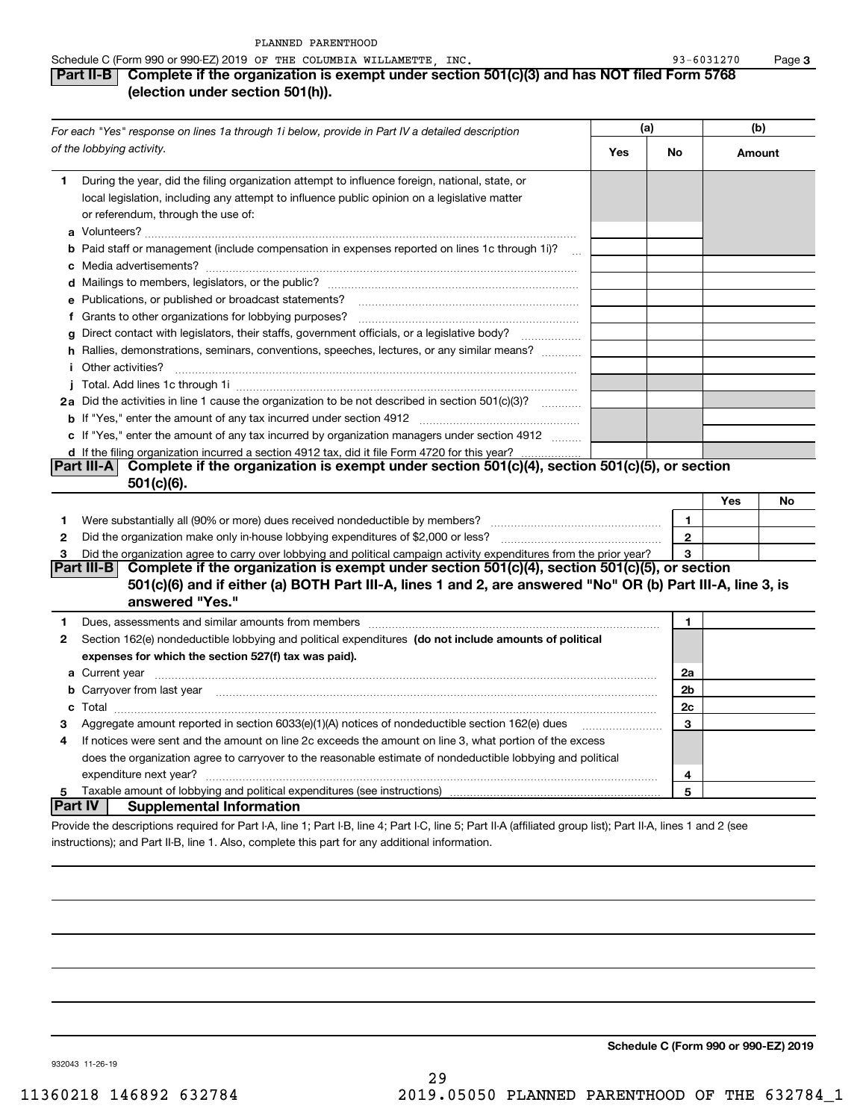932043 11-26-19

| Part II-B $\mid$ Complete if the organization is exempt under section 501(c)(3) and has NOT filed Form 5768 |  |  |
|-------------------------------------------------------------------------------------------------------------|--|--|
| (election under section 501(h)).                                                                            |  |  |

|        | For each "Yes" response on lines 1a through 1i below, provide in Part IV a detailed description                                                                                                                                                                                                                                                                      | (a) |                      | (b)    |    |
|--------|----------------------------------------------------------------------------------------------------------------------------------------------------------------------------------------------------------------------------------------------------------------------------------------------------------------------------------------------------------------------|-----|----------------------|--------|----|
|        | of the lobbying activity.                                                                                                                                                                                                                                                                                                                                            | Yes | No                   | Amount |    |
| 1      | During the year, did the filing organization attempt to influence foreign, national, state, or<br>local legislation, including any attempt to influence public opinion on a legislative matter<br>or referendum, through the use of:                                                                                                                                 |     |                      |        |    |
|        | <b>b</b> Paid staff or management (include compensation in expenses reported on lines 1c through 1i)?<br>$\sim$                                                                                                                                                                                                                                                      |     |                      |        |    |
|        | e Publications, or published or broadcast statements?                                                                                                                                                                                                                                                                                                                |     |                      |        |    |
|        | f Grants to other organizations for lobbying purposes?<br>Direct contact with legislators, their staffs, government officials, or a legislative body?<br>h Rallies, demonstrations, seminars, conventions, speeches, lectures, or any similar means?                                                                                                                 |     |                      |        |    |
| i.     | Other activities?                                                                                                                                                                                                                                                                                                                                                    |     |                      |        |    |
|        | 2a Did the activities in line 1 cause the organization to be not described in section 501(c)(3)?                                                                                                                                                                                                                                                                     |     |                      |        |    |
|        | c If "Yes," enter the amount of any tax incurred by organization managers under section 4912<br>d If the filing organization incurred a section 4912 tax, did it file Form 4720 for this year?                                                                                                                                                                       |     |                      |        |    |
|        | Part III-A Complete if the organization is exempt under section 501(c)(4), section 501(c)(5), or section<br>$501(c)(6)$ .                                                                                                                                                                                                                                            |     |                      |        |    |
| 1      | Were substantially all (90% or more) dues received nondeductible by members?                                                                                                                                                                                                                                                                                         |     | $\mathbf{1}$         | Yes    | No |
| 2      |                                                                                                                                                                                                                                                                                                                                                                      |     | $\bf 2$              |        |    |
| 3      | Did the organization agree to carry over lobbying and political campaign activity expenditures from the prior year?<br>Part III-B<br>Complete if the organization is exempt under section 501(c)(4), section 501(c)(5), or section<br>501(c)(6) and if either (a) BOTH Part III-A, lines 1 and 2, are answered "No" OR (b) Part III-A, line 3, is<br>answered "Yes." |     | 3                    |        |    |
| 1      |                                                                                                                                                                                                                                                                                                                                                                      |     | 1                    |        |    |
| 2      | Section 162(e) nondeductible lobbying and political expenditures (do not include amounts of political<br>expenses for which the section 527(f) tax was paid).                                                                                                                                                                                                        |     |                      |        |    |
|        | <b>a</b> Current year<br><b>b</b> Carryover from last year manufactured contains and contained a contained and contained a contained and contained a contained a contained and contained a contained a contained and contained a contained a contained a con                                                                                                         |     | 2a<br>2 <sub>b</sub> |        |    |
|        |                                                                                                                                                                                                                                                                                                                                                                      |     | 2c                   |        |    |
| З<br>4 | Aggregate amount reported in section 6033(e)(1)(A) notices of nondeductible section 162(e) dues<br>If notices were sent and the amount on line 2c exceeds the amount on line 3, what portion of the excess<br>does the organization agree to carryover to the reasonable estimate of nondeductible lobbying and political                                            |     | 3                    |        |    |
|        | expenditure next year?                                                                                                                                                                                                                                                                                                                                               |     | 4                    |        |    |
| 5      | <b>Part IV</b><br><b>Supplemental Information</b>                                                                                                                                                                                                                                                                                                                    |     | 5                    |        |    |
|        | Provide the descriptions required for Part I-A, line 1; Part I-B, line 4; Part I-C, line 5; Part II-A (affiliated group list); Part II-A, lines 1 and 2 (see                                                                                                                                                                                                         |     |                      |        |    |

instructions); and Part II-B, line 1. Also, complete this part for any additional information.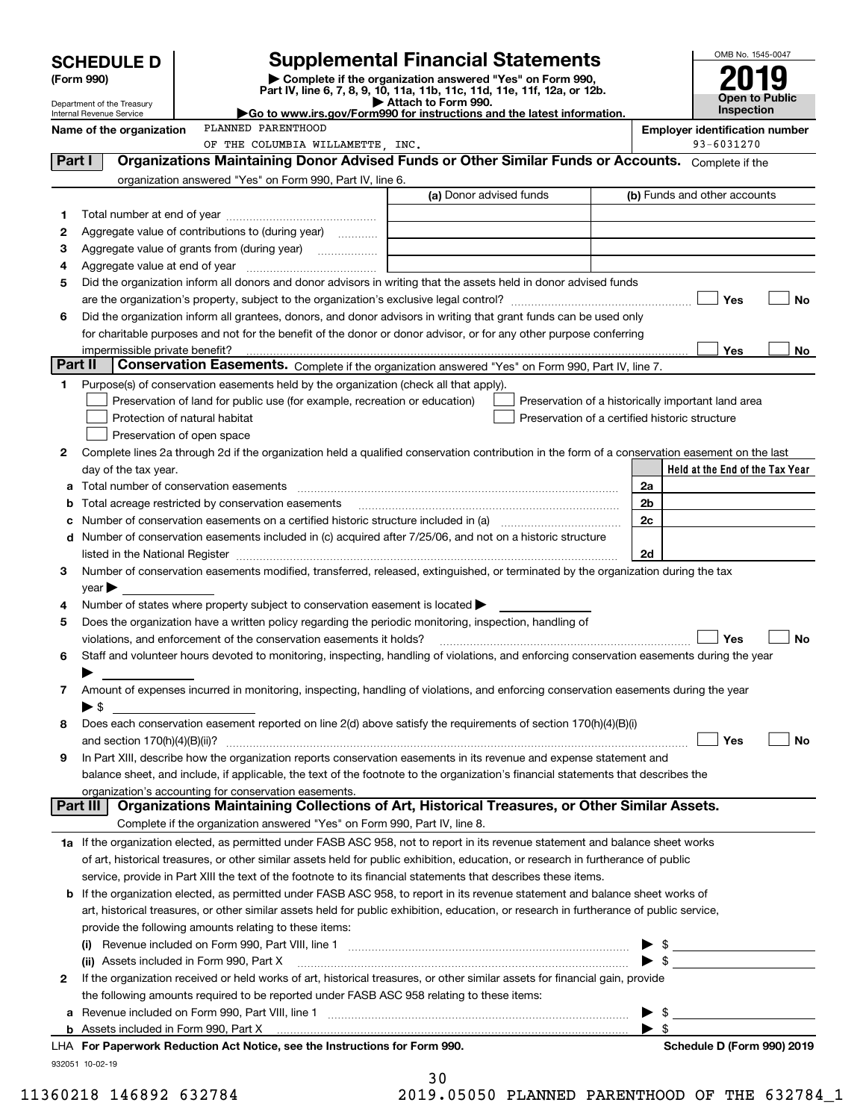|         | <b>SCHEDULE D</b>                                                                                                  |  |                                                                                                                                                                                                                                |                         |  |                                                    |  |                         |                                       | OMB No. 1545-0047     |    |
|---------|--------------------------------------------------------------------------------------------------------------------|--|--------------------------------------------------------------------------------------------------------------------------------------------------------------------------------------------------------------------------------|-------------------------|--|----------------------------------------------------|--|-------------------------|---------------------------------------|-----------------------|----|
|         | <b>Supplemental Financial Statements</b><br>Complete if the organization answered "Yes" on Form 990,<br>(Form 990) |  |                                                                                                                                                                                                                                |                         |  |                                                    |  |                         |                                       |                       |    |
|         | Department of the Treasury                                                                                         |  | Part IV, line 6, 7, 8, 9, 10, 11a, 11b, 11c, 11d, 11e, 11f, 12a, or 12b.                                                                                                                                                       | Attach to Form 990.     |  |                                                    |  |                         |                                       | <b>Open to Public</b> |    |
|         | Internal Revenue Service                                                                                           |  | Go to www.irs.gov/Form990 for instructions and the latest information.                                                                                                                                                         |                         |  |                                                    |  |                         |                                       | Inspection            |    |
|         | Name of the organization                                                                                           |  | PLANNED PARENTHOOD                                                                                                                                                                                                             |                         |  |                                                    |  |                         | <b>Employer identification number</b> |                       |    |
| Part I  |                                                                                                                    |  | OF THE COLUMBIA WILLAMETTE, INC.<br>Organizations Maintaining Donor Advised Funds or Other Similar Funds or Accounts. Complete if the                                                                                          |                         |  |                                                    |  |                         |                                       | 93-6031270            |    |
|         |                                                                                                                    |  | organization answered "Yes" on Form 990, Part IV, line 6.                                                                                                                                                                      |                         |  |                                                    |  |                         |                                       |                       |    |
|         |                                                                                                                    |  |                                                                                                                                                                                                                                | (a) Donor advised funds |  |                                                    |  |                         | (b) Funds and other accounts          |                       |    |
| 1       |                                                                                                                    |  |                                                                                                                                                                                                                                |                         |  |                                                    |  |                         |                                       |                       |    |
| 2       |                                                                                                                    |  | Aggregate value of contributions to (during year)                                                                                                                                                                              |                         |  |                                                    |  |                         |                                       |                       |    |
| з       |                                                                                                                    |  |                                                                                                                                                                                                                                |                         |  |                                                    |  |                         |                                       |                       |    |
| 4       |                                                                                                                    |  |                                                                                                                                                                                                                                |                         |  |                                                    |  |                         |                                       |                       |    |
| 5       |                                                                                                                    |  | Did the organization inform all donors and donor advisors in writing that the assets held in donor advised funds                                                                                                               |                         |  |                                                    |  |                         |                                       |                       |    |
|         |                                                                                                                    |  |                                                                                                                                                                                                                                |                         |  |                                                    |  |                         |                                       | Yes                   | No |
| 6       |                                                                                                                    |  | Did the organization inform all grantees, donors, and donor advisors in writing that grant funds can be used only                                                                                                              |                         |  |                                                    |  |                         |                                       |                       |    |
|         |                                                                                                                    |  | for charitable purposes and not for the benefit of the donor or donor advisor, or for any other purpose conferring                                                                                                             |                         |  |                                                    |  |                         |                                       |                       |    |
| Part II | impermissible private benefit?                                                                                     |  | Conservation Easements. Complete if the organization answered "Yes" on Form 990, Part IV, line 7.                                                                                                                              |                         |  |                                                    |  |                         |                                       | Yes                   | No |
| 1.      |                                                                                                                    |  | Purpose(s) of conservation easements held by the organization (check all that apply).                                                                                                                                          |                         |  |                                                    |  |                         |                                       |                       |    |
|         |                                                                                                                    |  | Preservation of land for public use (for example, recreation or education)                                                                                                                                                     |                         |  | Preservation of a historically important land area |  |                         |                                       |                       |    |
|         | Protection of natural habitat                                                                                      |  |                                                                                                                                                                                                                                |                         |  | Preservation of a certified historic structure     |  |                         |                                       |                       |    |
|         | Preservation of open space                                                                                         |  |                                                                                                                                                                                                                                |                         |  |                                                    |  |                         |                                       |                       |    |
| 2       |                                                                                                                    |  | Complete lines 2a through 2d if the organization held a qualified conservation contribution in the form of a conservation easement on the last                                                                                 |                         |  |                                                    |  |                         |                                       |                       |    |
|         | day of the tax year.                                                                                               |  |                                                                                                                                                                                                                                |                         |  |                                                    |  |                         | Held at the End of the Tax Year       |                       |    |
|         |                                                                                                                    |  |                                                                                                                                                                                                                                |                         |  |                                                    |  | 2a                      |                                       |                       |    |
|         |                                                                                                                    |  | Total acreage restricted by conservation easements                                                                                                                                                                             |                         |  |                                                    |  | 2 <sub>b</sub>          |                                       |                       |    |
|         |                                                                                                                    |  | Number of conservation easements on a certified historic structure included in (a) manufacture included in (a)                                                                                                                 |                         |  |                                                    |  | 2c                      |                                       |                       |    |
| d       |                                                                                                                    |  | Number of conservation easements included in (c) acquired after 7/25/06, and not on a historic structure                                                                                                                       |                         |  |                                                    |  |                         |                                       |                       |    |
|         | listed in the National Register                                                                                    |  |                                                                                                                                                                                                                                |                         |  |                                                    |  | 2d                      |                                       |                       |    |
| З       | $\vee$ ear                                                                                                         |  | Number of conservation easements modified, transferred, released, extinguished, or terminated by the organization during the tax                                                                                               |                         |  |                                                    |  |                         |                                       |                       |    |
| 4       |                                                                                                                    |  | Number of states where property subject to conservation easement is located $\blacktriangleright$                                                                                                                              |                         |  |                                                    |  |                         |                                       |                       |    |
| 5       |                                                                                                                    |  | Does the organization have a written policy regarding the periodic monitoring, inspection, handling of                                                                                                                         |                         |  |                                                    |  |                         |                                       |                       |    |
|         |                                                                                                                    |  | violations, and enforcement of the conservation easements it holds?                                                                                                                                                            |                         |  |                                                    |  |                         |                                       | Yes                   | No |
| 6       |                                                                                                                    |  | Staff and volunteer hours devoted to monitoring, inspecting, handling of violations, and enforcing conservation easements during the year                                                                                      |                         |  |                                                    |  |                         |                                       |                       |    |
|         |                                                                                                                    |  |                                                                                                                                                                                                                                |                         |  |                                                    |  |                         |                                       |                       |    |
| 7       |                                                                                                                    |  | Amount of expenses incurred in monitoring, inspecting, handling of violations, and enforcing conservation easements during the year                                                                                            |                         |  |                                                    |  |                         |                                       |                       |    |
|         | ▶ \$                                                                                                               |  |                                                                                                                                                                                                                                |                         |  |                                                    |  |                         |                                       |                       |    |
| 8       |                                                                                                                    |  | Does each conservation easement reported on line 2(d) above satisfy the requirements of section 170(h)(4)(B)(i)                                                                                                                |                         |  |                                                    |  |                         |                                       |                       |    |
|         | and section 170(h)(4)(B)(ii)?                                                                                      |  |                                                                                                                                                                                                                                |                         |  |                                                    |  |                         |                                       | Yes                   | No |
| 9       |                                                                                                                    |  | In Part XIII, describe how the organization reports conservation easements in its revenue and expense statement and                                                                                                            |                         |  |                                                    |  |                         |                                       |                       |    |
|         |                                                                                                                    |  | balance sheet, and include, if applicable, the text of the footnote to the organization's financial statements that describes the<br>organization's accounting for conservation easements.                                     |                         |  |                                                    |  |                         |                                       |                       |    |
|         | <b>Part III</b>                                                                                                    |  | Organizations Maintaining Collections of Art, Historical Treasures, or Other Similar Assets.                                                                                                                                   |                         |  |                                                    |  |                         |                                       |                       |    |
|         |                                                                                                                    |  | Complete if the organization answered "Yes" on Form 990, Part IV, line 8.                                                                                                                                                      |                         |  |                                                    |  |                         |                                       |                       |    |
|         |                                                                                                                    |  | 1a If the organization elected, as permitted under FASB ASC 958, not to report in its revenue statement and balance sheet works                                                                                                |                         |  |                                                    |  |                         |                                       |                       |    |
|         |                                                                                                                    |  | of art, historical treasures, or other similar assets held for public exhibition, education, or research in furtherance of public                                                                                              |                         |  |                                                    |  |                         |                                       |                       |    |
|         |                                                                                                                    |  | service, provide in Part XIII the text of the footnote to its financial statements that describes these items.                                                                                                                 |                         |  |                                                    |  |                         |                                       |                       |    |
| b       |                                                                                                                    |  | If the organization elected, as permitted under FASB ASC 958, to report in its revenue statement and balance sheet works of                                                                                                    |                         |  |                                                    |  |                         |                                       |                       |    |
|         |                                                                                                                    |  | art, historical treasures, or other similar assets held for public exhibition, education, or research in furtherance of public service,                                                                                        |                         |  |                                                    |  |                         |                                       |                       |    |
|         |                                                                                                                    |  | provide the following amounts relating to these items:                                                                                                                                                                         |                         |  |                                                    |  |                         |                                       |                       |    |
|         |                                                                                                                    |  |                                                                                                                                                                                                                                |                         |  |                                                    |  |                         |                                       |                       |    |
|         | (ii) Assets included in Form 990, Part X                                                                           |  |                                                                                                                                                                                                                                |                         |  |                                                    |  | $\blacktriangleright$ s |                                       |                       |    |
| 2       |                                                                                                                    |  | If the organization received or held works of art, historical treasures, or other similar assets for financial gain, provide<br>the following amounts required to be reported under FASB ASC 958 relating to these items:      |                         |  |                                                    |  |                         |                                       |                       |    |
| а       |                                                                                                                    |  |                                                                                                                                                                                                                                |                         |  |                                                    |  | \$                      |                                       |                       |    |
| b       |                                                                                                                    |  | Assets included in Form 990, Part X [11, 12] Assets included in Form 990, Part X [2010] Assets included in Form 990, Part X [2010] Assets included in Form 990, Part X [2010] Assets included in Form 990, Part X [2010] Asset |                         |  |                                                    |  | $\blacktriangleright$ s |                                       |                       |    |
|         |                                                                                                                    |  | LHA For Paperwork Reduction Act Notice, see the Instructions for Form 990.                                                                                                                                                     |                         |  |                                                    |  |                         | Schedule D (Form 990) 2019            |                       |    |
|         | 932051 10-02-19                                                                                                    |  |                                                                                                                                                                                                                                |                         |  |                                                    |  |                         |                                       |                       |    |
|         |                                                                                                                    |  |                                                                                                                                                                                                                                | っぃ                      |  |                                                    |  |                         |                                       |                       |    |

| 3 U |              |  |
|-----|--------------|--|
|     | O OEOEO DIAN |  |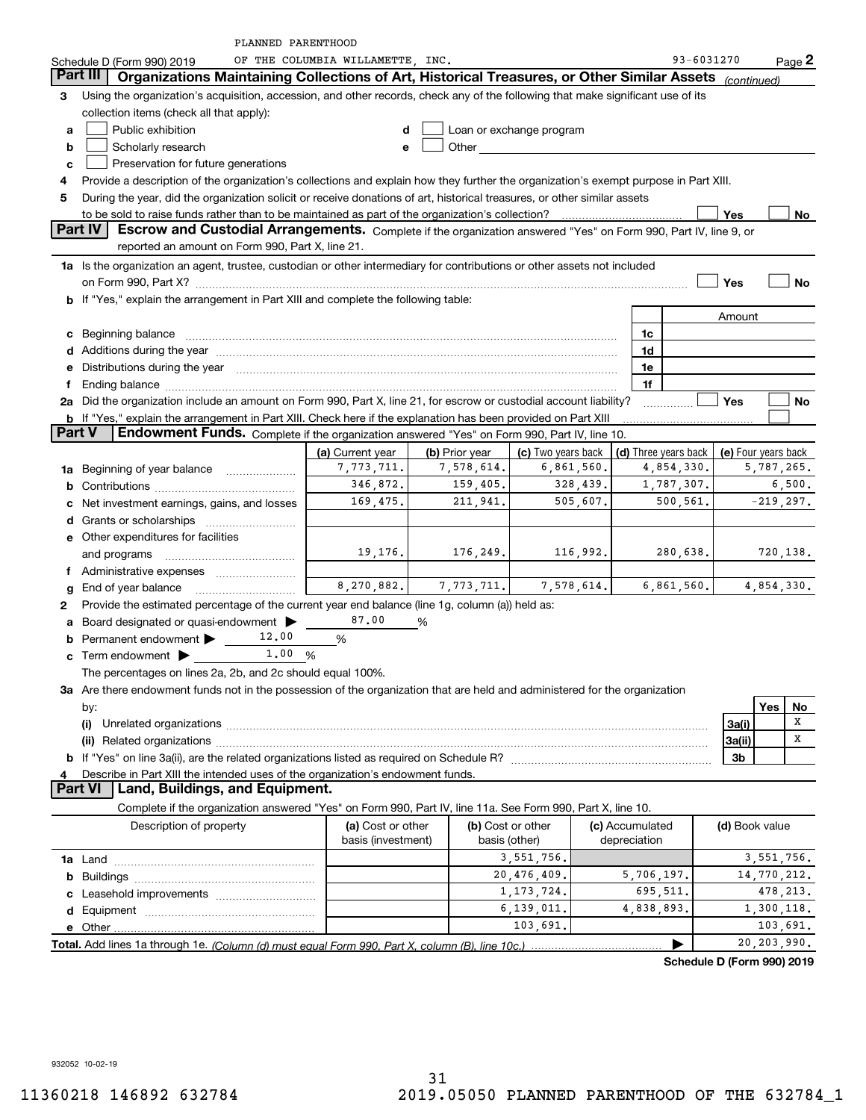|               | PLANNED PARENTHOOD                                                                                                                                                                                                            |                                  |                              |                                  |                 |                                    |                |                                   |
|---------------|-------------------------------------------------------------------------------------------------------------------------------------------------------------------------------------------------------------------------------|----------------------------------|------------------------------|----------------------------------|-----------------|------------------------------------|----------------|-----------------------------------|
|               | Schedule D (Form 990) 2019                                                                                                                                                                                                    | OF THE COLUMBIA WILLAMETTE, INC. |                              |                                  |                 | 93-6031270                         |                | $Page$ 2                          |
|               | Organizations Maintaining Collections of Art, Historical Treasures, or Other Similar Assets (continued)<br>Part III                                                                                                           |                                  |                              |                                  |                 |                                    |                |                                   |
| 3             | Using the organization's acquisition, accession, and other records, check any of the following that make significant use of its                                                                                               |                                  |                              |                                  |                 |                                    |                |                                   |
|               | collection items (check all that apply):                                                                                                                                                                                      |                                  |                              |                                  |                 |                                    |                |                                   |
| a             | Public exhibition                                                                                                                                                                                                             | d                                |                              | Loan or exchange program         |                 |                                    |                |                                   |
| b             | Scholarly research                                                                                                                                                                                                            | e                                |                              |                                  |                 |                                    |                |                                   |
| c             | Preservation for future generations                                                                                                                                                                                           |                                  |                              |                                  |                 |                                    |                |                                   |
| 4             | Provide a description of the organization's collections and explain how they further the organization's exempt purpose in Part XIII.                                                                                          |                                  |                              |                                  |                 |                                    |                |                                   |
| 5             | During the year, did the organization solicit or receive donations of art, historical treasures, or other similar assets                                                                                                      |                                  |                              |                                  |                 |                                    |                |                                   |
|               |                                                                                                                                                                                                                               |                                  |                              |                                  |                 |                                    | Yes            | No                                |
|               | <b>Part IV</b><br>Escrow and Custodial Arrangements. Complete if the organization answered "Yes" on Form 990, Part IV, line 9, or                                                                                             |                                  |                              |                                  |                 |                                    |                |                                   |
|               | reported an amount on Form 990, Part X, line 21.                                                                                                                                                                              |                                  |                              |                                  |                 |                                    |                |                                   |
|               | 1a Is the organization an agent, trustee, custodian or other intermediary for contributions or other assets not included                                                                                                      |                                  |                              |                                  |                 |                                    |                |                                   |
|               |                                                                                                                                                                                                                               |                                  |                              |                                  |                 |                                    | Yes            | <b>No</b>                         |
|               | b If "Yes," explain the arrangement in Part XIII and complete the following table:                                                                                                                                            |                                  |                              |                                  |                 |                                    |                |                                   |
|               |                                                                                                                                                                                                                               |                                  |                              |                                  |                 |                                    | Amount         |                                   |
|               | c Beginning balance                                                                                                                                                                                                           |                                  |                              |                                  | 1c              |                                    |                |                                   |
|               | d Additions during the year measurement contracts and a state of a state of a state of the state of a state of                                                                                                                |                                  |                              |                                  | 1d              |                                    |                |                                   |
| е             | Distributions during the year manufactured and continuum and control of the year manufactured and control of the year manufactured and control of the year manufactured and control of the state of the state of the state of |                                  |                              |                                  | 1e              |                                    |                |                                   |
| f             |                                                                                                                                                                                                                               |                                  |                              |                                  | 1f              |                                    |                |                                   |
|               | 2a Did the organization include an amount on Form 990, Part X, line 21, for escrow or custodial account liability?                                                                                                            |                                  |                              |                                  |                 |                                    | Yes            | No                                |
|               | b If "Yes," explain the arrangement in Part XIII. Check here if the explanation has been provided on Part XIII                                                                                                                |                                  |                              |                                  |                 |                                    |                |                                   |
| <b>Part V</b> | Endowment Funds. Complete if the organization answered "Yes" on Form 990, Part IV, line 10.                                                                                                                                   |                                  |                              |                                  |                 |                                    |                |                                   |
|               |                                                                                                                                                                                                                               |                                  |                              |                                  |                 |                                    |                |                                   |
|               |                                                                                                                                                                                                                               | (a) Current year<br>7,773,711.   | (b) Prior year<br>7,578,614. | (c) Two years back<br>6,861,560. |                 | (d) Three years back<br>4,854,330. |                | (e) Four years back<br>5,787,265. |
|               | 1a Beginning of year balance                                                                                                                                                                                                  | 346,872.                         |                              |                                  |                 |                                    |                | 6,500.                            |
|               |                                                                                                                                                                                                                               |                                  | 159,405.                     | 328,439.                         |                 | 1,787,307.                         |                |                                   |
|               | c Net investment earnings, gains, and losses                                                                                                                                                                                  | 169,475.                         | 211,941.                     | 505,607.                         |                 | 500,561.                           |                | $-219, 297.$                      |
|               |                                                                                                                                                                                                                               |                                  |                              |                                  |                 |                                    |                |                                   |
|               | e Other expenditures for facilities                                                                                                                                                                                           |                                  |                              |                                  |                 |                                    |                |                                   |
|               | and programs                                                                                                                                                                                                                  | 19, 176.                         | 176, 249.                    | 116,992.                         |                 | 280,638.                           |                | 720,138.                          |
|               |                                                                                                                                                                                                                               |                                  |                              |                                  |                 |                                    |                |                                   |
| g             | End of year balance                                                                                                                                                                                                           | 8,270,882.                       | 7,773,711.                   | 7,578,614.                       |                 | 6,861,560.                         |                | 4,854,330.                        |
| 2             | Provide the estimated percentage of the current year end balance (line 1g, column (a)) held as:                                                                                                                               |                                  |                              |                                  |                 |                                    |                |                                   |
|               | a Board designated or quasi-endowment >                                                                                                                                                                                       | 87.00                            | %                            |                                  |                 |                                    |                |                                   |
|               | 12.00<br><b>b</b> Permanent endowment $\blacktriangleright$                                                                                                                                                                   | %                                |                              |                                  |                 |                                    |                |                                   |
|               | 1.00%<br>$\mathbf c$ Term endowment $\blacktriangleright$                                                                                                                                                                     |                                  |                              |                                  |                 |                                    |                |                                   |
|               | The percentages on lines 2a, 2b, and 2c should equal 100%.                                                                                                                                                                    |                                  |                              |                                  |                 |                                    |                |                                   |
|               | 3a Are there endowment funds not in the possession of the organization that are held and administered for the organization                                                                                                    |                                  |                              |                                  |                 |                                    |                |                                   |
|               | by:                                                                                                                                                                                                                           |                                  |                              |                                  |                 |                                    |                | Yes<br>No                         |
|               | (i)                                                                                                                                                                                                                           |                                  |                              |                                  |                 |                                    | 3a(i)          | х                                 |
|               |                                                                                                                                                                                                                               |                                  |                              |                                  |                 |                                    | 3a(ii)         | X                                 |
|               |                                                                                                                                                                                                                               |                                  |                              |                                  |                 |                                    | 3b             |                                   |
| 4             | Describe in Part XIII the intended uses of the organization's endowment funds.                                                                                                                                                |                                  |                              |                                  |                 |                                    |                |                                   |
|               | Land, Buildings, and Equipment.<br><b>Part VI</b>                                                                                                                                                                             |                                  |                              |                                  |                 |                                    |                |                                   |
|               | Complete if the organization answered "Yes" on Form 990, Part IV, line 11a. See Form 990, Part X, line 10.                                                                                                                    |                                  |                              |                                  |                 |                                    |                |                                   |
|               | Description of property                                                                                                                                                                                                       | (a) Cost or other                |                              | (b) Cost or other                | (c) Accumulated |                                    | (d) Book value |                                   |
|               |                                                                                                                                                                                                                               | basis (investment)               |                              | basis (other)                    | depreciation    |                                    |                |                                   |
|               |                                                                                                                                                                                                                               |                                  |                              | 3,551,756.                       |                 |                                    |                | 3,551,756.                        |
|               |                                                                                                                                                                                                                               |                                  |                              | 20,476,409.                      |                 | 5,706,197.                         |                | 14,770,212.                       |
|               |                                                                                                                                                                                                                               |                                  |                              | 1, 173, 724.                     |                 | 695,511.                           |                | 478, 213.                         |
|               |                                                                                                                                                                                                                               |                                  |                              | 6, 139, 011.                     |                 | 4,838,893.                         |                | 1,300,118.                        |
|               |                                                                                                                                                                                                                               |                                  |                              | 103,691.                         |                 |                                    |                | 103,691.                          |
|               |                                                                                                                                                                                                                               |                                  |                              |                                  |                 |                                    |                |                                   |
|               |                                                                                                                                                                                                                               |                                  |                              |                                  |                 |                                    |                | 20, 203, 990.<br>0.0010040        |

**Schedule D (Form 990) 2019**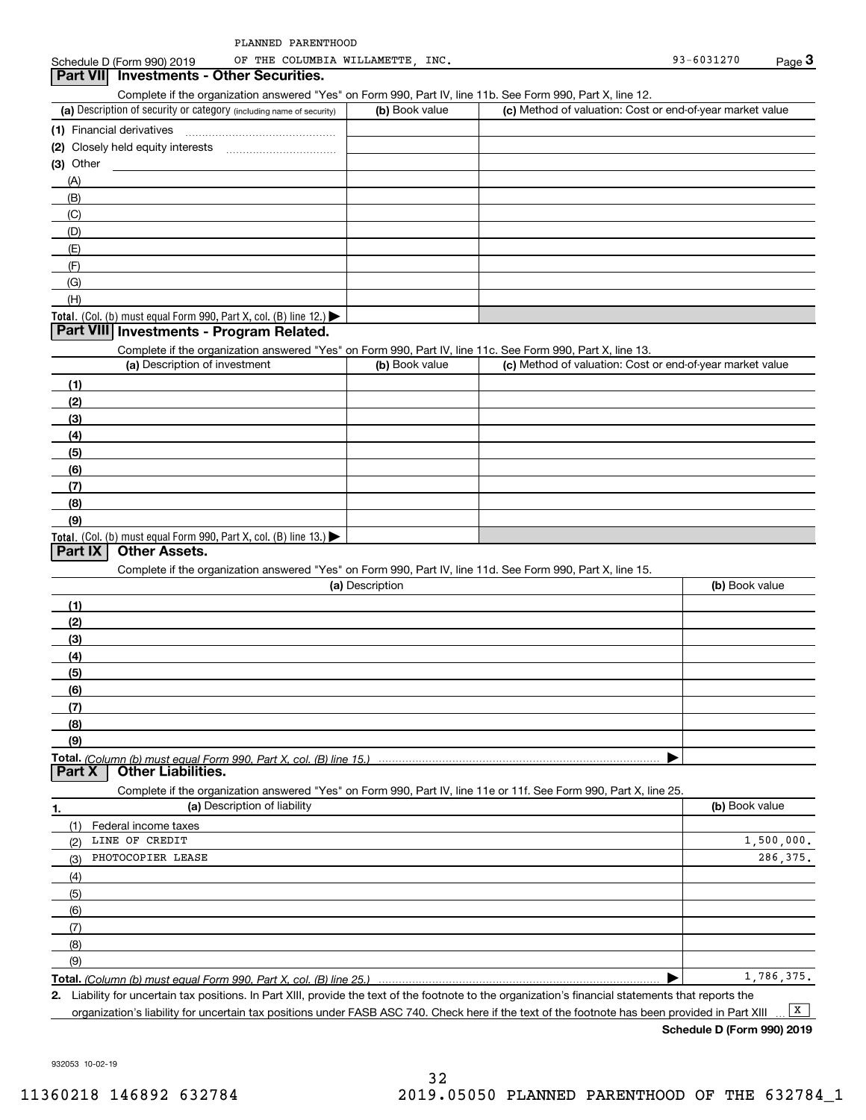Schedule D (Form 990) 2019 OF THE COLUMBIA WILLAMETTE, INC. 93-6031270 Page 3 OF THE COLUMBIA WILLAMETTE,

#### **3Part VII Investments - Other Securities.**

Complete if the organization answered "Yes" on Form 990, Part IV, line 11b. See Form 990, Part X, line 12.

| (a) Description of security or category (including name of security)                          | (b) Book value | (c) Method of valuation: Cost or end-of-year market value |
|-----------------------------------------------------------------------------------------------|----------------|-----------------------------------------------------------|
| (1) Financial derivatives                                                                     |                |                                                           |
| (2) Closely held equity interests                                                             |                |                                                           |
| (3) Other                                                                                     |                |                                                           |
| (A)                                                                                           |                |                                                           |
| (B)                                                                                           |                |                                                           |
| (C)                                                                                           |                |                                                           |
| (D)                                                                                           |                |                                                           |
| (E)                                                                                           |                |                                                           |
| (F)                                                                                           |                |                                                           |
| (G)                                                                                           |                |                                                           |
| (H)                                                                                           |                |                                                           |
| <b>Total.</b> (Col. (b) must equal Form 990, Part X, col. (B) line 12.) $\blacktriangleright$ |                |                                                           |

#### **Part VIII Investments - Program Related.**

Complete if the organization answered "Yes" on Form 990, Part IV, line 11c. See Form 990, Part X, line 13.

| (a) Description of investment                                       | (b) Book value | (c) Method of valuation: Cost or end-of-year market value |
|---------------------------------------------------------------------|----------------|-----------------------------------------------------------|
| (1)                                                                 |                |                                                           |
| (2)                                                                 |                |                                                           |
| $\frac{1}{2}$                                                       |                |                                                           |
| (4)                                                                 |                |                                                           |
| (5)                                                                 |                |                                                           |
| (6)                                                                 |                |                                                           |
| (7)                                                                 |                |                                                           |
| (8)                                                                 |                |                                                           |
| (9)                                                                 |                |                                                           |
| Total. (Col. (b) must equal Form 990, Part X, col. (B) line $13.$ ) |                |                                                           |

#### **Part IX Other Assets.**

Complete if the organization answered "Yes" on Form 990, Part IV, line 11d. See Form 990, Part X, line 15.

| (a) Description                                                                                                                       | (b) Book value |
|---------------------------------------------------------------------------------------------------------------------------------------|----------------|
| (1)                                                                                                                                   |                |
| (2)                                                                                                                                   |                |
| (3)                                                                                                                                   |                |
| (4)                                                                                                                                   |                |
| (5)                                                                                                                                   |                |
| (6)                                                                                                                                   |                |
|                                                                                                                                       |                |
| (8)                                                                                                                                   |                |
| (9)                                                                                                                                   |                |
|                                                                                                                                       |                |
| Total. (Column (b) must equal Form 990, Part X, col. (B) line 15.) ………………………………………………………………………………………<br>  Part X   Other Liabilities. |                |

**(a)** Description of liability **Book value** Book value Book value Book value Book value Complete if the organization answered "Yes" on Form 990, Part IV, line 11e or 11f. See Form 990, Part X, line 25. (1)Federal income taxes

| LINE OF CREDIT<br>(2)                                                    | 1,500,000. |
|--------------------------------------------------------------------------|------------|
| PHOTOCOPIER LEASE<br>(3)                                                 | 286.375.   |
| (4)                                                                      |            |
| (5)                                                                      |            |
| (6)                                                                      |            |
| (7)                                                                      |            |
| (8)                                                                      |            |
| (9)                                                                      |            |
| <b>Total,</b> (Column (b) must equal Form 990, Part X, col. (B) line 25. | 1,786,375. |

**Total.**  *(Column (b) must equal Form 990, Part X, col. (B) line 25.)* 

**2.** Liability for uncertain tax positions. In Part XIII, provide the text of the footnote to the organization's financial statements that reports the organization's liability for uncertain tax positions under FASB ASC 740. Check here if the text of the footnote has been provided in Part XIII  $\boxed{\mathbf{X}}$ 

**Schedule D (Form 990) 2019**

932053 10-02-19

**1.**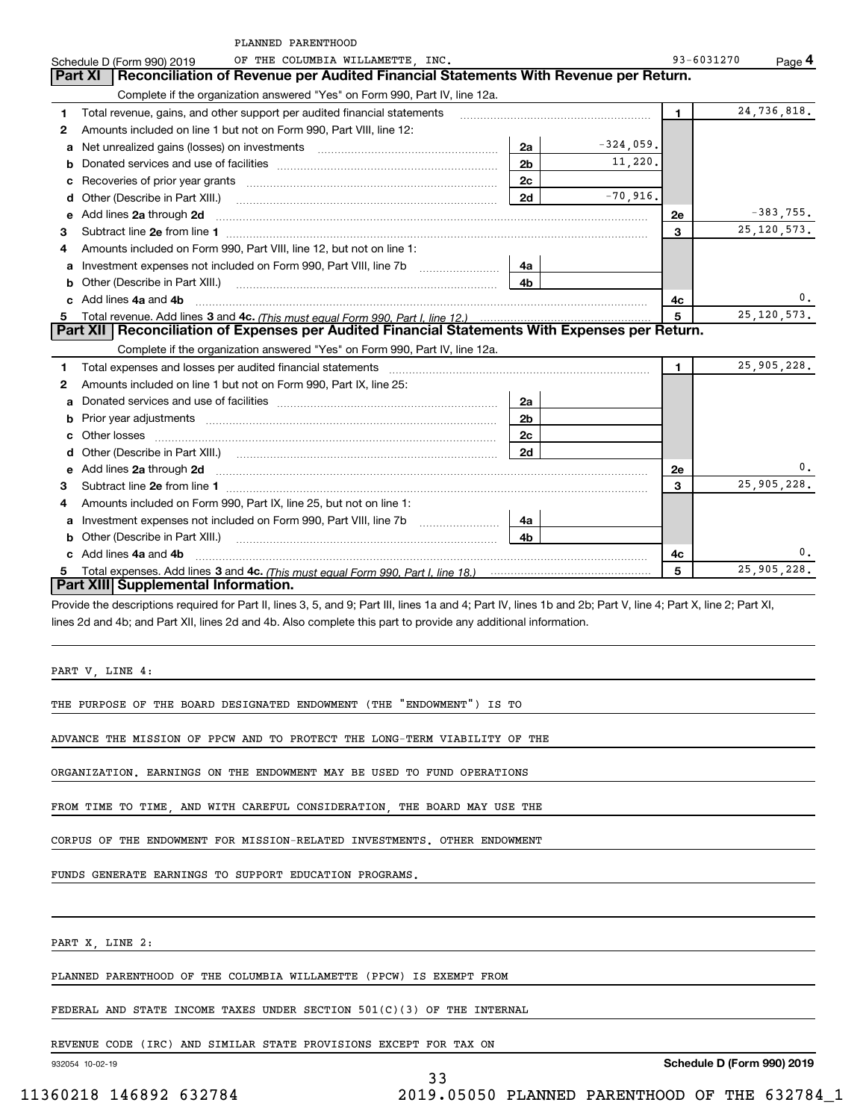|    | PLANNED PARENTHOOD                                                                                                                                                                                                             |                |              |              |               |
|----|--------------------------------------------------------------------------------------------------------------------------------------------------------------------------------------------------------------------------------|----------------|--------------|--------------|---------------|
|    | OF THE COLUMBIA WILLAMETTE, INC.<br>Schedule D (Form 990) 2019                                                                                                                                                                 |                |              | 93-6031270   | Page 4        |
|    | Reconciliation of Revenue per Audited Financial Statements With Revenue per Return.<br>Part XI                                                                                                                                 |                |              |              |               |
|    | Complete if the organization answered "Yes" on Form 990, Part IV, line 12a.                                                                                                                                                    |                |              |              |               |
| 1  | Total revenue, gains, and other support per audited financial statements                                                                                                                                                       |                |              | $\mathbf{1}$ | 24,736,818.   |
| 2  | Amounts included on line 1 but not on Form 990, Part VIII, line 12:                                                                                                                                                            |                |              |              |               |
| а  | Net unrealized gains (losses) on investments [11] matter contracts and the unrealized gains (losses) on investments                                                                                                            | 2a             | $-324,059$ . |              |               |
| b  |                                                                                                                                                                                                                                | 2 <sub>b</sub> | 11,220.      |              |               |
| с  |                                                                                                                                                                                                                                | 2c             |              |              |               |
| d  | Other (Describe in Part XIII.)                                                                                                                                                                                                 | 2d             | $-70,916$ .  |              |               |
| е  | Add lines 2a through 2d                                                                                                                                                                                                        |                |              | 2e           | $-383,755$ .  |
| 3  |                                                                                                                                                                                                                                |                |              | 3            | 25, 120, 573. |
| 4  | Amounts included on Form 990, Part VIII, line 12, but not on line 1:                                                                                                                                                           |                |              |              |               |
| а  |                                                                                                                                                                                                                                | 4a             |              |              |               |
| b  | Other (Describe in Part XIII.)                                                                                                                                                                                                 | 4b             |              |              |               |
|    | Add lines 4a and 4b                                                                                                                                                                                                            |                |              | 4c           | 0.            |
| 5  |                                                                                                                                                                                                                                |                |              | 5            | 25, 120, 573. |
|    | Part XII   Reconciliation of Expenses per Audited Financial Statements With Expenses per Return.                                                                                                                               |                |              |              |               |
|    | Complete if the organization answered "Yes" on Form 990, Part IV, line 12a.                                                                                                                                                    |                |              |              |               |
| 1  | Total expenses and losses per audited financial statements [11] [12] manuscription control expenses and losses per audited financial statements [12] manuscription of the statements [12] manuscription of the statements [12] |                |              | $\mathbf{1}$ | 25,905,228.   |
| 2  | Amounts included on line 1 but not on Form 990, Part IX, line 25:                                                                                                                                                              |                |              |              |               |
| а  |                                                                                                                                                                                                                                | 2a             |              |              |               |
| b  |                                                                                                                                                                                                                                | 2b             |              |              |               |
|    | Other losses                                                                                                                                                                                                                   | 2с             |              |              |               |
| d  |                                                                                                                                                                                                                                | 2d             |              |              |               |
| е  | Add lines 2a through 2d                                                                                                                                                                                                        |                |              | 2e           | 0.            |
| 3  |                                                                                                                                                                                                                                |                |              | 3            | 25,905,228.   |
| 4  | Amounts included on Form 990, Part IX, line 25, but not on line 1:                                                                                                                                                             |                |              |              |               |
| а  |                                                                                                                                                                                                                                | 4a             |              |              |               |
| b  | Other (Describe in Part XIII.)                                                                                                                                                                                                 | 4b             |              |              |               |
|    | Add lines 4a and 4b                                                                                                                                                                                                            |                |              | 4c           | 0.            |
| 5. |                                                                                                                                                                                                                                |                |              | 5            | 25,905,228.   |
|    | Part XIII Supplemental Information.                                                                                                                                                                                            |                |              |              |               |
|    | Provide the descriptions required for Part II, lines 3, 5, and 9; Part III, lines 1a and 4; Part IV, lines 1b and 2b; Part V, line 4; Part X, line 2; Part XI,                                                                 |                |              |              |               |
|    | lines 2d and 4b; and Part XII, lines 2d and 4b. Also complete this part to provide any additional information.                                                                                                                 |                |              |              |               |
|    |                                                                                                                                                                                                                                |                |              |              |               |
|    |                                                                                                                                                                                                                                |                |              |              |               |
|    | PART V, LINE 4:                                                                                                                                                                                                                |                |              |              |               |
|    |                                                                                                                                                                                                                                |                |              |              |               |
|    | THE PURPOSE OF THE BOARD DESIGNATED ENDOWMENT (THE "ENDOWMENT") IS TO                                                                                                                                                          |                |              |              |               |
|    |                                                                                                                                                                                                                                |                |              |              |               |
|    | ADVANCE THE MISSION OF PPCW AND TO PROTECT THE LONG-TERM VIABILITY OF THE                                                                                                                                                      |                |              |              |               |
|    |                                                                                                                                                                                                                                |                |              |              |               |
|    | ORGANIZATION. EARNINGS ON THE ENDOWMENT MAY BE USED TO FUND OPERATIONS                                                                                                                                                         |                |              |              |               |
|    |                                                                                                                                                                                                                                |                |              |              |               |
|    | FROM TIME TO TIME, AND WITH CAREFUL CONSIDERATION, THE BOARD MAY USE THE                                                                                                                                                       |                |              |              |               |
|    |                                                                                                                                                                                                                                |                |              |              |               |
|    | CORPUS OF THE ENDOWMENT FOR MISSION-RELATED INVESTMENTS. OTHER ENDOWMENT                                                                                                                                                       |                |              |              |               |
|    | FUNDS GENERATE EARNINGS TO SUPPORT EDUCATION PROGRAMS.                                                                                                                                                                         |                |              |              |               |
|    |                                                                                                                                                                                                                                |                |              |              |               |
|    |                                                                                                                                                                                                                                |                |              |              |               |
|    | PART X, LINE 2:                                                                                                                                                                                                                |                |              |              |               |
|    |                                                                                                                                                                                                                                |                |              |              |               |

PLANNED PARENTHOOD OF THE COLUMBIA WILLAMETTE (PPCW) IS EXEMPT FROM

FEDERAL AND STATE INCOME TAXES UNDER SECTION 501(C)(3) OF THE INTERNAL

REVENUE CODE (IRC) AND SIMILAR STATE PROVISIONS EXCEPT FOR TAX ON

932054 10-02-19

**Schedule D (Form 990) 2019**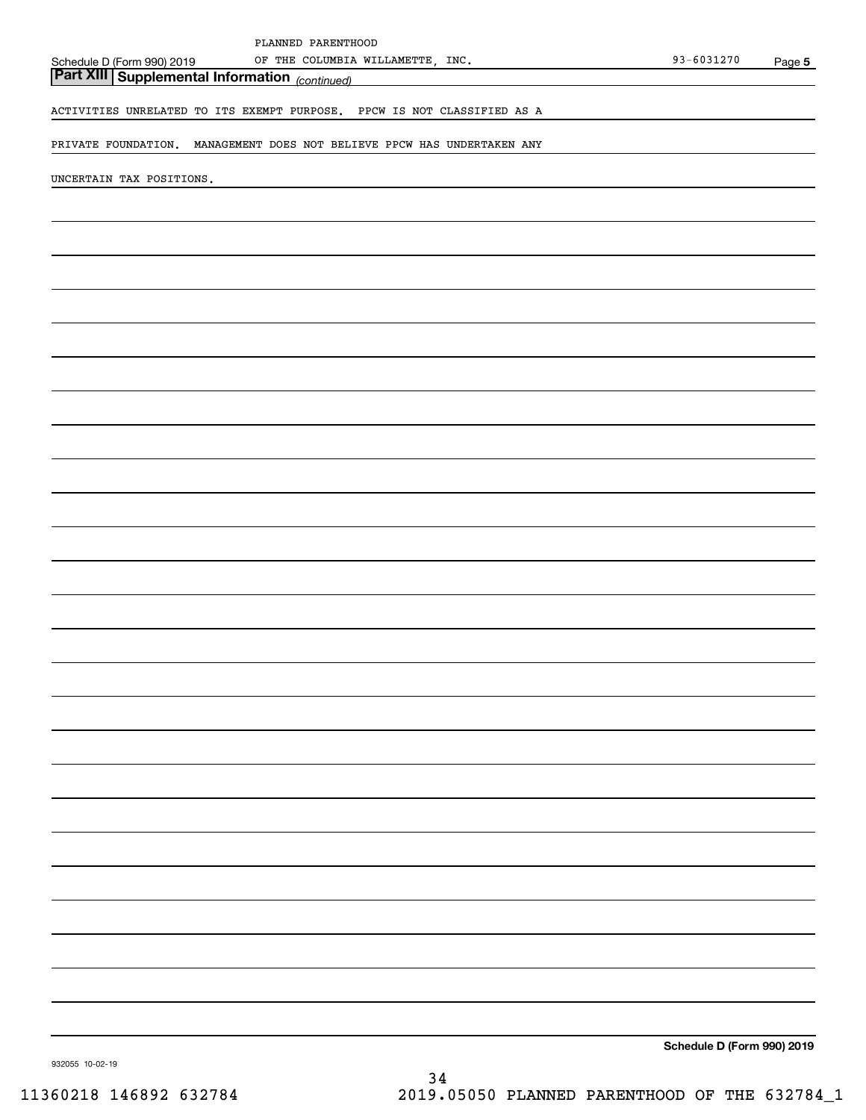|                                                         | PLANNED PARENTHOOD                                                      |                            |        |
|---------------------------------------------------------|-------------------------------------------------------------------------|----------------------------|--------|
| Schedule D (Form 990) 2019                              | OF THE COLUMBIA WILLAMETTE, INC.                                        | 93-6031270                 | Page 5 |
| <b>Part XIII   Supplemental Information</b> (continued) |                                                                         |                            |        |
|                                                         | ACTIVITIES UNRELATED TO ITS EXEMPT PURPOSE. PPCW IS NOT CLASSIFIED AS A |                            |        |
|                                                         |                                                                         |                            |        |
|                                                         | PRIVATE FOUNDATION. MANAGEMENT DOES NOT BELIEVE PPCW HAS UNDERTAKEN ANY |                            |        |
| UNCERTAIN TAX POSITIONS.                                |                                                                         |                            |        |
|                                                         |                                                                         |                            |        |
|                                                         |                                                                         |                            |        |
|                                                         |                                                                         |                            |        |
|                                                         |                                                                         |                            |        |
|                                                         |                                                                         |                            |        |
|                                                         |                                                                         |                            |        |
|                                                         |                                                                         |                            |        |
|                                                         |                                                                         |                            |        |
|                                                         |                                                                         |                            |        |
|                                                         |                                                                         |                            |        |
|                                                         |                                                                         |                            |        |
|                                                         |                                                                         |                            |        |
|                                                         |                                                                         |                            |        |
|                                                         |                                                                         |                            |        |
|                                                         |                                                                         |                            |        |
|                                                         |                                                                         |                            |        |
|                                                         |                                                                         |                            |        |
|                                                         |                                                                         |                            |        |
|                                                         |                                                                         |                            |        |
|                                                         |                                                                         |                            |        |
|                                                         |                                                                         |                            |        |
|                                                         |                                                                         |                            |        |
|                                                         |                                                                         |                            |        |
|                                                         |                                                                         |                            |        |
|                                                         |                                                                         |                            |        |
|                                                         |                                                                         |                            |        |
|                                                         |                                                                         |                            |        |
|                                                         |                                                                         |                            |        |
|                                                         |                                                                         |                            |        |
|                                                         |                                                                         |                            |        |
|                                                         |                                                                         |                            |        |
|                                                         |                                                                         |                            |        |
|                                                         |                                                                         |                            |        |
|                                                         |                                                                         |                            |        |
|                                                         |                                                                         |                            |        |
|                                                         |                                                                         | Schedule D (Form 990) 2019 |        |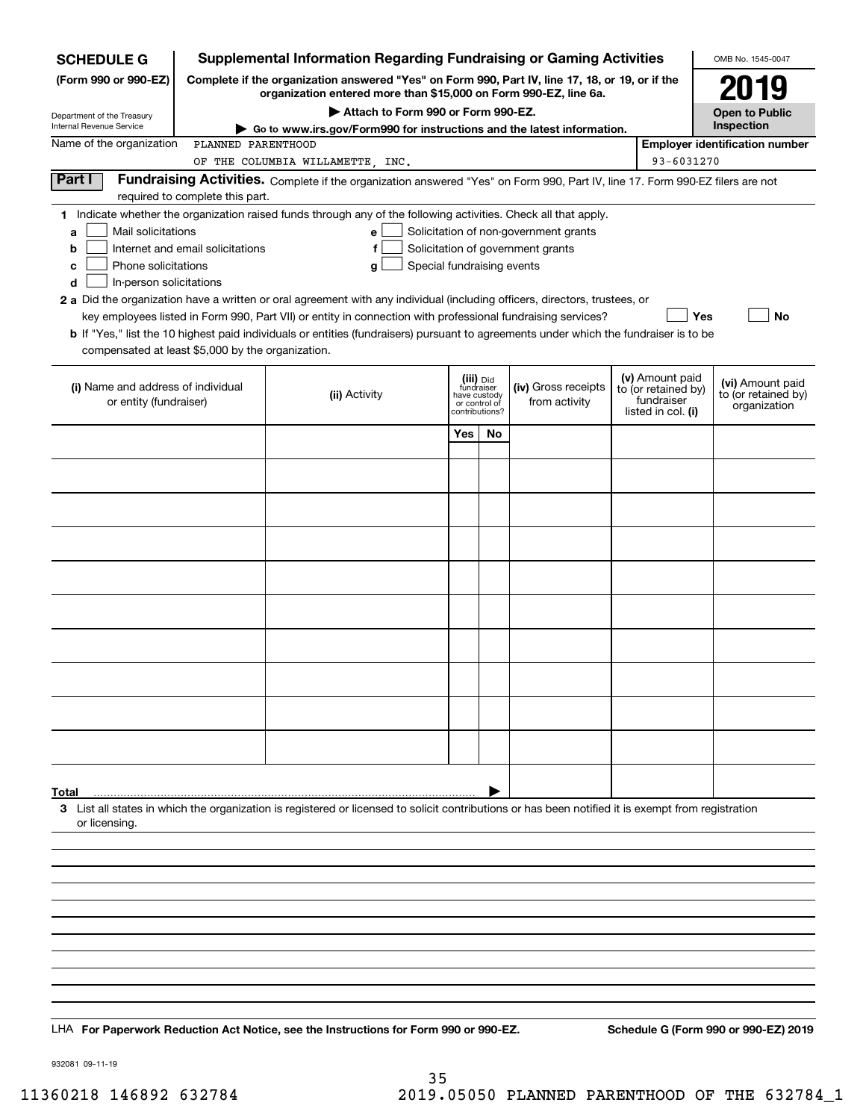| <b>SCHEDULE G</b>                                                                                                                             |                                                                                                 | <b>Supplemental Information Regarding Fundraising or Gaming Activities</b>                                                                                                                                                                                                                                                                                                                                                                                                                                                                         |                                                                            |    |                                                                            |  |                                                                            | OMB No. 1545-0047                                       |
|-----------------------------------------------------------------------------------------------------------------------------------------------|-------------------------------------------------------------------------------------------------|----------------------------------------------------------------------------------------------------------------------------------------------------------------------------------------------------------------------------------------------------------------------------------------------------------------------------------------------------------------------------------------------------------------------------------------------------------------------------------------------------------------------------------------------------|----------------------------------------------------------------------------|----|----------------------------------------------------------------------------|--|----------------------------------------------------------------------------|---------------------------------------------------------|
| (Form 990 or 990-EZ)                                                                                                                          | Complete if the organization answered "Yes" on Form 990, Part IV, line 17, 18, or 19, or if the |                                                                                                                                                                                                                                                                                                                                                                                                                                                                                                                                                    |                                                                            |    |                                                                            |  |                                                                            | 2019                                                    |
|                                                                                                                                               |                                                                                                 | organization entered more than \$15,000 on Form 990-EZ, line 6a.                                                                                                                                                                                                                                                                                                                                                                                                                                                                                   |                                                                            |    |                                                                            |  |                                                                            | <b>Open to Public</b>                                   |
| Department of the Treasury<br>Internal Revenue Service                                                                                        |                                                                                                 | Attach to Form 990 or Form 990-EZ.<br>Go to www.irs.gov/Form990 for instructions and the latest information.                                                                                                                                                                                                                                                                                                                                                                                                                                       |                                                                            |    |                                                                            |  |                                                                            |                                                         |
| Name of the organization                                                                                                                      | PLANNED PARENTHOOD                                                                              |                                                                                                                                                                                                                                                                                                                                                                                                                                                                                                                                                    |                                                                            |    |                                                                            |  |                                                                            | <b>Employer identification number</b>                   |
|                                                                                                                                               |                                                                                                 | OF THE COLUMBIA WILLAMETTE, INC.                                                                                                                                                                                                                                                                                                                                                                                                                                                                                                                   |                                                                            |    |                                                                            |  | 93-6031270                                                                 |                                                         |
| Part I                                                                                                                                        | required to complete this part.                                                                 | Fundraising Activities. Complete if the organization answered "Yes" on Form 990, Part IV, line 17. Form 990-EZ filers are not                                                                                                                                                                                                                                                                                                                                                                                                                      |                                                                            |    |                                                                            |  |                                                                            |                                                         |
| Mail solicitations<br>a<br>b<br>Phone solicitations<br>с<br>In-person solicitations<br>d<br>compensated at least \$5,000 by the organization. | Internet and email solicitations                                                                | 1 Indicate whether the organization raised funds through any of the following activities. Check all that apply.<br>е<br>f<br>Special fundraising events<br>g<br>2 a Did the organization have a written or oral agreement with any individual (including officers, directors, trustees, or<br>key employees listed in Form 990, Part VII) or entity in connection with professional fundraising services?<br>b If "Yes," list the 10 highest paid individuals or entities (fundraisers) pursuant to agreements under which the fundraiser is to be |                                                                            |    | Solicitation of non-government grants<br>Solicitation of government grants |  | Yes                                                                        | No                                                      |
| (i) Name and address of individual<br>or entity (fundraiser)                                                                                  |                                                                                                 | (ii) Activity                                                                                                                                                                                                                                                                                                                                                                                                                                                                                                                                      | (iii) Did<br>fundraiser<br>have custody<br>or control of<br>contributions? |    | (iv) Gross receipts<br>from activity                                       |  | (v) Amount paid<br>to (or retained by)<br>fundraiser<br>listed in col. (i) | (vi) Amount paid<br>to (or retained by)<br>organization |
|                                                                                                                                               |                                                                                                 |                                                                                                                                                                                                                                                                                                                                                                                                                                                                                                                                                    | Yes                                                                        | No |                                                                            |  |                                                                            |                                                         |
|                                                                                                                                               |                                                                                                 |                                                                                                                                                                                                                                                                                                                                                                                                                                                                                                                                                    |                                                                            |    |                                                                            |  |                                                                            |                                                         |
|                                                                                                                                               |                                                                                                 |                                                                                                                                                                                                                                                                                                                                                                                                                                                                                                                                                    |                                                                            |    |                                                                            |  |                                                                            |                                                         |
|                                                                                                                                               |                                                                                                 |                                                                                                                                                                                                                                                                                                                                                                                                                                                                                                                                                    |                                                                            |    |                                                                            |  |                                                                            |                                                         |
|                                                                                                                                               |                                                                                                 |                                                                                                                                                                                                                                                                                                                                                                                                                                                                                                                                                    |                                                                            |    |                                                                            |  |                                                                            |                                                         |
|                                                                                                                                               |                                                                                                 |                                                                                                                                                                                                                                                                                                                                                                                                                                                                                                                                                    |                                                                            |    |                                                                            |  |                                                                            |                                                         |
|                                                                                                                                               |                                                                                                 |                                                                                                                                                                                                                                                                                                                                                                                                                                                                                                                                                    |                                                                            |    |                                                                            |  |                                                                            |                                                         |
|                                                                                                                                               |                                                                                                 |                                                                                                                                                                                                                                                                                                                                                                                                                                                                                                                                                    |                                                                            |    |                                                                            |  |                                                                            |                                                         |
|                                                                                                                                               |                                                                                                 |                                                                                                                                                                                                                                                                                                                                                                                                                                                                                                                                                    |                                                                            |    |                                                                            |  |                                                                            |                                                         |
|                                                                                                                                               |                                                                                                 |                                                                                                                                                                                                                                                                                                                                                                                                                                                                                                                                                    |                                                                            |    |                                                                            |  |                                                                            |                                                         |
|                                                                                                                                               |                                                                                                 |                                                                                                                                                                                                                                                                                                                                                                                                                                                                                                                                                    |                                                                            |    |                                                                            |  |                                                                            |                                                         |
|                                                                                                                                               |                                                                                                 |                                                                                                                                                                                                                                                                                                                                                                                                                                                                                                                                                    |                                                                            |    |                                                                            |  |                                                                            |                                                         |
| Total                                                                                                                                         |                                                                                                 |                                                                                                                                                                                                                                                                                                                                                                                                                                                                                                                                                    |                                                                            |    |                                                                            |  |                                                                            |                                                         |
| or licensing.                                                                                                                                 |                                                                                                 | 3 List all states in which the organization is registered or licensed to solicit contributions or has been notified it is exempt from registration                                                                                                                                                                                                                                                                                                                                                                                                 |                                                                            |    |                                                                            |  |                                                                            |                                                         |
|                                                                                                                                               |                                                                                                 |                                                                                                                                                                                                                                                                                                                                                                                                                                                                                                                                                    |                                                                            |    |                                                                            |  |                                                                            |                                                         |
|                                                                                                                                               |                                                                                                 |                                                                                                                                                                                                                                                                                                                                                                                                                                                                                                                                                    |                                                                            |    |                                                                            |  |                                                                            |                                                         |
|                                                                                                                                               |                                                                                                 |                                                                                                                                                                                                                                                                                                                                                                                                                                                                                                                                                    |                                                                            |    |                                                                            |  |                                                                            |                                                         |
|                                                                                                                                               |                                                                                                 |                                                                                                                                                                                                                                                                                                                                                                                                                                                                                                                                                    |                                                                            |    |                                                                            |  |                                                                            |                                                         |
|                                                                                                                                               |                                                                                                 |                                                                                                                                                                                                                                                                                                                                                                                                                                                                                                                                                    |                                                                            |    |                                                                            |  |                                                                            |                                                         |
|                                                                                                                                               |                                                                                                 |                                                                                                                                                                                                                                                                                                                                                                                                                                                                                                                                                    |                                                                            |    |                                                                            |  |                                                                            |                                                         |
|                                                                                                                                               |                                                                                                 |                                                                                                                                                                                                                                                                                                                                                                                                                                                                                                                                                    |                                                                            |    |                                                                            |  |                                                                            |                                                         |
|                                                                                                                                               |                                                                                                 |                                                                                                                                                                                                                                                                                                                                                                                                                                                                                                                                                    |                                                                            |    |                                                                            |  |                                                                            |                                                         |
|                                                                                                                                               |                                                                                                 | LHA For Paperwork Reduction Act Notice, see the Instructions for Form 990 or 990-EZ.                                                                                                                                                                                                                                                                                                                                                                                                                                                               |                                                                            |    |                                                                            |  |                                                                            | Schedule G (Form 990 or 990-EZ) 2019                    |

932081 09-11-19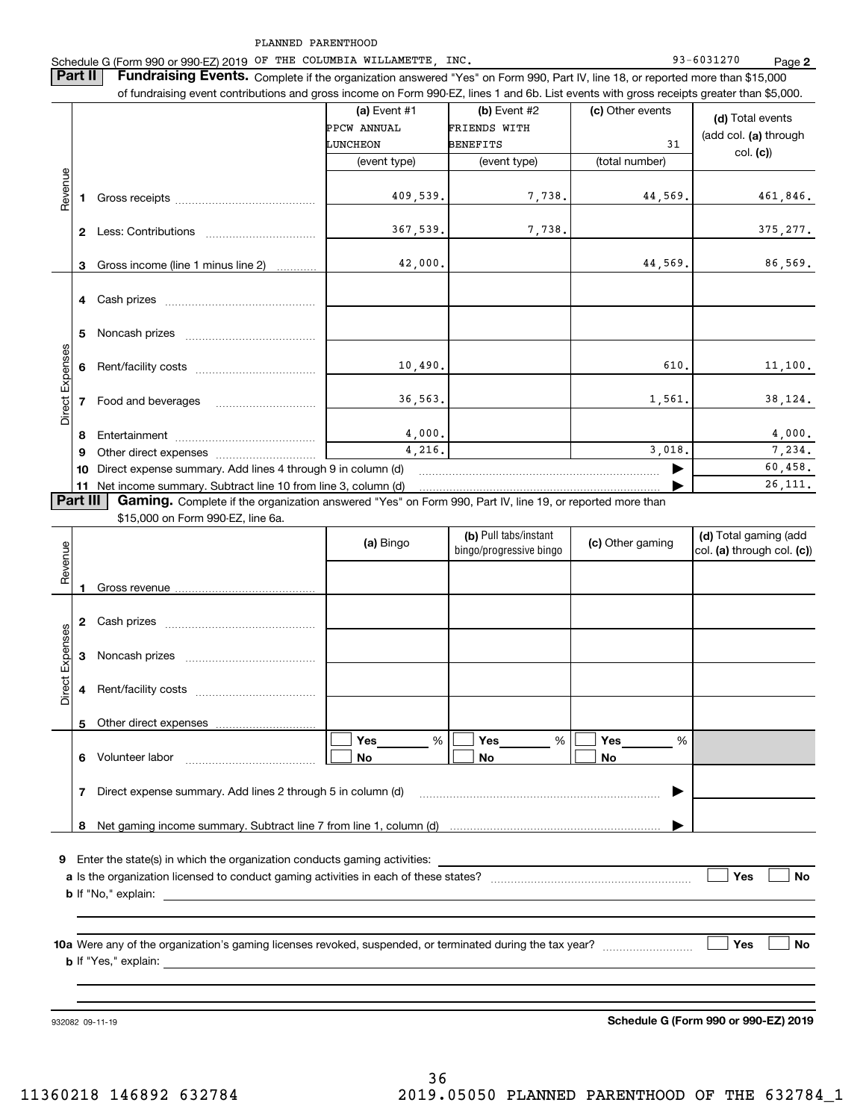Schedule G (Form 990 or 990-EZ) 2019 Page OF THE COLUMBIA WILLAMETTE, INC. 93-6031270

**2**

**Part II** | Fundraising Events. Complete if the organization answered "Yes" on Form 990, Part IV, line 18, or reported more than \$15,000 of fundraising event contributions and gross income on Form 990-EZ, lines 1 and 6b. List events with gross receipts greater than \$5,000.

|                 |                                                                                                                      |                                                                                                                                                                                                                                | (a) Event $#1$ | (b) Event #2        | (c) Other events | (d) Total events      |  |  |
|-----------------|----------------------------------------------------------------------------------------------------------------------|--------------------------------------------------------------------------------------------------------------------------------------------------------------------------------------------------------------------------------|----------------|---------------------|------------------|-----------------------|--|--|
|                 |                                                                                                                      |                                                                                                                                                                                                                                | PPCW ANNUAL    | <b>FRIENDS WITH</b> |                  | (add col. (a) through |  |  |
|                 |                                                                                                                      |                                                                                                                                                                                                                                | LUNCHEON       | <b>BENEFITS</b>     | 31               |                       |  |  |
|                 |                                                                                                                      |                                                                                                                                                                                                                                | (event type)   | (event type)        | (total number)   | col. (c)              |  |  |
| Revenue         |                                                                                                                      | Gross receipts and the control of the control of the control of the control of the control of the control of the control of the control of the control of the control of the control of the control of the control of the cont | 409,539.       | 7,738.              | 44,569.          | 461,846.              |  |  |
|                 | $\mathbf{2}$                                                                                                         | Less: Contributions                                                                                                                                                                                                            | 367,539.       | 7,738.              |                  | 375, 277.             |  |  |
|                 | 3                                                                                                                    | Gross income (line 1 minus line 2)                                                                                                                                                                                             | 42,000.        |                     | 44,569.          | 86,569.               |  |  |
|                 |                                                                                                                      |                                                                                                                                                                                                                                |                |                     |                  |                       |  |  |
|                 | 5                                                                                                                    | Noncash prizes                                                                                                                                                                                                                 |                |                     |                  |                       |  |  |
|                 |                                                                                                                      |                                                                                                                                                                                                                                | 10,490.        |                     | 610.             | 11,100.               |  |  |
| Direct Expenses |                                                                                                                      | 7 Food and beverages                                                                                                                                                                                                           | 36,563.        |                     | 1,561.           | 38,124.               |  |  |
|                 | -8                                                                                                                   |                                                                                                                                                                                                                                | 4,000.         |                     |                  | 4,000.                |  |  |
|                 | 9                                                                                                                    |                                                                                                                                                                                                                                | 4,216.         |                     | 3,018.           | 7,234.                |  |  |
|                 | 10                                                                                                                   | Direct expense summary. Add lines 4 through 9 in column (d)                                                                                                                                                                    |                |                     |                  | 60,458.               |  |  |
|                 | 11                                                                                                                   | Net income summary. Subtract line 10 from line 3, column (d)                                                                                                                                                                   |                |                     |                  | 26, 111.              |  |  |
|                 | Part III<br>Gaming. Complete if the organization answered "Yes" on Form 990, Part IV, line 19, or reported more than |                                                                                                                                                                                                                                |                |                     |                  |                       |  |  |

\$15,000 on Form 990-EZ, line 6a.

| Revenue         |                  | $\phi$ , 0,000 on the original occurs. This can                                                               | (a) Bingo           | (b) Pull tabs/instant<br>bingo/progressive bingo | (c) Other gaming | (d) Total gaming (add<br>col. (a) through col. (c)) |  |
|-----------------|------------------|---------------------------------------------------------------------------------------------------------------|---------------------|--------------------------------------------------|------------------|-----------------------------------------------------|--|
|                 | 1                |                                                                                                               |                     |                                                  |                  |                                                     |  |
|                 | 2                |                                                                                                               |                     |                                                  |                  |                                                     |  |
| Direct Expenses | 3                |                                                                                                               |                     |                                                  |                  |                                                     |  |
|                 | 4                |                                                                                                               |                     |                                                  |                  |                                                     |  |
|                 | 5                |                                                                                                               |                     |                                                  |                  |                                                     |  |
|                 | 6                |                                                                                                               | <b>Yes</b> %<br>No. | Yes $%$<br><b>No</b>                             | %<br>No          |                                                     |  |
|                 |                  | Direct expense summary. Add lines 2 through 5 in column (d) [11] manuscription and continuum manuscription of |                     |                                                  |                  |                                                     |  |
|                 |                  |                                                                                                               |                     |                                                  |                  |                                                     |  |
| 9               |                  |                                                                                                               |                     |                                                  |                  | Yes<br><b>No</b>                                    |  |
|                 |                  |                                                                                                               |                     |                                                  |                  |                                                     |  |
|                 |                  |                                                                                                               |                     |                                                  |                  |                                                     |  |
|                 | Yes<br><b>No</b> |                                                                                                               |                     |                                                  |                  |                                                     |  |
|                 |                  |                                                                                                               |                     |                                                  |                  |                                                     |  |
|                 |                  |                                                                                                               |                     |                                                  |                  |                                                     |  |

932082 09-11-19

**Schedule G (Form 990 or 990-EZ) 2019**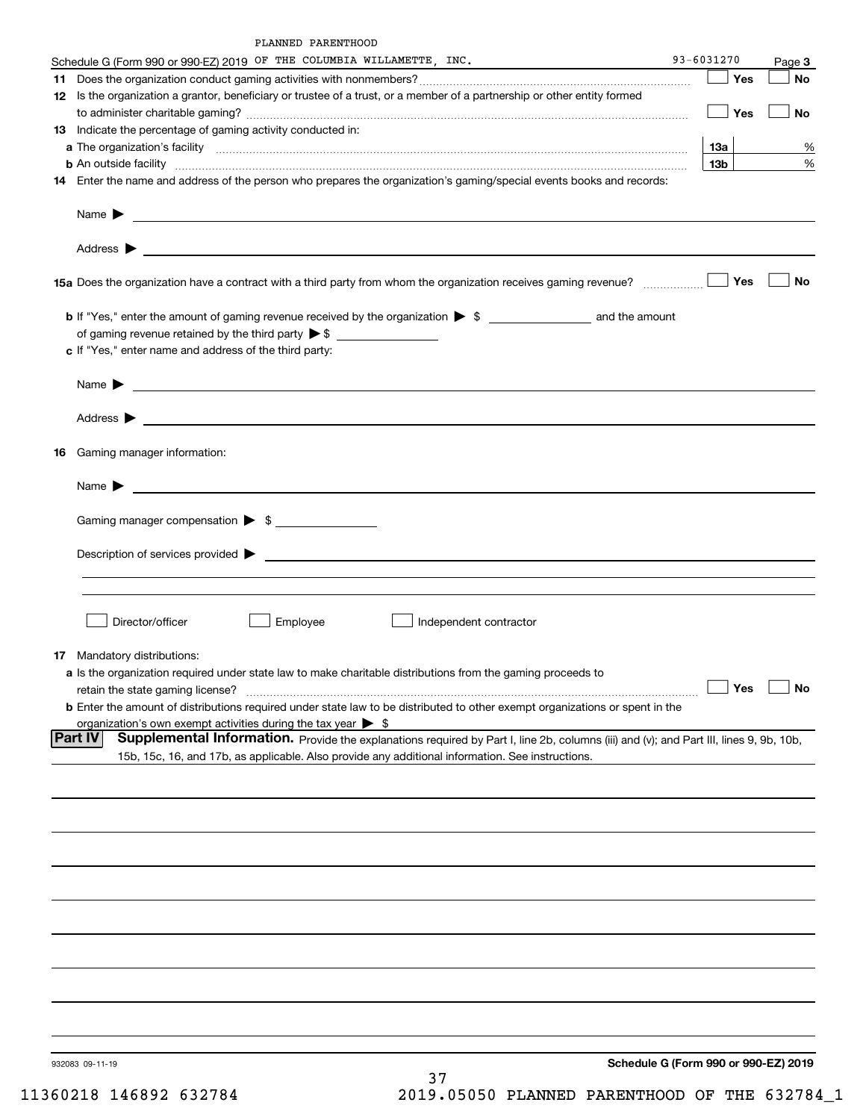| PLANNED PARENTHOOD |
|--------------------|
|                    |

| Schedule G (Form 990 or 990-EZ) 2019 OF THE COLUMBIA WILLAMETTE, INC.                                                                                                                                                                      | 93-6031270 |            | Page 3    |
|--------------------------------------------------------------------------------------------------------------------------------------------------------------------------------------------------------------------------------------------|------------|------------|-----------|
| 11                                                                                                                                                                                                                                         |            | <b>Nes</b> | <b>No</b> |
| 12 Is the organization a grantor, beneficiary or trustee of a trust, or a member of a partnership or other entity formed                                                                                                                   |            |            |           |
|                                                                                                                                                                                                                                            |            | Yes        | No        |
| 13 Indicate the percentage of gaming activity conducted in:                                                                                                                                                                                |            |            |           |
|                                                                                                                                                                                                                                            | 13а        |            | %         |
|                                                                                                                                                                                                                                            | 13b l      |            | $\%$      |
| 14 Enter the name and address of the person who prepares the organization's gaming/special events books and records:                                                                                                                       |            |            |           |
|                                                                                                                                                                                                                                            |            |            |           |
|                                                                                                                                                                                                                                            |            |            |           |
|                                                                                                                                                                                                                                            |            | Yes        | <b>No</b> |
|                                                                                                                                                                                                                                            |            |            |           |
|                                                                                                                                                                                                                                            |            |            |           |
| c If "Yes," enter name and address of the third party:                                                                                                                                                                                     |            |            |           |
|                                                                                                                                                                                                                                            |            |            |           |
|                                                                                                                                                                                                                                            |            |            |           |
|                                                                                                                                                                                                                                            |            |            |           |
| 16 Gaming manager information:                                                                                                                                                                                                             |            |            |           |
| Name $\blacktriangleright$ $\lrcorner$                                                                                                                                                                                                     |            |            |           |
| Gaming manager compensation > \$                                                                                                                                                                                                           |            |            |           |
|                                                                                                                                                                                                                                            |            |            |           |
|                                                                                                                                                                                                                                            |            |            |           |
|                                                                                                                                                                                                                                            |            |            |           |
|                                                                                                                                                                                                                                            |            |            |           |
| Director/officer<br>Employee<br>Independent contractor                                                                                                                                                                                     |            |            |           |
| <b>17</b> Mandatory distributions:                                                                                                                                                                                                         |            |            |           |
| a Is the organization required under state law to make charitable distributions from the gaming proceeds to                                                                                                                                |            |            |           |
| retain the state gaming license?                                                                                                                                                                                                           |            | $\Box$ Yes | $\Box$ No |
| <b>b</b> Enter the amount of distributions required under state law to be distributed to other exempt organizations or spent in the                                                                                                        |            |            |           |
| organization's own exempt activities during the tax year $\triangleright$ \$<br><b>Part IV</b>                                                                                                                                             |            |            |           |
| Supplemental Information. Provide the explanations required by Part I, line 2b, columns (iii) and (v); and Part III, lines 9, 9b, 10b,<br>15b, 15c, 16, and 17b, as applicable. Also provide any additional information. See instructions. |            |            |           |
|                                                                                                                                                                                                                                            |            |            |           |
|                                                                                                                                                                                                                                            |            |            |           |
|                                                                                                                                                                                                                                            |            |            |           |
|                                                                                                                                                                                                                                            |            |            |           |
|                                                                                                                                                                                                                                            |            |            |           |
|                                                                                                                                                                                                                                            |            |            |           |
|                                                                                                                                                                                                                                            |            |            |           |
|                                                                                                                                                                                                                                            |            |            |           |
|                                                                                                                                                                                                                                            |            |            |           |
|                                                                                                                                                                                                                                            |            |            |           |
|                                                                                                                                                                                                                                            |            |            |           |
|                                                                                                                                                                                                                                            |            |            |           |
| Schedule G (Form 990 or 990-EZ) 2019<br>932083 09-11-19<br>ח ר                                                                                                                                                                             |            |            |           |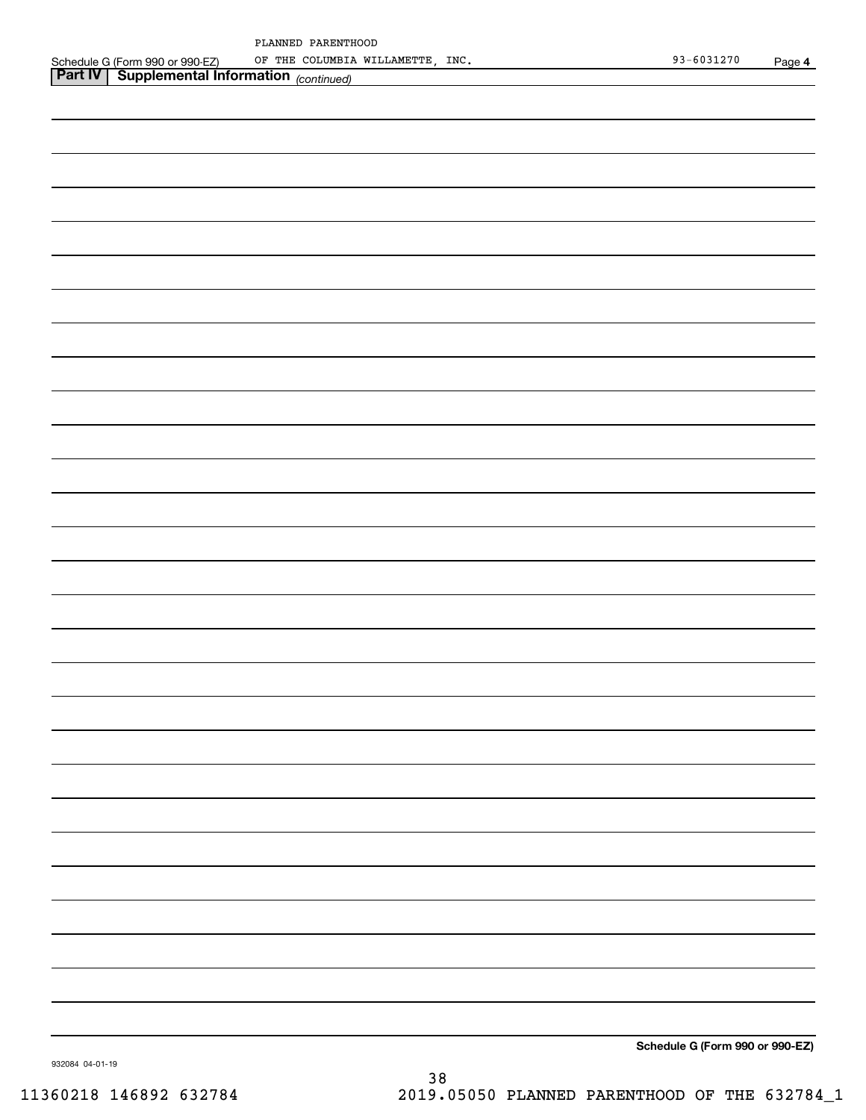| PLANNED PARENTHOOD         |  |
|----------------------------|--|
| OF THE COLUMBIA WILLAMETTE |  |

| OF THE COLUMBIA WILLAMETTE, INC.                                                                                    | 93-6031270 | Page 4 |
|---------------------------------------------------------------------------------------------------------------------|------------|--------|
| Schedule G (Form 990 or 990-EZ) OF THE COLUMBIA<br><b>Part IV</b>   Supplemental Information <sub>(continued)</sub> |            |        |
|                                                                                                                     |            |        |
|                                                                                                                     |            |        |
|                                                                                                                     |            |        |
|                                                                                                                     |            |        |
|                                                                                                                     |            |        |
|                                                                                                                     |            |        |
|                                                                                                                     |            |        |
|                                                                                                                     |            |        |
|                                                                                                                     |            |        |
|                                                                                                                     |            |        |
|                                                                                                                     |            |        |
|                                                                                                                     |            |        |
|                                                                                                                     |            |        |
|                                                                                                                     |            |        |
|                                                                                                                     |            |        |
|                                                                                                                     |            |        |
|                                                                                                                     |            |        |
|                                                                                                                     |            |        |
|                                                                                                                     |            |        |
|                                                                                                                     |            |        |
|                                                                                                                     |            |        |
|                                                                                                                     |            |        |
|                                                                                                                     |            |        |
|                                                                                                                     |            |        |
|                                                                                                                     |            |        |
|                                                                                                                     |            |        |
|                                                                                                                     |            |        |
|                                                                                                                     |            |        |
|                                                                                                                     |            |        |
|                                                                                                                     |            |        |
|                                                                                                                     |            |        |
|                                                                                                                     |            |        |
|                                                                                                                     |            |        |
|                                                                                                                     |            |        |
|                                                                                                                     |            |        |
|                                                                                                                     |            |        |
|                                                                                                                     |            |        |
|                                                                                                                     |            |        |
|                                                                                                                     |            |        |
|                                                                                                                     |            |        |
|                                                                                                                     |            |        |
|                                                                                                                     |            |        |
|                                                                                                                     |            |        |
|                                                                                                                     |            |        |
|                                                                                                                     |            |        |
|                                                                                                                     |            |        |
|                                                                                                                     |            |        |
|                                                                                                                     |            |        |
|                                                                                                                     |            |        |
|                                                                                                                     |            |        |
|                                                                                                                     |            |        |
|                                                                                                                     |            |        |
|                                                                                                                     |            |        |
|                                                                                                                     |            |        |
|                                                                                                                     |            |        |
|                                                                                                                     |            |        |
|                                                                                                                     |            |        |
|                                                                                                                     |            |        |
|                                                                                                                     |            |        |
|                                                                                                                     |            |        |
|                                                                                                                     |            |        |
|                                                                                                                     |            |        |
|                                                                                                                     |            |        |
|                                                                                                                     |            |        |

**Schedule G (Form 990 or 990-EZ)**

932084 04-01-19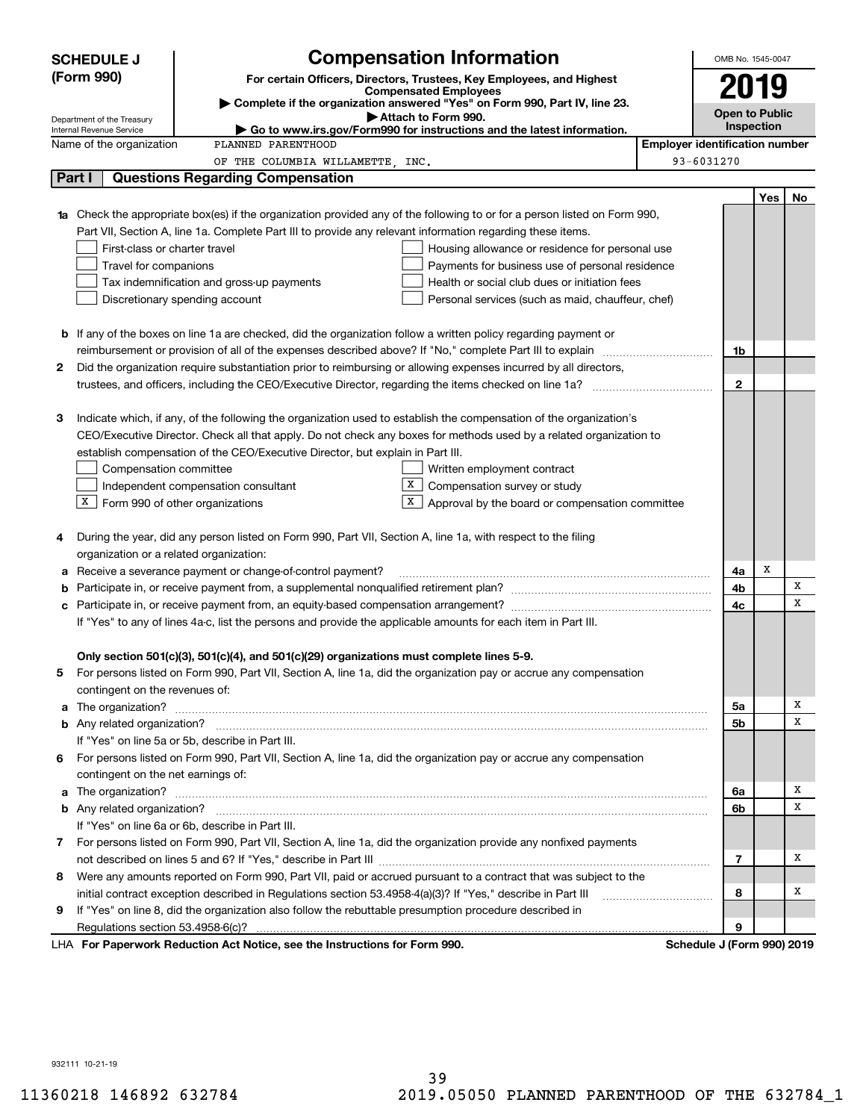| <b>SCHEDULE J</b>                                      | <b>Compensation Information</b>                                                                                        | OMB No. 1545-0047                     |            |    |  |  |
|--------------------------------------------------------|------------------------------------------------------------------------------------------------------------------------|---------------------------------------|------------|----|--|--|
| (Form 990)                                             | For certain Officers, Directors, Trustees, Key Employees, and Highest                                                  |                                       |            |    |  |  |
|                                                        | <b>Compensated Employees</b>                                                                                           | 2019                                  |            |    |  |  |
|                                                        | Complete if the organization answered "Yes" on Form 990, Part IV, line 23.<br>Attach to Form 990.                      | <b>Open to Public</b>                 |            |    |  |  |
| Department of the Treasury<br>Internal Revenue Service | Go to www.irs.gov/Form990 for instructions and the latest information.                                                 |                                       | Inspection |    |  |  |
| Name of the organization                               | PLANNED PARENTHOOD                                                                                                     | <b>Employer identification number</b> |            |    |  |  |
|                                                        | OF THE COLUMBIA WILLAMETTE, INC.                                                                                       | 93-6031270                            |            |    |  |  |
| Part I                                                 | <b>Questions Regarding Compensation</b>                                                                                |                                       |            |    |  |  |
|                                                        |                                                                                                                        |                                       | <b>Yes</b> | No |  |  |
|                                                        | Check the appropriate box(es) if the organization provided any of the following to or for a person listed on Form 990, |                                       |            |    |  |  |
|                                                        | Part VII, Section A, line 1a. Complete Part III to provide any relevant information regarding these items.             |                                       |            |    |  |  |
|                                                        | First-class or charter travel<br>Housing allowance or residence for personal use                                       |                                       |            |    |  |  |
| Travel for companions                                  | Payments for business use of personal residence                                                                        |                                       |            |    |  |  |
|                                                        | Health or social club dues or initiation fees<br>Tax indemnification and gross-up payments                             |                                       |            |    |  |  |
|                                                        | Discretionary spending account<br>Personal services (such as maid, chauffeur, chef)                                    |                                       |            |    |  |  |
|                                                        |                                                                                                                        |                                       |            |    |  |  |
|                                                        | <b>b</b> If any of the boxes on line 1a are checked, did the organization follow a written policy regarding payment or |                                       |            |    |  |  |
|                                                        |                                                                                                                        | 1b                                    |            |    |  |  |
| 2                                                      | Did the organization require substantiation prior to reimbursing or allowing expenses incurred by all directors,       |                                       |            |    |  |  |
|                                                        |                                                                                                                        | $\mathbf{2}$                          |            |    |  |  |
|                                                        |                                                                                                                        |                                       |            |    |  |  |
| з                                                      | Indicate which, if any, of the following the organization used to establish the compensation of the organization's     |                                       |            |    |  |  |
|                                                        | CEO/Executive Director. Check all that apply. Do not check any boxes for methods used by a related organization to     |                                       |            |    |  |  |
|                                                        | establish compensation of the CEO/Executive Director, but explain in Part III.                                         |                                       |            |    |  |  |
|                                                        | Compensation committee<br>Written employment contract                                                                  |                                       |            |    |  |  |
|                                                        | X<br>Compensation survey or study<br>Independent compensation consultant                                               |                                       |            |    |  |  |
| X                                                      | $\Box$ Form 990 of other organizations<br>Approval by the board or compensation committee                              |                                       |            |    |  |  |
|                                                        |                                                                                                                        |                                       |            |    |  |  |
| 4                                                      | During the year, did any person listed on Form 990, Part VII, Section A, line 1a, with respect to the filing           |                                       |            |    |  |  |
|                                                        | organization or a related organization:                                                                                |                                       |            |    |  |  |
| а                                                      | Receive a severance payment or change-of-control payment?                                                              | 4a                                    | x          |    |  |  |
| b                                                      |                                                                                                                        | 4b                                    |            | X  |  |  |
| с                                                      |                                                                                                                        | 4c                                    |            | X  |  |  |
|                                                        | If "Yes" to any of lines 4a-c, list the persons and provide the applicable amounts for each item in Part III.          |                                       |            |    |  |  |
|                                                        |                                                                                                                        |                                       |            |    |  |  |
|                                                        | Only section 501(c)(3), 501(c)(4), and 501(c)(29) organizations must complete lines 5-9.                               |                                       |            |    |  |  |
|                                                        | For persons listed on Form 990, Part VII, Section A, line 1a, did the organization pay or accrue any compensation      |                                       |            |    |  |  |
| contingent on the revenues of:                         |                                                                                                                        |                                       |            |    |  |  |
|                                                        |                                                                                                                        | 5a                                    |            | х  |  |  |
|                                                        |                                                                                                                        | 5b                                    |            | x  |  |  |
|                                                        | If "Yes" on line 5a or 5b, describe in Part III.                                                                       |                                       |            |    |  |  |
| 6                                                      | For persons listed on Form 990, Part VII, Section A, line 1a, did the organization pay or accrue any compensation      |                                       |            |    |  |  |
|                                                        | contingent on the net earnings of:                                                                                     |                                       |            |    |  |  |
|                                                        |                                                                                                                        | 6a                                    |            | х  |  |  |
|                                                        |                                                                                                                        | 6b                                    |            | x  |  |  |
|                                                        | If "Yes" on line 6a or 6b, describe in Part III.                                                                       |                                       |            |    |  |  |
|                                                        | 7 For persons listed on Form 990, Part VII, Section A, line 1a, did the organization provide any nonfixed payments     |                                       |            |    |  |  |
|                                                        |                                                                                                                        | 7                                     |            | х  |  |  |
| 8                                                      | Were any amounts reported on Form 990, Part VII, paid or accrued pursuant to a contract that was subject to the        |                                       |            |    |  |  |
|                                                        | initial contract exception described in Regulations section 53.4958-4(a)(3)? If "Yes," describe in Part III            | 8                                     |            | х  |  |  |
| 9                                                      | If "Yes" on line 8, did the organization also follow the rebuttable presumption procedure described in                 |                                       |            |    |  |  |
|                                                        |                                                                                                                        | 9                                     |            |    |  |  |
|                                                        | LHA For Paperwork Reduction Act Notice, see the Instructions for Form 990.                                             | Schedule J (Form 990) 2019            |            |    |  |  |

932111 10-21-19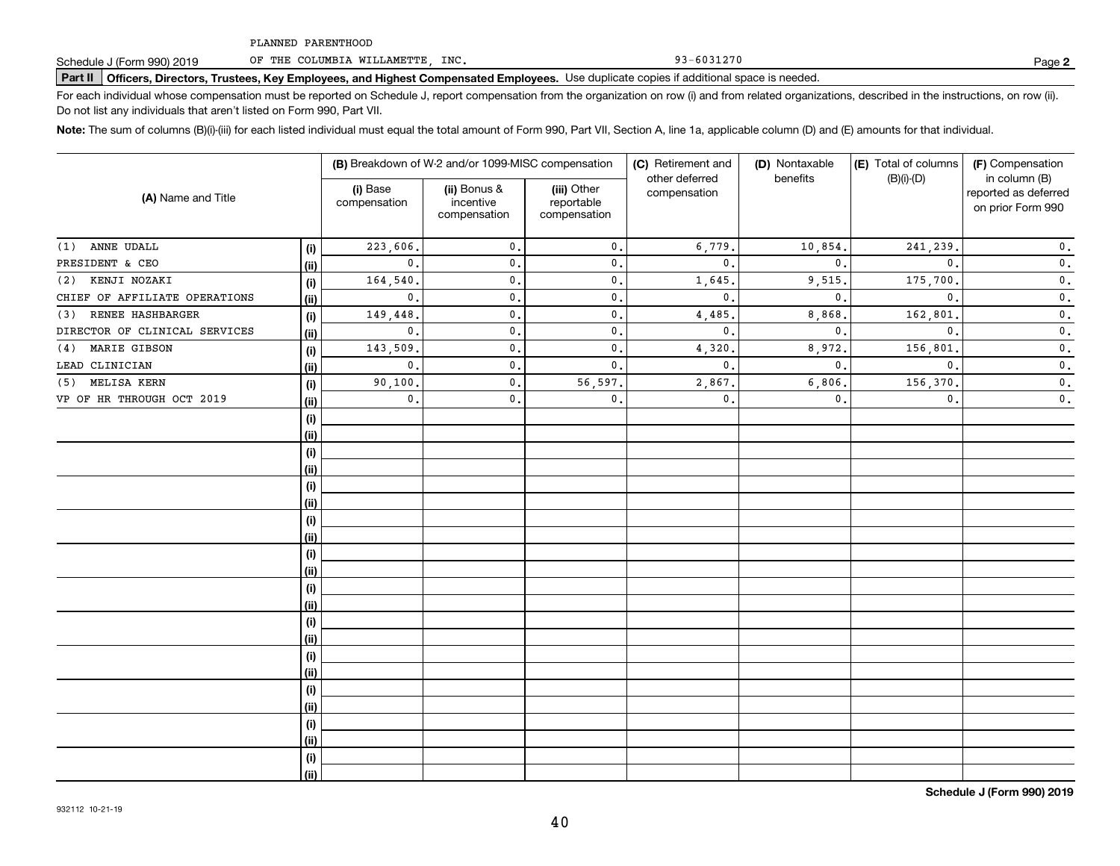OF THE COLUMBIA WILLAMETTE, INC.

## **Part II Officers, Directors, Trustees, Key Employees, and Highest Compensated Employees.**  Schedule J (Form 990) 2019 Page Use duplicate copies if additional space is needed.

For each individual whose compensation must be reported on Schedule J, report compensation from the organization on row (i) and from related organizations, described in the instructions, on row (ii). Do not list any individuals that aren't listed on Form 990, Part VII.

**Note:**  The sum of columns (B)(i)-(iii) for each listed individual must equal the total amount of Form 990, Part VII, Section A, line 1a, applicable column (D) and (E) amounts for that individual.

|                               |      |                          | (B) Breakdown of W-2 and/or 1099-MISC compensation |                                           | (C) Retirement and             | (D) Nontaxable | (E) Total of columns | (F) Compensation                                           |  |
|-------------------------------|------|--------------------------|----------------------------------------------------|-------------------------------------------|--------------------------------|----------------|----------------------|------------------------------------------------------------|--|
| (A) Name and Title            |      | (i) Base<br>compensation | (ii) Bonus &<br>incentive<br>compensation          | (iii) Other<br>reportable<br>compensation | other deferred<br>compensation | benefits       | $(B)(i)-(D)$         | in column (B)<br>reported as deferred<br>on prior Form 990 |  |
| ANNE UDALL<br>(1)             | (i)  | 223,606.                 | $\mathbf{0}$ .                                     | $\mathbf{0}$ .                            | 6,779.                         | 10,854.        | 241,239.             | $\mathfrak o$ .                                            |  |
| PRESIDENT & CEO               | (ii) | $\mathbf{0}$ .           | $\mathbf{0}$ .                                     | $\mathbf{0}$ .                            | $\mathbf{0}$ .                 | $\mathbf{0}$ . | $\mathbf{0}$ .       | $\mathbf 0$ .                                              |  |
| KENJI NOZAKI<br>(2)           | (i)  | 164,540                  | $\mathbf{0}$                                       | $\mathbf{0}$ .                            | 1,645                          | 9,515.         | 175,700.             | $\mathbf 0$ .                                              |  |
| CHIEF OF AFFILIATE OPERATIONS | (ii) | $\mathbf{0}$ .           | $\mathbf{0}$                                       | $\mathbf{0}$ .                            | $\mathbf{0}$ .                 | $\mathbf{0}$ . | $\mathbf{0}$ .       | $\mathbf 0$ .                                              |  |
| RENEE HASHBARGER<br>(3)       | (i)  | 149,448.                 | $\mathbf{0}$                                       | $\mathbf{0}$ .                            | 4,485                          | 8,868          | 162,801              | $\mathbf 0$ .                                              |  |
| DIRECTOR OF CLINICAL SERVICES | (ii) | $\mathbf{0}$ .           | $\mathbf{0}$                                       | $\mathbf{0}$ .                            | $\mathbf{0}$ .                 | $\mathbf{0}$ . | $\mathbf{0}$ .       | $\mathbf 0$ .                                              |  |
| MARIE GIBSON<br>(4)           | (i)  | 143,509.                 | $\mathbf{0}$                                       | $\mathbf{0}$ .                            | 4,320                          | 8,972.         | 156,801              | $\mathbf 0$ .                                              |  |
| LEAD CLINICIAN                | (ii) | $\mathbf{0}$ .           | $\mathbf{0}$                                       | $\mathbf{0}$ .                            | $\mathbf{0}$ .                 | $\mathbf{0}$ . | $\mathbf{0}$ .       | $\mathbf 0$ .                                              |  |
| MELISA KERN<br>(5)            | (i)  | 90,100.                  | $\mathbf{0}$                                       | 56,597.                                   | 2,867.                         | 6,806          | 156,370.             | $\mathfrak o$ .                                            |  |
| VP OF HR THROUGH OCT 2019     | (ii) | $\mathbf{0}$ .           | 0.                                                 | $\mathbf{0}$ .                            | 0.                             | $\mathbf{0}$ . | $\mathbf{0}$ .       | $\mathbf 0$ .                                              |  |
|                               | (i)  |                          |                                                    |                                           |                                |                |                      |                                                            |  |
|                               | (ii) |                          |                                                    |                                           |                                |                |                      |                                                            |  |
|                               | (i)  |                          |                                                    |                                           |                                |                |                      |                                                            |  |
|                               | (ii) |                          |                                                    |                                           |                                |                |                      |                                                            |  |
|                               | (i)  |                          |                                                    |                                           |                                |                |                      |                                                            |  |
|                               | (ii) |                          |                                                    |                                           |                                |                |                      |                                                            |  |
|                               | (i)  |                          |                                                    |                                           |                                |                |                      |                                                            |  |
|                               | (ii) |                          |                                                    |                                           |                                |                |                      |                                                            |  |
|                               | (i)  |                          |                                                    |                                           |                                |                |                      |                                                            |  |
|                               | (ii) |                          |                                                    |                                           |                                |                |                      |                                                            |  |
|                               | (i)  |                          |                                                    |                                           |                                |                |                      |                                                            |  |
|                               | (ii) |                          |                                                    |                                           |                                |                |                      |                                                            |  |
|                               | (i)  |                          |                                                    |                                           |                                |                |                      |                                                            |  |
|                               | (ii) |                          |                                                    |                                           |                                |                |                      |                                                            |  |
|                               | (i)  |                          |                                                    |                                           |                                |                |                      |                                                            |  |
|                               | (ii) |                          |                                                    |                                           |                                |                |                      |                                                            |  |
|                               | (i)  |                          |                                                    |                                           |                                |                |                      |                                                            |  |
|                               | (ii) |                          |                                                    |                                           |                                |                |                      |                                                            |  |
|                               | (i)  |                          |                                                    |                                           |                                |                |                      |                                                            |  |
|                               | (ii) |                          |                                                    |                                           |                                |                |                      |                                                            |  |
|                               | (i)  |                          |                                                    |                                           |                                |                |                      |                                                            |  |
|                               | (ii) |                          |                                                    |                                           |                                |                |                      |                                                            |  |

**Schedule J (Form 990) 2019**

93-6031270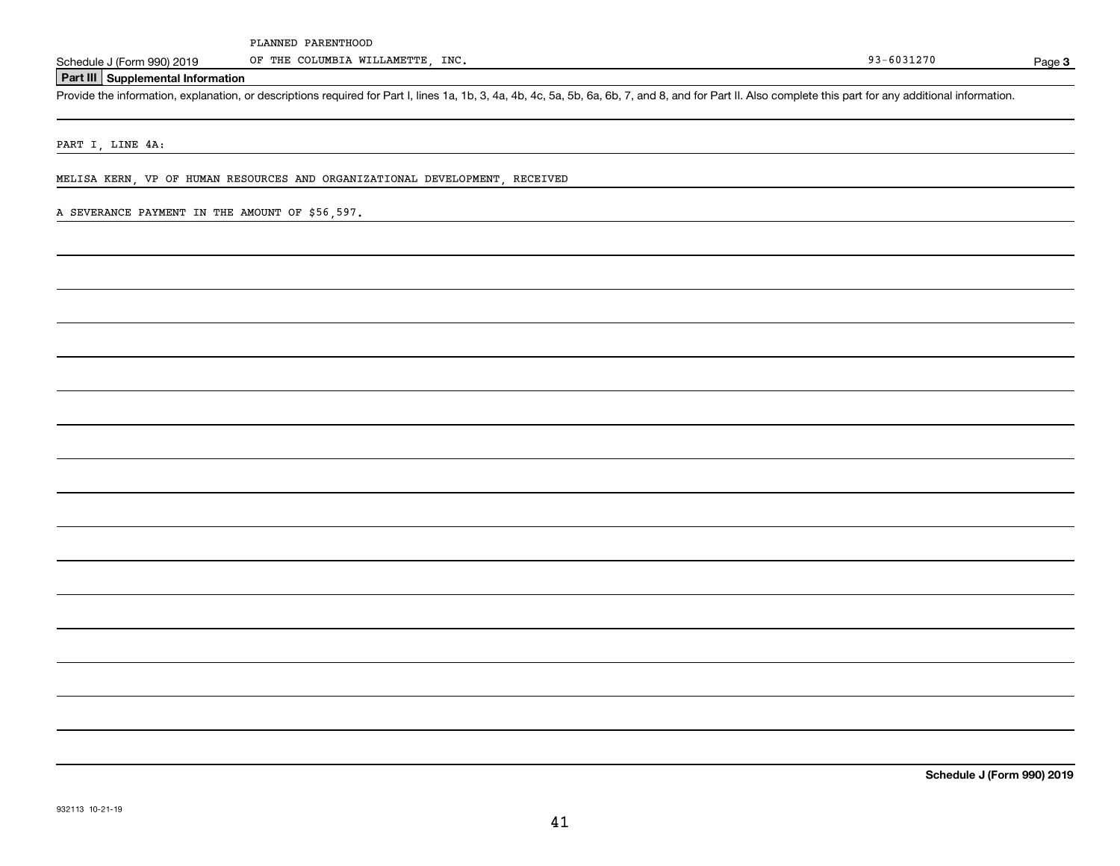OF THE COLUMBIA WILLAMETTE, INC.

Page 3

### **Part III Supplemental Information**

Schedule J (Form 990) 2019 OF THE COLUMBIA WILLAMETTE, INC.<br>Part III Supplemental Information<br>Provide the information, explanation, or descriptions required for Part I, lines 1a, 1b, 3, 4a, 4b, 4c, 5a, 5b, 6a, 6b, 7, and 8

PART I, LINE 4A:

MELISA KERN, VP OF HUMAN RESOURCES AND ORGANIZATIONAL DEVELOPMENT, RECEIVED

#### A SEVERANCE PAYMENT IN THE AMOUNT OF \$56,597.

**Schedule J (Form 990) 2019**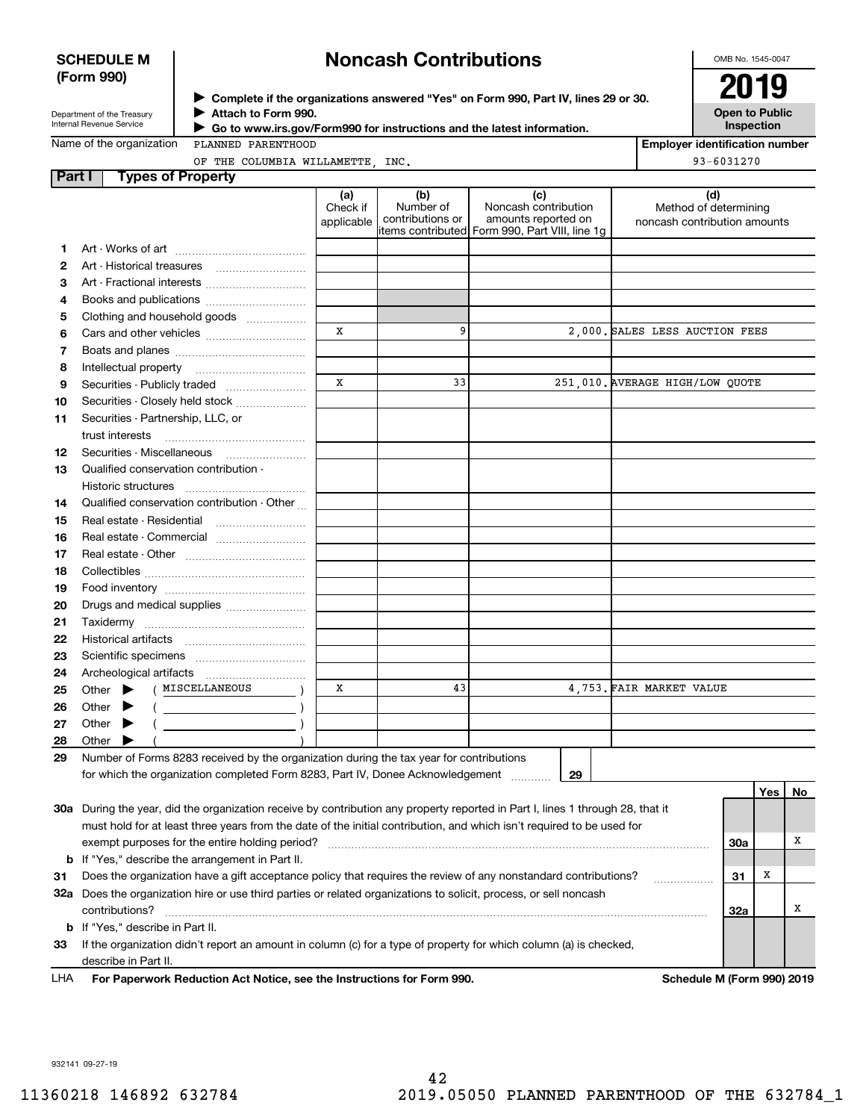#### **SCHEDULE M (Form 990)**

## **Noncash Contributions**

OMB No. 1545-0047

| Department of the Treasury |
|----------------------------|
| Internal Revenue Service   |

**Complete if the organizations answered "Yes" on Form 990, Part IV, lines 29 or 30.** <sup>J</sup>**2019 Attach to Form 990.** J

 **Go to www.irs.gov/Form990 for instructions and the latest information.** J

**Open to Public Inspection**

**Employer identification number**

93-6031270

Name of the organization

PLANNED PARENTHOOD OF THE COLUMBIA WILLAMETTE, INC.

| <b>Part I</b> | <b>Types of Property</b>                                                                                                                                                                                                                                                                                                                                                                                                                                                                                                                                                                                                                                          |                               |                                      |                                                                                                       |                                                              |                         |          |
|---------------|-------------------------------------------------------------------------------------------------------------------------------------------------------------------------------------------------------------------------------------------------------------------------------------------------------------------------------------------------------------------------------------------------------------------------------------------------------------------------------------------------------------------------------------------------------------------------------------------------------------------------------------------------------------------|-------------------------------|--------------------------------------|-------------------------------------------------------------------------------------------------------|--------------------------------------------------------------|-------------------------|----------|
|               |                                                                                                                                                                                                                                                                                                                                                                                                                                                                                                                                                                                                                                                                   | (a)<br>Check if<br>applicable | (b)<br>Number of<br>contributions or | (c)<br>Noncash contribution<br>amounts reported on<br>litems contributed Form 990, Part VIII, line 1g | (d)<br>Method of determining<br>noncash contribution amounts |                         |          |
| 1.            |                                                                                                                                                                                                                                                                                                                                                                                                                                                                                                                                                                                                                                                                   |                               |                                      |                                                                                                       |                                                              |                         |          |
| 2             | Art - Historical treasures                                                                                                                                                                                                                                                                                                                                                                                                                                                                                                                                                                                                                                        |                               |                                      |                                                                                                       |                                                              |                         |          |
| з             | Art - Fractional interests                                                                                                                                                                                                                                                                                                                                                                                                                                                                                                                                                                                                                                        |                               |                                      |                                                                                                       |                                                              |                         |          |
| 4             | Books and publications                                                                                                                                                                                                                                                                                                                                                                                                                                                                                                                                                                                                                                            |                               |                                      |                                                                                                       |                                                              |                         |          |
| 5             | Clothing and household goods                                                                                                                                                                                                                                                                                                                                                                                                                                                                                                                                                                                                                                      |                               |                                      |                                                                                                       |                                                              |                         |          |
| 6             |                                                                                                                                                                                                                                                                                                                                                                                                                                                                                                                                                                                                                                                                   | х                             | 9                                    |                                                                                                       | 2,000. SALES LESS AUCTION FEES                               |                         |          |
| 7             |                                                                                                                                                                                                                                                                                                                                                                                                                                                                                                                                                                                                                                                                   |                               |                                      |                                                                                                       |                                                              |                         |          |
| 8             | Intellectual property                                                                                                                                                                                                                                                                                                                                                                                                                                                                                                                                                                                                                                             |                               |                                      |                                                                                                       |                                                              |                         |          |
| 9             | Securities - Publicly traded                                                                                                                                                                                                                                                                                                                                                                                                                                                                                                                                                                                                                                      | X                             | 33                                   |                                                                                                       | 251,010. AVERAGE HIGH/LOW QUOTE                              |                         |          |
| 10            | Securities - Closely held stock                                                                                                                                                                                                                                                                                                                                                                                                                                                                                                                                                                                                                                   |                               |                                      |                                                                                                       |                                                              |                         |          |
| 11            | Securities - Partnership, LLC, or<br>trust interests                                                                                                                                                                                                                                                                                                                                                                                                                                                                                                                                                                                                              |                               |                                      |                                                                                                       |                                                              |                         |          |
| 12            | Securities - Miscellaneous                                                                                                                                                                                                                                                                                                                                                                                                                                                                                                                                                                                                                                        |                               |                                      |                                                                                                       |                                                              |                         |          |
| 13            | Qualified conservation contribution -                                                                                                                                                                                                                                                                                                                                                                                                                                                                                                                                                                                                                             |                               |                                      |                                                                                                       |                                                              |                         |          |
|               | Historic structures                                                                                                                                                                                                                                                                                                                                                                                                                                                                                                                                                                                                                                               |                               |                                      |                                                                                                       |                                                              |                         |          |
| 14            | Qualified conservation contribution - Other                                                                                                                                                                                                                                                                                                                                                                                                                                                                                                                                                                                                                       |                               |                                      |                                                                                                       |                                                              |                         |          |
| 15            | Real estate - Residential                                                                                                                                                                                                                                                                                                                                                                                                                                                                                                                                                                                                                                         |                               |                                      |                                                                                                       |                                                              |                         |          |
| 16            | Real estate - Commercial                                                                                                                                                                                                                                                                                                                                                                                                                                                                                                                                                                                                                                          |                               |                                      |                                                                                                       |                                                              |                         |          |
| 17            |                                                                                                                                                                                                                                                                                                                                                                                                                                                                                                                                                                                                                                                                   |                               |                                      |                                                                                                       |                                                              |                         |          |
| 18            |                                                                                                                                                                                                                                                                                                                                                                                                                                                                                                                                                                                                                                                                   |                               |                                      |                                                                                                       |                                                              |                         |          |
| 19            |                                                                                                                                                                                                                                                                                                                                                                                                                                                                                                                                                                                                                                                                   |                               |                                      |                                                                                                       |                                                              |                         |          |
| 20            | Drugs and medical supplies                                                                                                                                                                                                                                                                                                                                                                                                                                                                                                                                                                                                                                        |                               |                                      |                                                                                                       |                                                              |                         |          |
| 21            |                                                                                                                                                                                                                                                                                                                                                                                                                                                                                                                                                                                                                                                                   |                               |                                      |                                                                                                       |                                                              |                         |          |
| 22            |                                                                                                                                                                                                                                                                                                                                                                                                                                                                                                                                                                                                                                                                   |                               |                                      |                                                                                                       |                                                              |                         |          |
| 23            |                                                                                                                                                                                                                                                                                                                                                                                                                                                                                                                                                                                                                                                                   |                               |                                      |                                                                                                       |                                                              |                         |          |
| 24            |                                                                                                                                                                                                                                                                                                                                                                                                                                                                                                                                                                                                                                                                   |                               |                                      |                                                                                                       |                                                              |                         |          |
| 25            | ( MISCELLANEOUS<br>Other $\blacktriangleright$                                                                                                                                                                                                                                                                                                                                                                                                                                                                                                                                                                                                                    | х                             | 43                                   |                                                                                                       | 4,753. FAIR MARKET VALUE                                     |                         |          |
| 26            | Other $\blacktriangleright$                                                                                                                                                                                                                                                                                                                                                                                                                                                                                                                                                                                                                                       |                               |                                      |                                                                                                       |                                                              |                         |          |
| 27            | Other $\blacktriangleright$                                                                                                                                                                                                                                                                                                                                                                                                                                                                                                                                                                                                                                       |                               |                                      |                                                                                                       |                                                              |                         |          |
| 28            | Other $\blacktriangleright$                                                                                                                                                                                                                                                                                                                                                                                                                                                                                                                                                                                                                                       |                               |                                      |                                                                                                       |                                                              |                         |          |
| 29            | Number of Forms 8283 received by the organization during the tax year for contributions                                                                                                                                                                                                                                                                                                                                                                                                                                                                                                                                                                           |                               |                                      |                                                                                                       |                                                              |                         |          |
|               |                                                                                                                                                                                                                                                                                                                                                                                                                                                                                                                                                                                                                                                                   |                               |                                      |                                                                                                       |                                                              |                         |          |
|               |                                                                                                                                                                                                                                                                                                                                                                                                                                                                                                                                                                                                                                                                   |                               |                                      |                                                                                                       |                                                              |                         |          |
|               |                                                                                                                                                                                                                                                                                                                                                                                                                                                                                                                                                                                                                                                                   |                               |                                      |                                                                                                       |                                                              |                         |          |
|               |                                                                                                                                                                                                                                                                                                                                                                                                                                                                                                                                                                                                                                                                   |                               |                                      |                                                                                                       |                                                              |                         |          |
|               |                                                                                                                                                                                                                                                                                                                                                                                                                                                                                                                                                                                                                                                                   |                               |                                      |                                                                                                       |                                                              |                         |          |
|               | Does the organization have a gift acceptance policy that requires the review of any nonstandard contributions?                                                                                                                                                                                                                                                                                                                                                                                                                                                                                                                                                    |                               |                                      |                                                                                                       |                                                              |                         |          |
|               |                                                                                                                                                                                                                                                                                                                                                                                                                                                                                                                                                                                                                                                                   |                               |                                      |                                                                                                       |                                                              |                         |          |
|               | contributions?                                                                                                                                                                                                                                                                                                                                                                                                                                                                                                                                                                                                                                                    |                               |                                      |                                                                                                       |                                                              | 32a                     | Χ        |
| b             | If "Yes," describe in Part II.                                                                                                                                                                                                                                                                                                                                                                                                                                                                                                                                                                                                                                    |                               |                                      |                                                                                                       |                                                              |                         |          |
| 33            | If the organization didn't report an amount in column (c) for a type of property for which column (a) is checked,                                                                                                                                                                                                                                                                                                                                                                                                                                                                                                                                                 |                               |                                      |                                                                                                       |                                                              |                         |          |
|               | describe in Part II.                                                                                                                                                                                                                                                                                                                                                                                                                                                                                                                                                                                                                                              |                               |                                      |                                                                                                       |                                                              |                         |          |
| b<br>31       | Archeological artifacts<br>$\left(\begin{array}{ccc}\n&\quad&\quad&\quad\end{array}\right)$<br>for which the organization completed Form 8283, Part IV, Donee Acknowledgement<br>30a During the year, did the organization receive by contribution any property reported in Part I, lines 1 through 28, that it<br>must hold for at least three years from the date of the initial contribution, and which isn't required to be used for<br>exempt purposes for the entire holding period?<br>If "Yes," describe the arrangement in Part II.<br>32a Does the organization hire or use third parties or related organizations to solicit, process, or sell noncash |                               |                                      | 29                                                                                                    | .                                                            | Yes  <br>30a<br>Х<br>31 | No.<br>х |

**For Paperwork Reduction Act Notice, see the Instructions for Form 990. Schedule M (Form 990) 2019** LHA

932141 09-27-19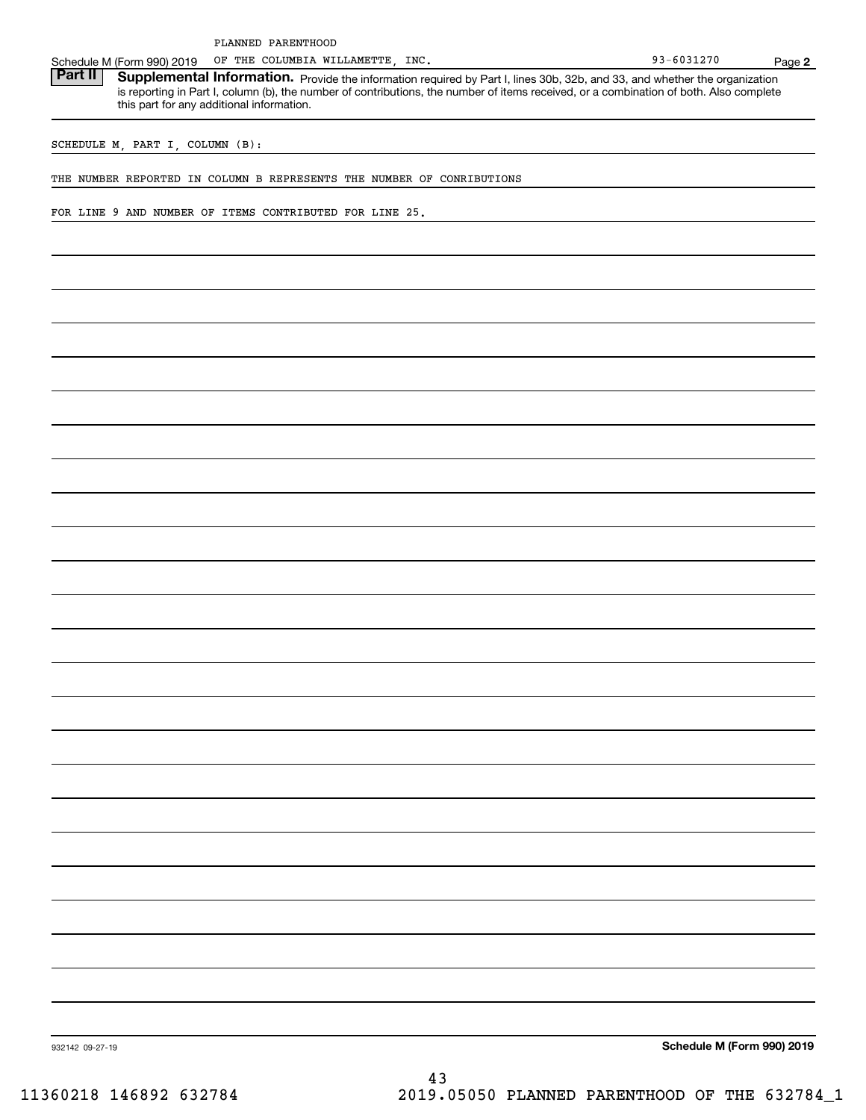OF THE COLUMBIA WILLAMETTE,

Schedule M (Form 990) 2019 OF THE COLUMBIA WILLAMETTE, INC.<br>**Part II** Supplemental Information. Provide the information required by Part I. lines 30b. 32b. and 33. and whether the c Part II | Supplemental Information. Provide the information required by Part I, lines 30b, 32b, and 33, and whether the organization is reporting in Part I, column (b), the number of contributions, the number of items received, or a combination of both. Also complete this part for any additional information.

SCHEDULE M, PART I, COLUMN (B):

THE NUMBER REPORTED IN COLUMN B REPRESENTS THE NUMBER OF CONRIBUTIONS

FOR LINE 9 AND NUMBER OF ITEMS CONTRIBUTED FOR LINE 25.

**Schedule M (Form 990) 2019**

932142 09-27-19

**2**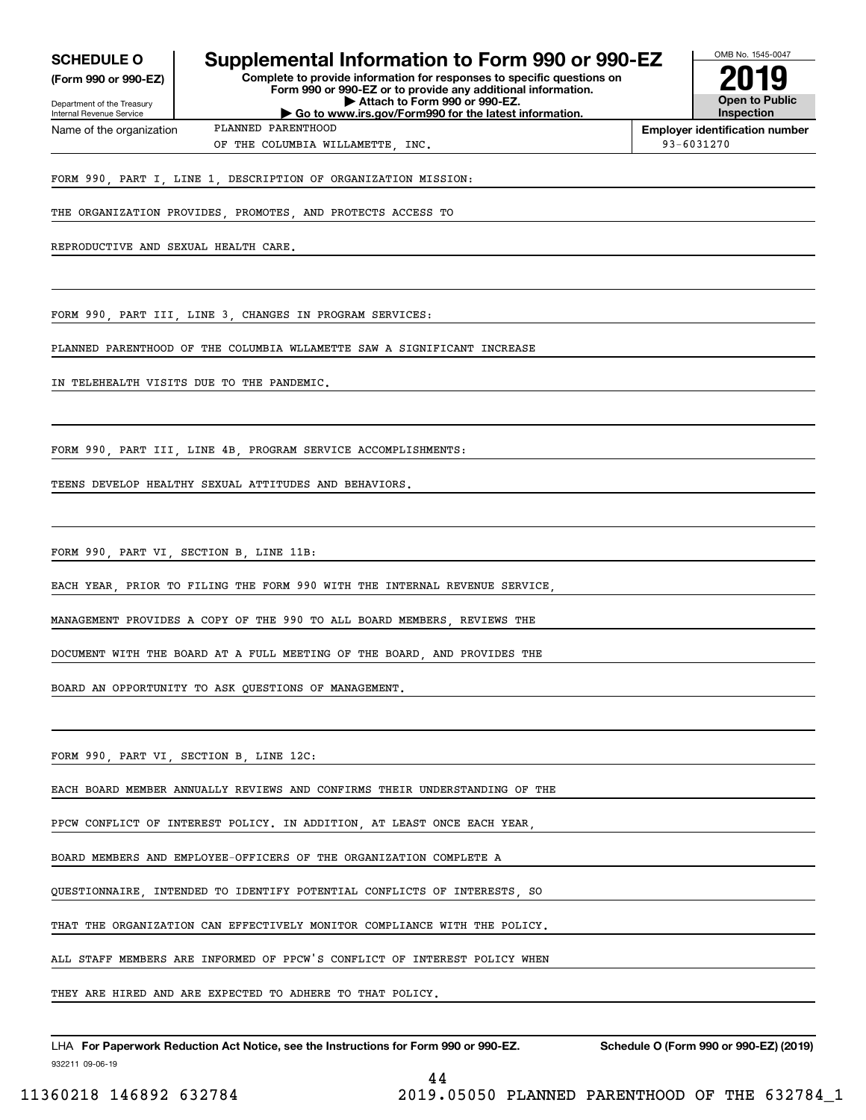| <b>SCHEDULE O</b>          | Supplemental Information to Form 990 or 990-EZ                                                                      | OMB No. 1545-0047     |
|----------------------------|---------------------------------------------------------------------------------------------------------------------|-----------------------|
| (Form 990 or 990-EZ)       | Complete to provide information for responses to specific questions on                                              | 2019                  |
| Department of the Treasury | Form 990 or 990-EZ or to provide any additional information.<br>$\blacktriangleright$ Attach to Form 990 or 990-EZ. | <b>Open to Public</b> |

nent of the Treasury Internal Revenue Service Name of the organization

**| Go to www.irs.gov/Form990 for the latest information.** PLANNED PARENTHOOD

**Employer identification number** OF THE COLUMBIA WILLAMETTE, INC.  $\vert$  93-6031270

**Inspection**

FORM 990, PART I, LINE 1, DESCRIPTION OF ORGANIZATION MISSION:

THE ORGANIZATION PROVIDES, PROMOTES, AND PROTECTS ACCESS TO

REPRODUCTIVE AND SEXUAL HEALTH CARE.

FORM 990, PART III, LINE 3, CHANGES IN PROGRAM SERVICES:

PLANNED PARENTHOOD OF THE COLUMBIA WLLAMETTE SAW A SIGNIFICANT INCREASE

IN TELEHEALTH VISITS DUE TO THE PANDEMIC.

FORM 990, PART III, LINE 4B, PROGRAM SERVICE ACCOMPLISHMENTS:

TEENS DEVELOP HEALTHY SEXUAL ATTITUDES AND BEHAVIORS.

FORM 990, PART VI, SECTION B, LINE 11B:

EACH YEAR, PRIOR TO FILING THE FORM 990 WITH THE INTERNAL REVENUE SERVICE,

MANAGEMENT PROVIDES A COPY OF THE 990 TO ALL BOARD MEMBERS, REVIEWS THE

DOCUMENT WITH THE BOARD AT A FULL MEETING OF THE BOARD, AND PROVIDES THE

BOARD AN OPPORTUNITY TO ASK QUESTIONS OF MANAGEMENT.

FORM 990, PART VI, SECTION B, LINE 12C:

EACH BOARD MEMBER ANNUALLY REVIEWS AND CONFIRMS THEIR UNDERSTANDING OF THE

PPCW CONFLICT OF INTEREST POLICY. IN ADDITION, AT LEAST ONCE EACH YEAR,

BOARD MEMBERS AND EMPLOYEE-OFFICERS OF THE ORGANIZATION COMPLETE A

QUESTIONNAIRE, INTENDED TO IDENTIFY POTENTIAL CONFLICTS OF INTERESTS, SO

THAT THE ORGANIZATION CAN EFFECTIVELY MONITOR COMPLIANCE WITH THE POLICY.

ALL STAFF MEMBERS ARE INFORMED OF PPCW'S CONFLICT OF INTEREST POLICY WHEN

THEY ARE HIRED AND ARE EXPECTED TO ADHERE TO THAT POLICY.

932211 09-06-19 LHA For Paperwork Reduction Act Notice, see the Instructions for Form 990 or 990-EZ. Schedule O (Form 990 or 990-EZ) (2019)

44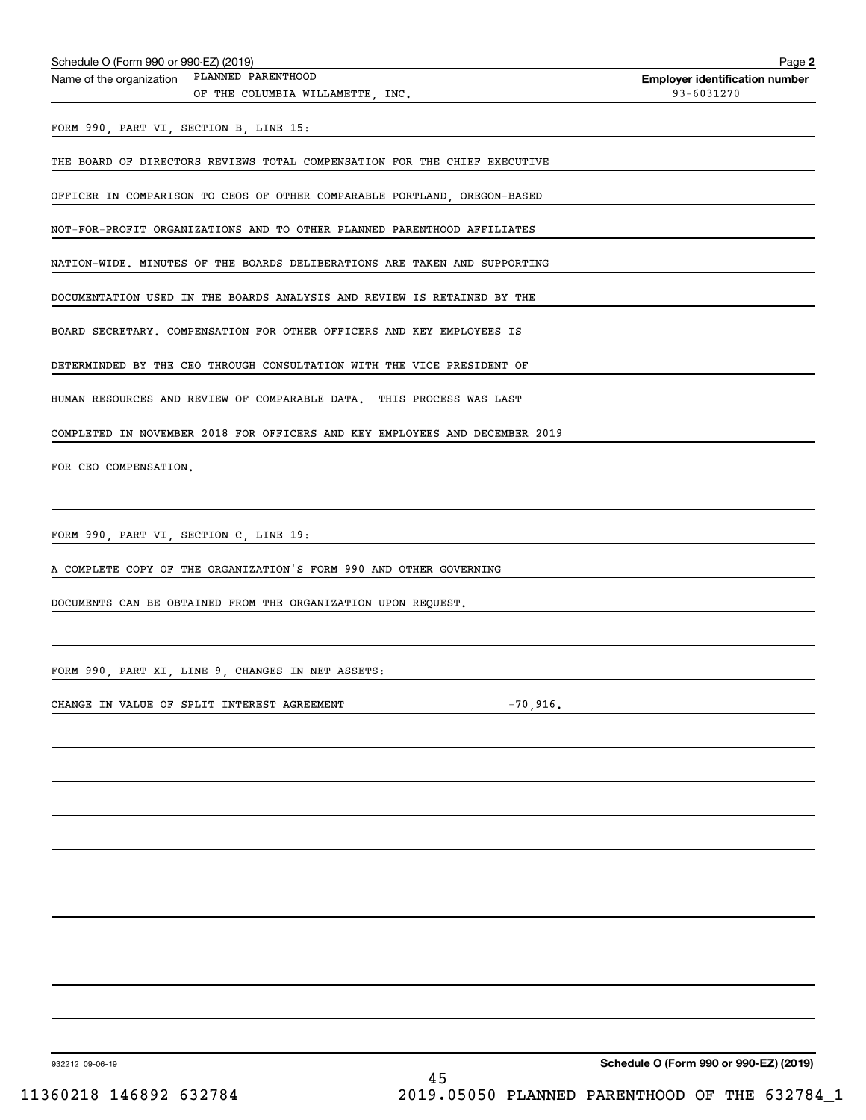| Schedule O (Form 990 or 990-EZ) (2019)                                      | Page 2                                |
|-----------------------------------------------------------------------------|---------------------------------------|
| Name of the organization PLANNED PARENTHOOD                                 | <b>Employer identification number</b> |
| OF THE COLUMBIA WILLAMETTE, INC.                                            | 93-6031270                            |
| FORM 990, PART VI, SECTION B, LINE 15:                                      |                                       |
|                                                                             |                                       |
| THE BOARD OF DIRECTORS REVIEWS TOTAL COMPENSATION FOR THE CHIEF EXECUTIVE   |                                       |
| OFFICER IN COMPARISON TO CEOS OF OTHER COMPARABLE PORTLAND, OREGON-BASED    |                                       |
| NOT-FOR-PROFIT ORGANIZATIONS AND TO OTHER PLANNED PARENTHOOD AFFILIATES     |                                       |
|                                                                             |                                       |
| NATION-WIDE. MINUTES OF THE BOARDS DELIBERATIONS ARE TAKEN AND SUPPORTING   |                                       |
| DOCUMENTATION USED IN THE BOARDS ANALYSIS AND REVIEW IS RETAINED BY THE     |                                       |
| BOARD SECRETARY. COMPENSATION FOR OTHER OFFICERS AND KEY EMPLOYEES IS       |                                       |
|                                                                             |                                       |
| DETERMINDED BY THE CEO THROUGH CONSULTATION WITH THE VICE PRESIDENT OF      |                                       |
| HUMAN RESOURCES AND REVIEW OF COMPARABLE DATA. THIS PROCESS WAS LAST        |                                       |
|                                                                             |                                       |
| COMPLETED IN NOVEMBER 2018 FOR OFFICERS AND KEY EMPLOYEES AND DECEMBER 2019 |                                       |
| FOR CEO COMPENSATION.                                                       |                                       |
|                                                                             |                                       |
|                                                                             |                                       |
| FORM 990, PART VI, SECTION C, LINE 19:                                      |                                       |
| A COMPLETE COPY OF THE ORGANIZATION'S FORM 990 AND OTHER GOVERNING          |                                       |
|                                                                             |                                       |
| DOCUMENTS CAN BE OBTAINED FROM THE ORGANIZATION UPON REQUEST.               |                                       |
|                                                                             |                                       |
| FORM 990, PART XI, LINE 9, CHANGES IN NET ASSETS:                           |                                       |
|                                                                             |                                       |
| CHANGE IN VALUE OF SPLIT INTEREST AGREEMENT                                 | $-70,916.$                            |
|                                                                             |                                       |
|                                                                             |                                       |
|                                                                             |                                       |
|                                                                             |                                       |
|                                                                             |                                       |
|                                                                             |                                       |
|                                                                             |                                       |
|                                                                             |                                       |
|                                                                             |                                       |
|                                                                             |                                       |
|                                                                             |                                       |
|                                                                             |                                       |
|                                                                             |                                       |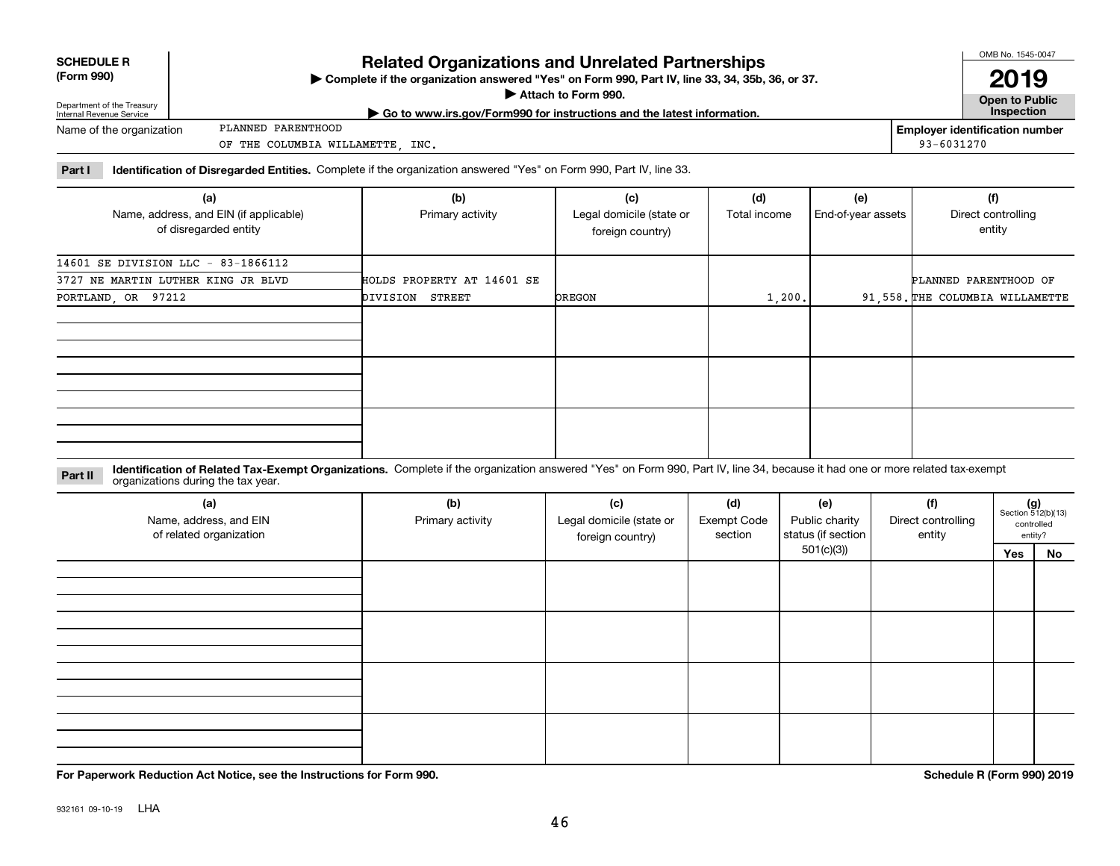| <b>SCHEDULE R</b> |  |
|-------------------|--|
| IF----- 000)      |  |

**(Form 990)**

### **Related Organizations and Unrelated Partnerships**

**Complete if the organization answered "Yes" on Form 990, Part IV, line 33, 34, 35b, 36, or 37.** |

**Attach to Form 990.**  |

OMB No. 1545-0047 **Open to Public 2019**

Department of the Treasury Internal Revenue Service Name of the organization

**| Go to www.irs.gov/Form990 for instructions and the latest information. Inspection** PLANNED PARENTHOOD

**Employer identification number** 93-6031270

OF THE COLUMBIA WILLAMETTE, INC.

**Part I Identification of Disregarded Entities.**  Complete if the organization answered "Yes" on Form 990, Part IV, line 33.

| (a)                                    | (b)                        | (c)                      | (d)          | (e)                | (f)                             |
|----------------------------------------|----------------------------|--------------------------|--------------|--------------------|---------------------------------|
| Name, address, and EIN (if applicable) | Primary activity           | Legal domicile (state or | Total income | End-of-year assets | Direct controlling              |
| of disregarded entity                  |                            | foreign country)         |              |                    | entity                          |
|                                        |                            |                          |              |                    |                                 |
| 14601 SE DIVISION LLC - 83-1866112     |                            |                          |              |                    |                                 |
| 3727 NE MARTIN LUTHER KING JR BLVD     | HOLDS PROPERTY AT 14601 SE |                          |              |                    | PLANNED PARENTHOOD OF           |
| PORTLAND, OR 97212                     | DIVISION<br>STREET         | <b>DREGON</b>            | 1,200.       |                    | 91.558. THE COLUMBIA WILLAMETTE |
|                                        |                            |                          |              |                    |                                 |
|                                        |                            |                          |              |                    |                                 |
|                                        |                            |                          |              |                    |                                 |
|                                        |                            |                          |              |                    |                                 |
|                                        |                            |                          |              |                    |                                 |
|                                        |                            |                          |              |                    |                                 |
|                                        |                            |                          |              |                    |                                 |
|                                        |                            |                          |              |                    |                                 |
|                                        |                            |                          |              |                    |                                 |

**Identification of Related Tax-Exempt Organizations.** Complete if the organization answered "Yes" on Form 990, Part IV, line 34, because it had one or more related tax-exempt **Part II** organizations during the tax year.

| (a)<br>Name, address, and EIN<br>of related organization | (b)<br>Primary activity | (c)<br>Legal domicile (state or<br>foreign country) | (d)<br><b>Exempt Code</b><br>section | (e)<br>Public charity<br>status (if section | (f)<br>Direct controlling<br>entity | $(g)$<br>Section 512(b)(13) | controlled<br>entity? |
|----------------------------------------------------------|-------------------------|-----------------------------------------------------|--------------------------------------|---------------------------------------------|-------------------------------------|-----------------------------|-----------------------|
|                                                          |                         |                                                     |                                      | 501(c)(3)                                   |                                     | Yes                         | No                    |
|                                                          |                         |                                                     |                                      |                                             |                                     |                             |                       |
|                                                          |                         |                                                     |                                      |                                             |                                     |                             |                       |
|                                                          |                         |                                                     |                                      |                                             |                                     |                             |                       |

**For Paperwork Reduction Act Notice, see the Instructions for Form 990. Schedule R (Form 990) 2019**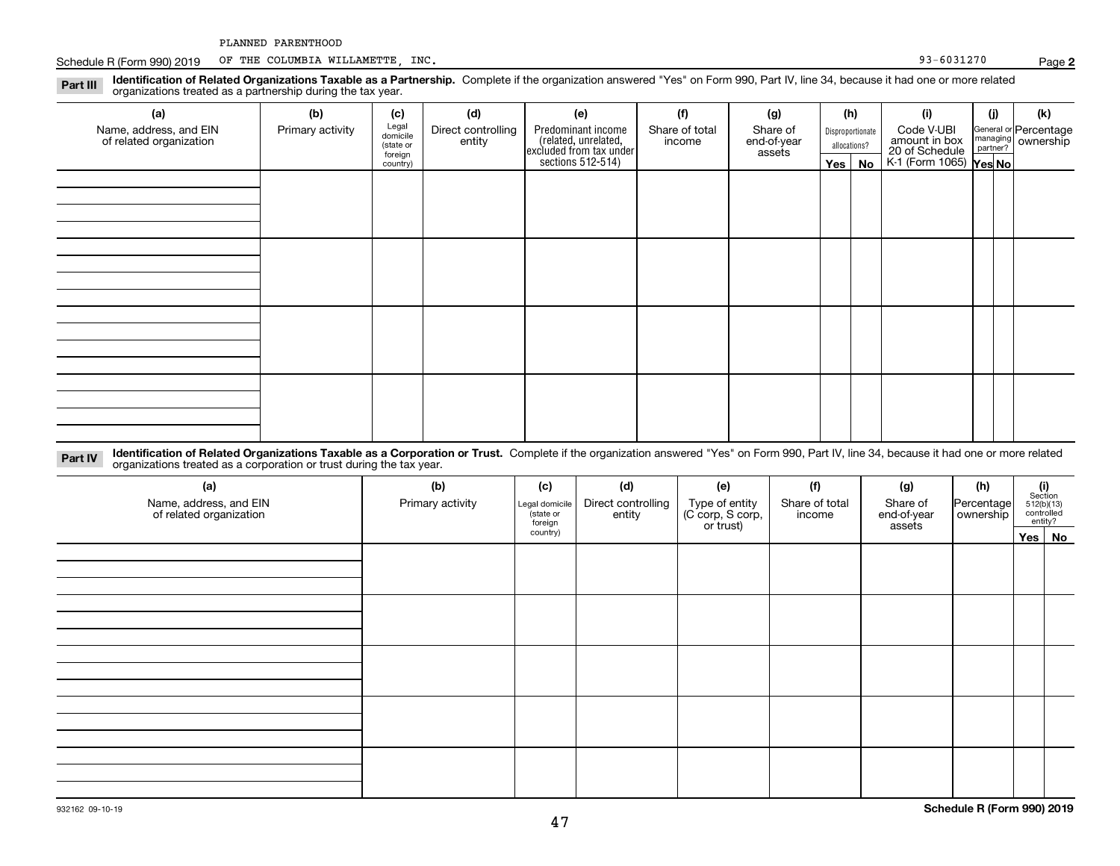Schedule R (Form 990) 2019 Page OF THE COLUMBIA WILLAMETTE, INC. 93-6031270

**Identification of Related Organizations Taxable as a Partnership.** Complete if the organization answered "Yes" on Form 990, Part IV, line 34, because it had one or more related **Part III** organizations treated as a partnership during the tax year.

| $\checkmark$<br>ັ<br>$\overline{\phantom{a}}$     |                  |                      |                              |                                                                      |                          |                         |              |                  |                                 |     |                                                         |  |  |
|---------------------------------------------------|------------------|----------------------|------------------------------|----------------------------------------------------------------------|--------------------------|-------------------------|--------------|------------------|---------------------------------|-----|---------------------------------------------------------|--|--|
| (a)                                               | (b)              | (c)                  | (d)                          | (e)                                                                  | (f)                      | (g)                     |              | (h)              | (i)                             | (i) | (k)                                                     |  |  |
| Name, address, and EIN<br>of related organization | Primary activity | Legal<br>domicile    | Direct controlling<br>entity | Predominant income                                                   | Share of total<br>income | Share of<br>end-of-year |              | Disproportionate | Code V-UBI                      |     | General or Percentage<br>managing ownership<br>partner? |  |  |
|                                                   |                  | (state or<br>foreign |                              |                                                                      |                          | assets                  | allocations? |                  | amount in box<br>20 of Schedule |     |                                                         |  |  |
|                                                   |                  | country)             |                              | (related, unrelated,<br>excluded from tax under<br>sections 512-514) |                          |                         | Yes $ $      | No               | K-1 (Form 1065) Yes No          |     |                                                         |  |  |
|                                                   |                  |                      |                              |                                                                      |                          |                         |              |                  |                                 |     |                                                         |  |  |
|                                                   |                  |                      |                              |                                                                      |                          |                         |              |                  |                                 |     |                                                         |  |  |
|                                                   |                  |                      |                              |                                                                      |                          |                         |              |                  |                                 |     |                                                         |  |  |
|                                                   |                  |                      |                              |                                                                      |                          |                         |              |                  |                                 |     |                                                         |  |  |
|                                                   |                  |                      |                              |                                                                      |                          |                         |              |                  |                                 |     |                                                         |  |  |
|                                                   |                  |                      |                              |                                                                      |                          |                         |              |                  |                                 |     |                                                         |  |  |
|                                                   |                  |                      |                              |                                                                      |                          |                         |              |                  |                                 |     |                                                         |  |  |
|                                                   |                  |                      |                              |                                                                      |                          |                         |              |                  |                                 |     |                                                         |  |  |
|                                                   |                  |                      |                              |                                                                      |                          |                         |              |                  |                                 |     |                                                         |  |  |
|                                                   |                  |                      |                              |                                                                      |                          |                         |              |                  |                                 |     |                                                         |  |  |
|                                                   |                  |                      |                              |                                                                      |                          |                         |              |                  |                                 |     |                                                         |  |  |
|                                                   |                  |                      |                              |                                                                      |                          |                         |              |                  |                                 |     |                                                         |  |  |
|                                                   |                  |                      |                              |                                                                      |                          |                         |              |                  |                                 |     |                                                         |  |  |
|                                                   |                  |                      |                              |                                                                      |                          |                         |              |                  |                                 |     |                                                         |  |  |
|                                                   |                  |                      |                              |                                                                      |                          |                         |              |                  |                                 |     |                                                         |  |  |
|                                                   |                  |                      |                              |                                                                      |                          |                         |              |                  |                                 |     |                                                         |  |  |

**Identification of Related Organizations Taxable as a Corporation or Trust.** Complete if the organization answered "Yes" on Form 990, Part IV, line 34, because it had one or more related **Part IV** organizations treated as a corporation or trust during the tax year.

| (a)<br>Name, address, and EIN<br>of related organization | (b)<br>Primary activity | (c)<br>Legal domicile<br>(state or<br>foreign | (d)<br>Direct controlling<br>entity | (e)<br>Type of entity<br>(C corp, S corp,<br>or trust) | (f)<br>Share of total<br>income | (g)<br>Share of<br>end-of-year<br>assets | (h)<br>Percentage<br>ownership | (i)<br>Section<br>512(b)(13)<br>controlled | entity? |
|----------------------------------------------------------|-------------------------|-----------------------------------------------|-------------------------------------|--------------------------------------------------------|---------------------------------|------------------------------------------|--------------------------------|--------------------------------------------|---------|
|                                                          |                         | country)                                      |                                     |                                                        |                                 |                                          |                                | Yes No                                     |         |
|                                                          |                         |                                               |                                     |                                                        |                                 |                                          |                                |                                            |         |
|                                                          |                         |                                               |                                     |                                                        |                                 |                                          |                                |                                            |         |
|                                                          |                         |                                               |                                     |                                                        |                                 |                                          |                                |                                            |         |
|                                                          |                         |                                               |                                     |                                                        |                                 |                                          |                                |                                            |         |
|                                                          |                         |                                               |                                     |                                                        |                                 |                                          |                                |                                            |         |
|                                                          |                         |                                               |                                     |                                                        |                                 |                                          |                                |                                            |         |
|                                                          |                         |                                               |                                     |                                                        |                                 |                                          |                                |                                            |         |
|                                                          |                         |                                               |                                     |                                                        |                                 |                                          |                                |                                            |         |
|                                                          |                         |                                               |                                     |                                                        |                                 |                                          |                                |                                            |         |
|                                                          |                         |                                               |                                     |                                                        |                                 |                                          |                                |                                            |         |
|                                                          |                         |                                               |                                     |                                                        |                                 |                                          |                                |                                            |         |
|                                                          |                         |                                               |                                     |                                                        |                                 |                                          |                                |                                            |         |
|                                                          |                         |                                               |                                     |                                                        |                                 |                                          |                                |                                            |         |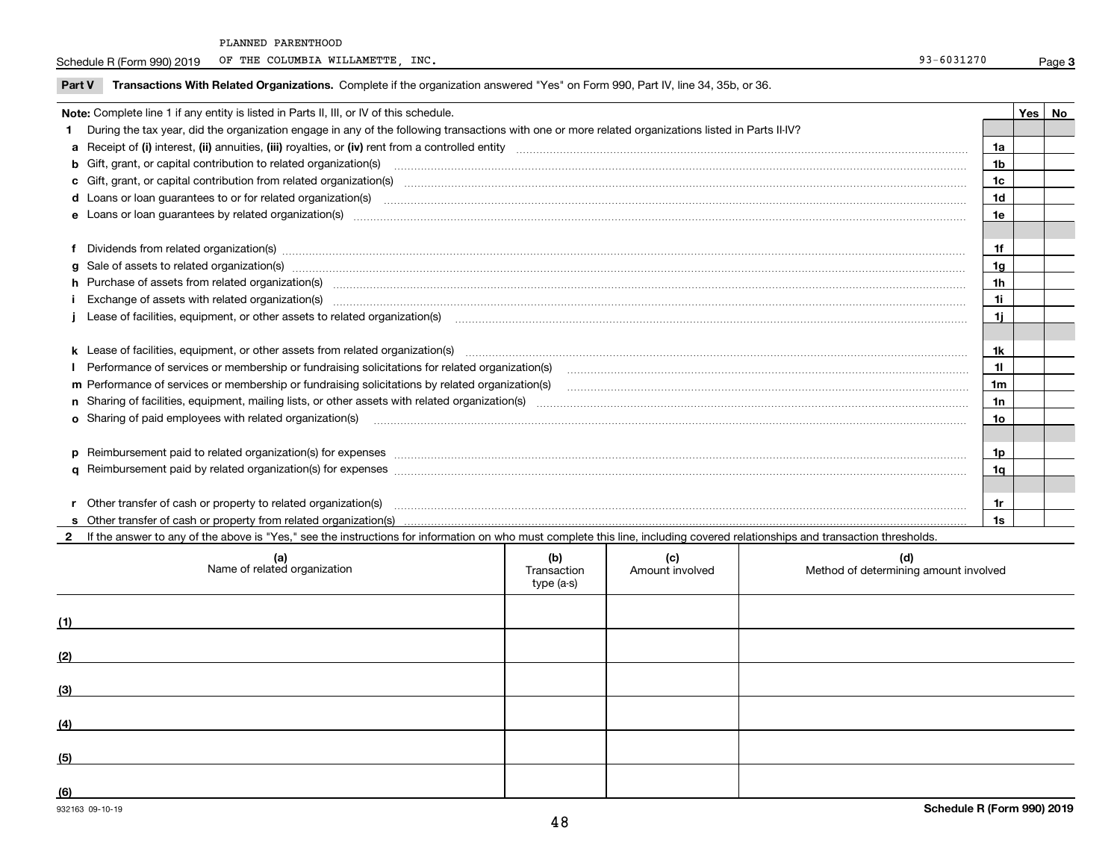Schedule R (Form 990) 2019 Page OF THE COLUMBIA WILLAMETTE, INC. 93-6031270

**Part V** T**ransactions With Related Organizations.** Complete if the organization answered "Yes" on Form 990, Part IV, line 34, 35b, or 36.

|                                                                                                                                                                                                                                       | Note: Complete line 1 if any entity is listed in Parts II, III, or IV of this schedule.                                                                                                                                              |                | Yes I | No |  |  |  |
|---------------------------------------------------------------------------------------------------------------------------------------------------------------------------------------------------------------------------------------|--------------------------------------------------------------------------------------------------------------------------------------------------------------------------------------------------------------------------------------|----------------|-------|----|--|--|--|
|                                                                                                                                                                                                                                       | 1 During the tax year, did the organization engage in any of the following transactions with one or more related organizations listed in Parts II-IV?                                                                                |                |       |    |  |  |  |
|                                                                                                                                                                                                                                       |                                                                                                                                                                                                                                      | 1a             |       |    |  |  |  |
|                                                                                                                                                                                                                                       | <b>b</b> Gift, grant, or capital contribution to related organization(s)                                                                                                                                                             | 1 <sub>b</sub> |       |    |  |  |  |
|                                                                                                                                                                                                                                       | c Gift, grant, or capital contribution from related organization(s)                                                                                                                                                                  | 1c             |       |    |  |  |  |
|                                                                                                                                                                                                                                       | <b>d</b> Loans or loan quarantees to or for related organization(s)                                                                                                                                                                  | 1d             |       |    |  |  |  |
|                                                                                                                                                                                                                                       | e Loans or loan guarantees by related organization(s) manufactured and content to content the content of the content of the content of the content of the content of the content of the content of the content of the content        | 1e             |       |    |  |  |  |
|                                                                                                                                                                                                                                       |                                                                                                                                                                                                                                      |                |       |    |  |  |  |
|                                                                                                                                                                                                                                       | f Dividends from related organization(s) material contracts and contracts are contracted as a contract of the contract or contract or contract or contract or contract or contract or contract or contract or contract or cont       | 1f             |       |    |  |  |  |
|                                                                                                                                                                                                                                       | g Sale of assets to related organization(s) www.assettion.com/www.assettion.com/www.assettion.com/www.assettion.com/www.assettion.com/www.assettion.com/www.assettion.com/www.assettion.com/www.assettion.com/www.assettion.co       | 1g             |       |    |  |  |  |
|                                                                                                                                                                                                                                       | h Purchase of assets from related organization(s) manufactured content to content the content of the content of the content of the content of the content of the content of the content of the content of the content of the c       | 1h             |       |    |  |  |  |
|                                                                                                                                                                                                                                       | i Exchange of assets with related organization(s) www.communically.communically.communically.communically.communically.communically.communically.communically.communically.communically.communically.communically.communically<br>1i |                |       |    |  |  |  |
| j Lease of facilities, equipment, or other assets to related organization(s) mature material content content to the account of the content of facilities, equipment, or other assets to related organization(s) material conte<br>1i. |                                                                                                                                                                                                                                      |                |       |    |  |  |  |
|                                                                                                                                                                                                                                       |                                                                                                                                                                                                                                      |                |       |    |  |  |  |
|                                                                                                                                                                                                                                       | k Lease of facilities, equipment, or other assets from related organization(s) manufaction content and content to the assets from related organization(s) manufaction content and content and content and content and content        | 1k             |       |    |  |  |  |
|                                                                                                                                                                                                                                       | I Performance of services or membership or fundraising solicitations for related organization(s)                                                                                                                                     | 11             |       |    |  |  |  |
|                                                                                                                                                                                                                                       | m Performance of services or membership or fundraising solicitations by related organization(s)                                                                                                                                      | 1 <sub>m</sub> |       |    |  |  |  |
|                                                                                                                                                                                                                                       |                                                                                                                                                                                                                                      | 1n             |       |    |  |  |  |
|                                                                                                                                                                                                                                       | <b>o</b> Sharing of paid employees with related organization(s)                                                                                                                                                                      | 10             |       |    |  |  |  |
|                                                                                                                                                                                                                                       |                                                                                                                                                                                                                                      |                |       |    |  |  |  |
|                                                                                                                                                                                                                                       | p Reimbursement paid to related organization(s) for expenses [111] resummations continuum contract to related organization(s) for expenses [11] resummations continuum contract to related organization(s) for expenses [11]         | 1p             |       |    |  |  |  |
|                                                                                                                                                                                                                                       |                                                                                                                                                                                                                                      | 1a             |       |    |  |  |  |
|                                                                                                                                                                                                                                       |                                                                                                                                                                                                                                      |                |       |    |  |  |  |
|                                                                                                                                                                                                                                       | r Other transfer of cash or property to related organization(s)                                                                                                                                                                      | 1r             |       |    |  |  |  |
|                                                                                                                                                                                                                                       |                                                                                                                                                                                                                                      | 1s             |       |    |  |  |  |

932163 09-10-19 **2**If the answer to any of the above is "Yes," see the instructions for information on who must complete this line, including covered relationships and transaction thresholds. **(a) (b) (c) (d) (1) (2) (3) (4) (5) (6)Schedule R (Form 990) 2019** Name of related organization  $\vert$  Transaction type (a-s) Amount involved letter and Method of determining amount involved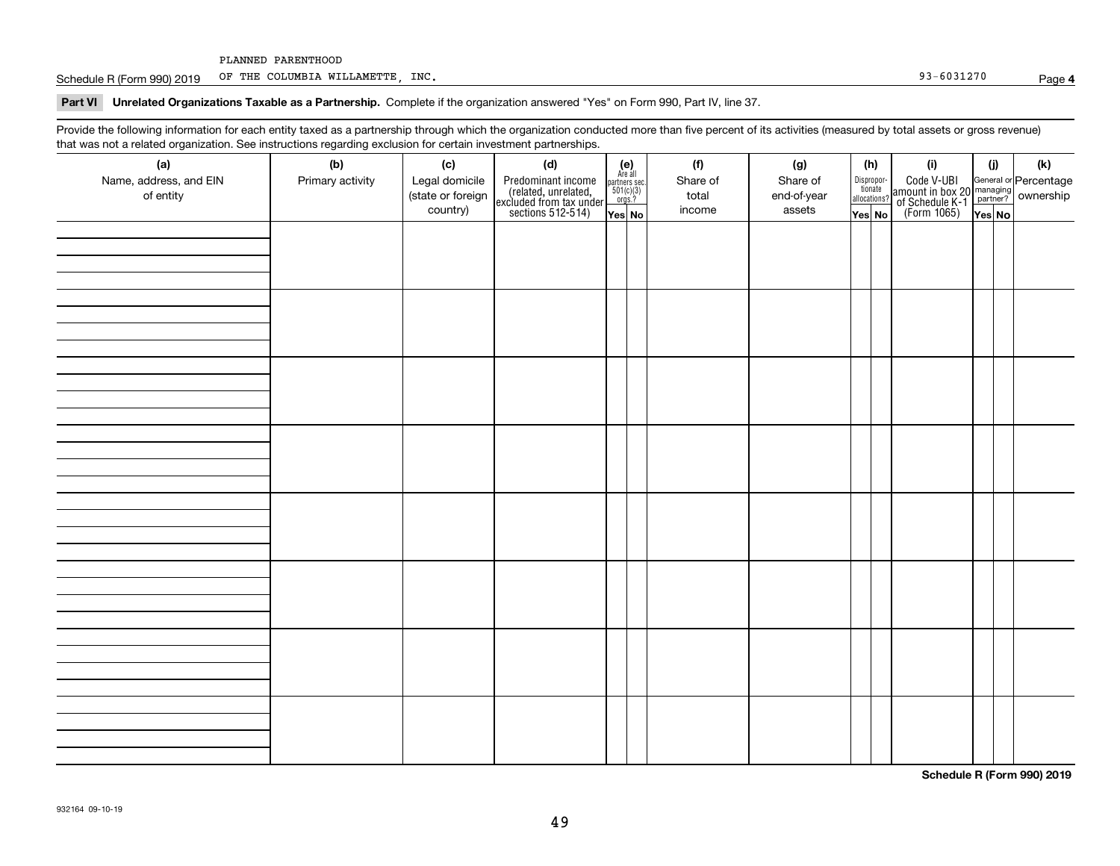Schedule R (Form 990) 2019 Page OF THE COLUMBIA WILLAMETTE, INC. 93-6031270

**Part VI Unrelated Organizations Taxable as a Partnership. Complete if the organization answered "Yes" on Form 990, Part IV, line 37.** 

Provide the following information for each entity taxed as a partnership through which the organization conducted more than five percent of its activities (measured by total assets or gross revenue) that was not a related organization. See instructions regarding exclusion for certain investment partnerships.

| (a)<br>Name, address, and EIN<br>of entity | (b)<br>Primary activity | (c)<br>Legal domicile<br>(state or foreign<br>country) | (d)<br>Predominant income<br>(related, unrelated,<br>excluded from tax under<br>sections 512-514) | $\begin{array}{c} \textbf{(e)}\\ \text{Are all} \\ \text{partners sec.}\\ 501(c)(3)\\ \text{orgs.?} \end{array}$<br>$Yes$ No | (f)<br>Share of<br>total<br>income | (g)<br>Share of<br>end-of-year<br>assets | (h)<br>Dispropor-<br>tionate<br>allocations?<br>Yes No | (i)<br>Code V-UBI<br>amount in box 20 managing<br>of Schedule K-1 partner? ownership<br>(Form 1065)<br>ves No | (i)<br>Yes No | (k) |
|--------------------------------------------|-------------------------|--------------------------------------------------------|---------------------------------------------------------------------------------------------------|------------------------------------------------------------------------------------------------------------------------------|------------------------------------|------------------------------------------|--------------------------------------------------------|---------------------------------------------------------------------------------------------------------------|---------------|-----|
|                                            |                         |                                                        |                                                                                                   |                                                                                                                              |                                    |                                          |                                                        |                                                                                                               |               |     |
|                                            |                         |                                                        |                                                                                                   |                                                                                                                              |                                    |                                          |                                                        |                                                                                                               |               |     |
|                                            |                         |                                                        |                                                                                                   |                                                                                                                              |                                    |                                          |                                                        |                                                                                                               |               |     |
|                                            |                         |                                                        |                                                                                                   |                                                                                                                              |                                    |                                          |                                                        |                                                                                                               |               |     |
|                                            |                         |                                                        |                                                                                                   |                                                                                                                              |                                    |                                          |                                                        |                                                                                                               |               |     |
|                                            |                         |                                                        |                                                                                                   |                                                                                                                              |                                    |                                          |                                                        |                                                                                                               |               |     |
|                                            |                         |                                                        |                                                                                                   |                                                                                                                              |                                    |                                          |                                                        |                                                                                                               |               |     |
|                                            |                         |                                                        |                                                                                                   |                                                                                                                              |                                    |                                          |                                                        |                                                                                                               |               |     |

**Schedule R (Form 990) 2019**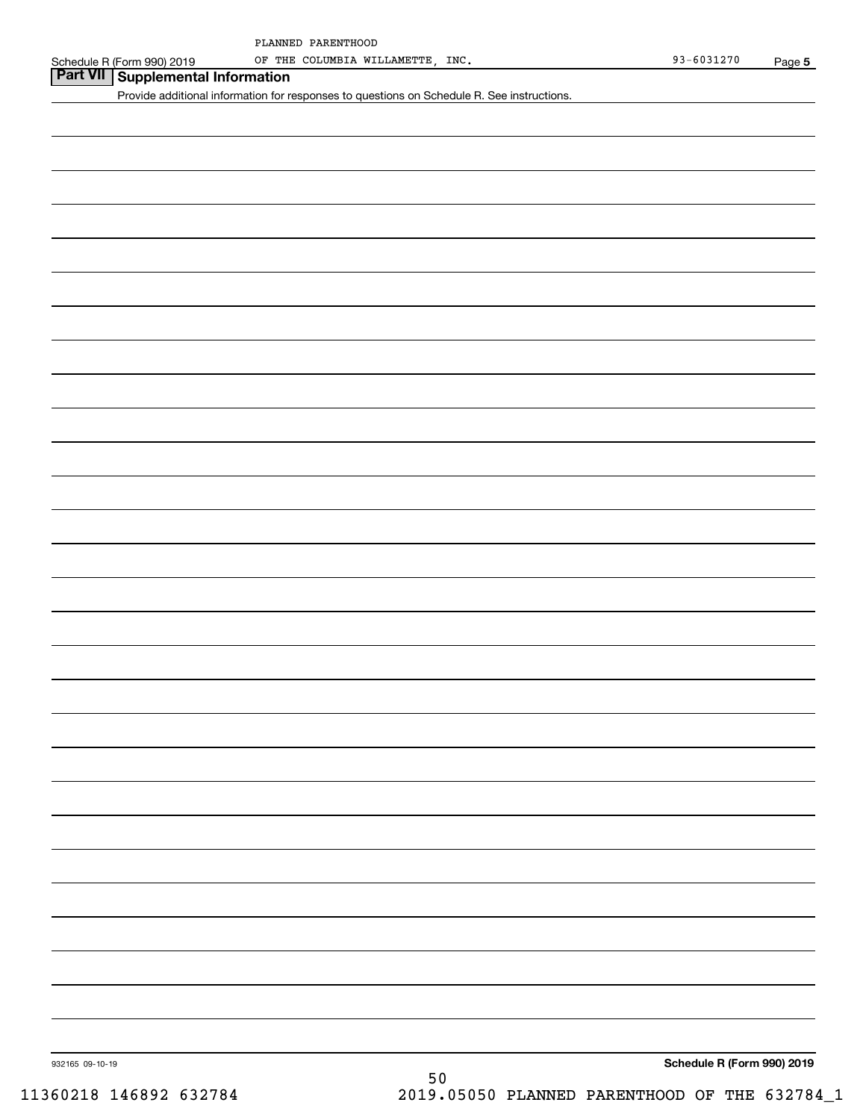## **Part VII Supplemental Information**

Provide additional information for responses to questions on Schedule R. See instructions.

**Schedule R (Form 990) 2019**

932165 09-10-19